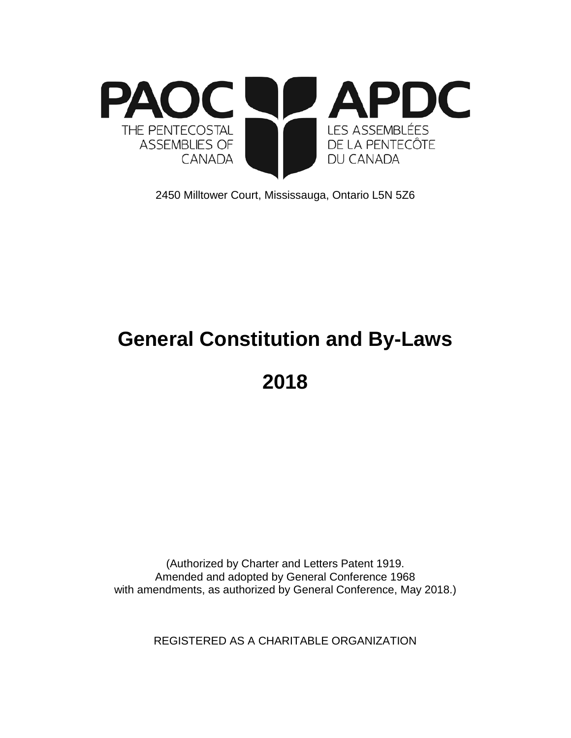

2450 Milltower Court, Mississauga, Ontario L5N 5Z6

# **General Constitution and By-Laws**

**2018**

(Authorized by Charter and Letters Patent 1919. Amended and adopted by General Conference 1968 with amendments, as authorized by General Conference, May 2018.)

REGISTERED AS A CHARITABLE ORGANIZATION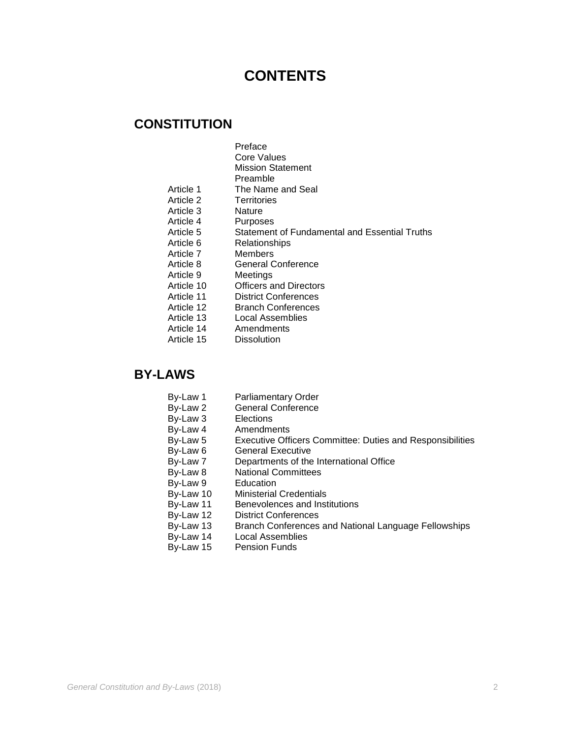# **CONTENTS**

# **CONSTITUTION**

- Preface
- Core Values
- Mission Statement
- Preamble
- Article 1 The Name and Seal<br>Article 2 Territories
	- Territories<br>Nature
- Article 3
- Article 4 Purposes<br>
Article 5 Statemen
- Article 5 Statement of Fundamental and Essential Truths<br>Article 6 Relationships
	- **Relationships**
- Article 7 Members
- Article 8 General Conference
- Article 9 Meetings
- Article 10 Officers and Directors
- Article 11 District Conferences<br>Article 12 Branch Conferences
- Article 12 Branch Conferences<br>Article 13 Local Assemblies
- Article 13 Local Assemblies<br>Article 14 Amendments
- Article 14 Amendments<br>Article 15 Dissolution
	- **Dissolution**

# **BY-LAWS**

- By-Law 1 Parliamentary Order<br>By-Law 2 General Conference
	- General Conference
- By-Law 3 Elections
- By-Law 4 Amendments<br>By-Law 5 Executive Off
- By-Law 5 Executive Officers Committee: Duties and Responsibilities
- By-Law 6 General Executive<br>By-Law 7 Departments of the
- By-Law 7 Departments of the International Office<br>By-Law 8 National Committees
- National Committees<br>Education
- By-Law 9<br>By-Law 10
- By-Law 10 Ministerial Credentials<br>By-Law 11 Benevolences and Inst
- By-Law 11 Benevolences and Institutions<br>By-Law 12 District Conferences
- By-Law 12 District Conferences<br>By-Law 13 Branch Conferences
- By-Law 13 Branch Conferences and National Language Fellowships<br>By-Law 14 Local Assemblies
- Local Assemblies
- By-Law 15 Pension Funds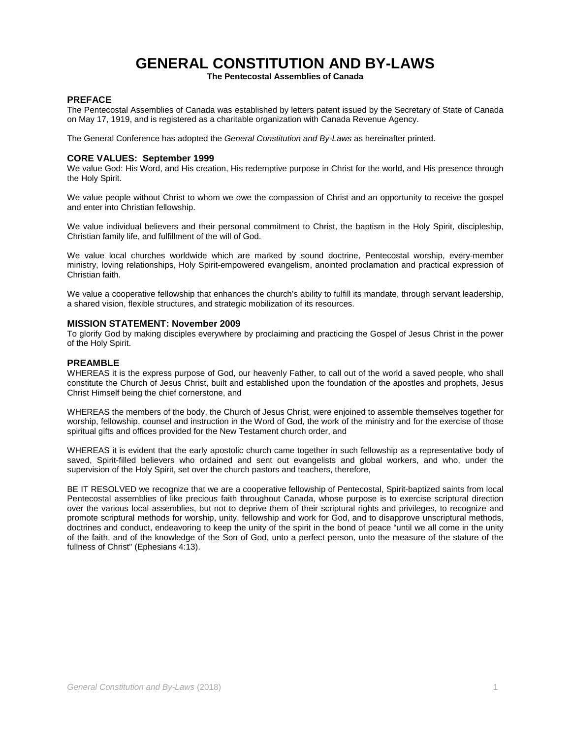# **GENERAL CONSTITUTION AND BY-LAWS**

**The Pentecostal Assemblies of Canada**

# **PREFACE**

The Pentecostal Assemblies of Canada was established by letters patent issued by the Secretary of State of Canada on May 17, 1919, and is registered as a charitable organization with Canada Revenue Agency.

The General Conference has adopted the *General Constitution and By-Laws* as hereinafter printed.

#### **CORE VALUES: September 1999**

We value God: His Word, and His creation, His redemptive purpose in Christ for the world, and His presence through the Holy Spirit.

We value people without Christ to whom we owe the compassion of Christ and an opportunity to receive the gospel and enter into Christian fellowship.

We value individual believers and their personal commitment to Christ, the baptism in the Holy Spirit, discipleship, Christian family life, and fulfillment of the will of God.

We value local churches worldwide which are marked by sound doctrine, Pentecostal worship, every-member ministry, loving relationships, Holy Spirit-empowered evangelism, anointed proclamation and practical expression of Christian faith.

We value a cooperative fellowship that enhances the church's ability to fulfill its mandate, through servant leadership, a shared vision, flexible structures, and strategic mobilization of its resources.

### **MISSION STATEMENT: November 2009**

To glorify God by making disciples everywhere by proclaiming and practicing the Gospel of Jesus Christ in the power of the Holy Spirit.

#### **PREAMBLE**

WHEREAS it is the express purpose of God, our heavenly Father, to call out of the world a saved people, who shall constitute the Church of Jesus Christ, built and established upon the foundation of the apostles and prophets, Jesus Christ Himself being the chief cornerstone, and

WHEREAS the members of the body, the Church of Jesus Christ, were enjoined to assemble themselves together for worship, fellowship, counsel and instruction in the Word of God, the work of the ministry and for the exercise of those spiritual gifts and offices provided for the New Testament church order, and

WHEREAS it is evident that the early apostolic church came together in such fellowship as a representative body of saved, Spirit-filled believers who ordained and sent out evangelists and global workers, and who, under the supervision of the Holy Spirit, set over the church pastors and teachers, therefore,

BE IT RESOLVED we recognize that we are a cooperative fellowship of Pentecostal, Spirit-baptized saints from local Pentecostal assemblies of like precious faith throughout Canada, whose purpose is to exercise scriptural direction over the various local assemblies, but not to deprive them of their scriptural rights and privileges, to recognize and promote scriptural methods for worship, unity, fellowship and work for God, and to disapprove unscriptural methods, doctrines and conduct, endeavoring to keep the unity of the spirit in the bond of peace "until we all come in the unity of the faith, and of the knowledge of the Son of God, unto a perfect person, unto the measure of the stature of the fullness of Christ" (Ephesians 4:13).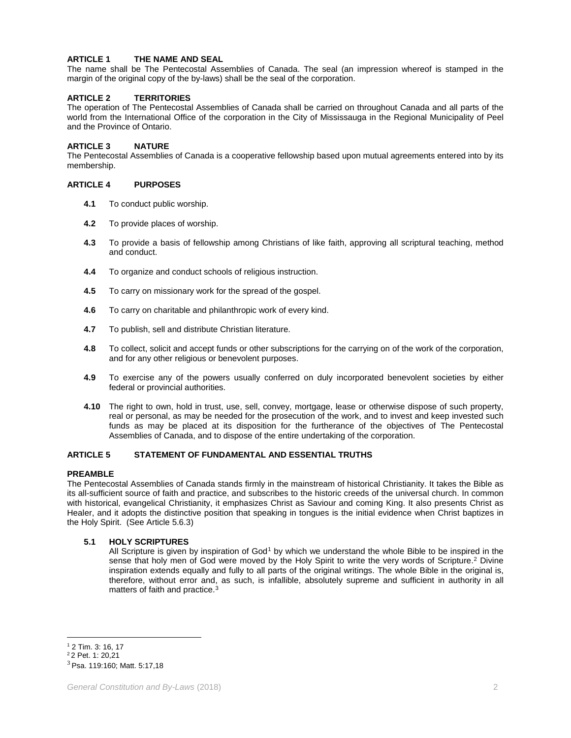# **ARTICLE 1 THE NAME AND SEAL**

The name shall be The Pentecostal Assemblies of Canada. The seal (an impression whereof is stamped in the margin of the original copy of the by-laws) shall be the seal of the corporation.

# **ARTICLE 2 TERRITORIES**

The operation of The Pentecostal Assemblies of Canada shall be carried on throughout Canada and all parts of the world from the International Office of the corporation in the City of Mississauga in the Regional Municipality of Peel and the Province of Ontario.

# **ARTICLE 3 NATURE**

The Pentecostal Assemblies of Canada is a cooperative fellowship based upon mutual agreements entered into by its membership.

# **ARTICLE 4 PURPOSES**

- **4.1** To conduct public worship.
- **4.2** To provide places of worship.
- **4.3** To provide a basis of fellowship among Christians of like faith, approving all scriptural teaching, method and conduct.
- **4.4** To organize and conduct schools of religious instruction.
- **4.5** To carry on missionary work for the spread of the gospel.
- **4.6** To carry on charitable and philanthropic work of every kind.
- **4.7** To publish, sell and distribute Christian literature.
- **4.8** To collect, solicit and accept funds or other subscriptions for the carrying on of the work of the corporation, and for any other religious or benevolent purposes.
- **4.9** To exercise any of the powers usually conferred on duly incorporated benevolent societies by either federal or provincial authorities.
- **4.10** The right to own, hold in trust, use, sell, convey, mortgage, lease or otherwise dispose of such property, real or personal, as may be needed for the prosecution of the work, and to invest and keep invested such funds as may be placed at its disposition for the furtherance of the objectives of The Pentecostal Assemblies of Canada, and to dispose of the entire undertaking of the corporation.

# **ARTICLE 5 STATEMENT OF FUNDAMENTAL AND ESSENTIAL TRUTHS**

#### **PREAMBLE**

The Pentecostal Assemblies of Canada stands firmly in the mainstream of historical Christianity. It takes the Bible as its all-sufficient source of faith and practice, and subscribes to the historic creeds of the universal church. In common with historical, evangelical Christianity, it emphasizes Christ as Saviour and coming King. It also presents Christ as Healer, and it adopts the distinctive position that speaking in tongues is the initial evidence when Christ baptizes in the Holy Spirit. (See Article 5.6.3)

# **5.1 HOLY SCRIPTURES**

All Scripture is given by inspiration of God<sup>[1](#page-3-0)</sup> by which we understand the whole Bible to be inspired in the sense that holy men of God were moved by the Holy Spirit to write the very words of Scripture.<sup>[2](#page-3-1)</sup> Divine inspiration extends equally and fully to all parts of the original writings. The whole Bible in the original is, therefore, without error and, as such, is infallible, absolutely supreme and sufficient in authority in all matters of faith and practice.<sup>[3](#page-3-2)</sup>

 $\overline{a}$ <sup>1</sup> 2 Tim. 3: 16, 17

<span id="page-3-1"></span><span id="page-3-0"></span><sup>2</sup> 2 Pet. 1: 20,21

<span id="page-3-2"></span> $3$  Psa. 119:160; Matt. 5:17,18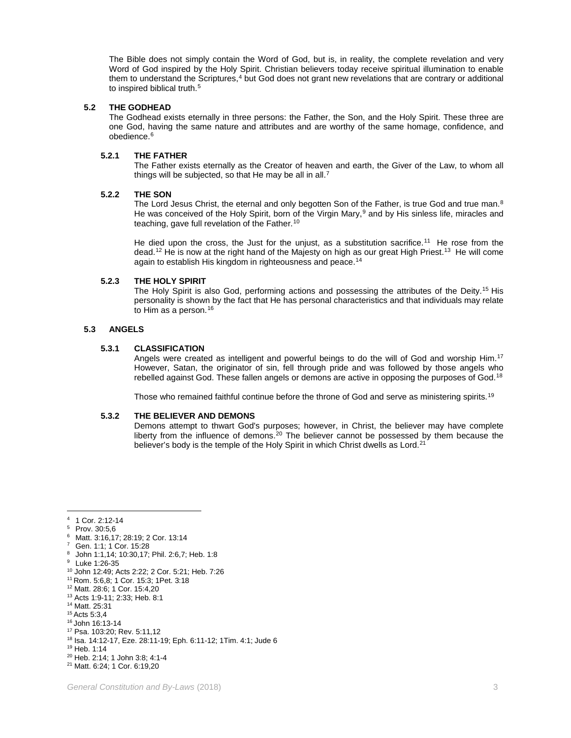The Bible does not simply contain the Word of God, but is, in reality, the complete revelation and very Word of God inspired by the Holy Spirit. Christian believers today receive spiritual illumination to enable them to understand the Scriptures,<sup>[4](#page-4-0)</sup> but God does not grant new revelations that are contrary or additional to inspired biblical truth.<sup>[5](#page-4-1)</sup>

# **5.2 THE GODHEAD**

The Godhead exists eternally in three persons: the Father, the Son, and the Holy Spirit. These three are one God, having the same nature and attributes and are worthy of the same homage, confidence, and obedience.<sup>[6](#page-4-2)</sup>

#### **5.2.1 THE FATHER**

The Father exists eternally as the Creator of heaven and earth, the Giver of the Law, to whom all things will be subjected, so that He may be all in all.<sup>[7](#page-4-3)</sup>

# **5.2.2 THE SON**

The Lord Jesus Christ, the eternal and only begotten Son of the Father, is true God and true man. $8$ He was conceived of the Holy Spirit, born of the Virgin Mary, $9$  and by His sinless life, miracles and teaching, gave full revelation of the Father.<sup>[10](#page-4-6)</sup>

He died upon the cross, the Just for the unjust, as a substitution sacrifice.<sup>[11](#page-4-7)</sup> He rose from the dead.<sup>[12](#page-4-8)</sup> He is now at the right hand of the Majesty on high as our great High Priest.<sup>[13](#page-4-9)</sup> He will come again to establish His kingdom in righteousness and peace.<sup>[14](#page-4-10)</sup>

# **5.2.3 THE HOLY SPIRIT**

The Holy Spirit is also God, performing actions and possessing the attributes of the Deity.<sup>[15](#page-4-11)</sup> His personality is shown by the fact that He has personal characteristics and that individuals may relate to Him as a person.<sup>[16](#page-4-12)</sup>

# **5.3 ANGELS**

# **5.3.1 CLASSIFICATION**

Angels were created as intelligent and powerful beings to do the will of God and worship Him.<sup>17</sup> However, Satan, the originator of sin, fell through pride and was followed by those angels who rebelled against God. These fallen angels or demons are active in opposing the purposes of God.[18](#page-4-14)

Those who remained faithful continue before the throne of God and serve as ministering spirits.<sup>[19](#page-4-15)</sup>

#### **5.3.2 THE BELIEVER AND DEMONS**

Demons attempt to thwart God's purposes; however, in Christ, the believer may have complete liberty from the influence of demons.<sup>[20](#page-4-16)</sup> The believer cannot be possessed by them because the believer's body is the temple of the Holy Spirit in which Christ dwells as Lord.<sup>[21](#page-4-17)</sup>

- <span id="page-4-3"></span>Gen. 1:1; 1 Cor. 15:28
- <span id="page-4-4"></span><sup>8</sup> John 1:1,14; 10:30,17; Phil. 2:6,7; Heb. 1:8
- Luke 1:26-35
- <span id="page-4-6"></span><span id="page-4-5"></span><sup>10</sup> John 12:49; Acts 2:22; 2 Cor. 5:21; Heb. 7:26
- <span id="page-4-7"></span><sup>11</sup> Rom. 5:6,8; 1 Cor. 15:3; 1Pet. 3:18
- <span id="page-4-8"></span><sup>12</sup> Matt. 28:6; 1 Cor. 15:4,20
- <span id="page-4-9"></span><sup>13</sup> Acts 1:9-11; 2:33; Heb. 8:1 <sup>14</sup> Matt. 25:31
- <span id="page-4-11"></span><span id="page-4-10"></span><sup>15</sup> Acts 5:3,4
- <span id="page-4-12"></span><sup>16</sup> John 16:13-14
- <span id="page-4-13"></span><sup>17</sup> Psa. 103:20; Rev. 5:11,12
- <sup>18</sup> Isa. 14:12-17, Eze. 28:11-19; Eph. 6:11-12; 1Tim. 4:1; Jude 6
- <span id="page-4-15"></span><span id="page-4-14"></span><sup>19</sup> Heb. 1:14
- <span id="page-4-16"></span><sup>20</sup> Heb. 2:14; 1 John 3:8; 4:1-4

<span id="page-4-2"></span><span id="page-4-1"></span><span id="page-4-0"></span> $\overline{4}$  $4 \t 1$  Cor. 2:12-14

Prov. 30:5,6

<sup>6</sup> Matt. 3:16,17; 28:19; 2 Cor. 13:14

<span id="page-4-17"></span><sup>21</sup> Matt. 6:24; 1 Cor. 6:19,20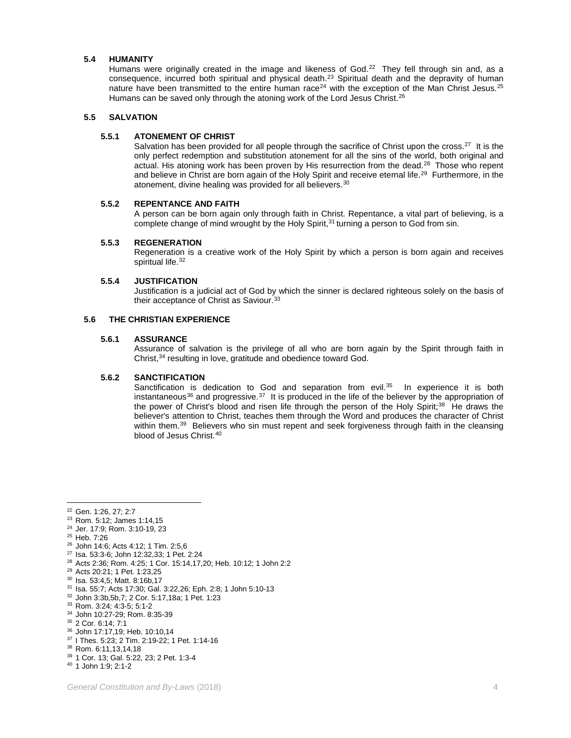# **5.4 HUMANITY**

Humans were originally created in the image and likeness of God.<sup>[22](#page-5-0)</sup> They fell through sin and, as a consequence, incurred both spiritual and physical death.<sup>[23](#page-5-1)</sup> Spiritual death and the depravity of human nature have been transmitted to the entire human race<sup>[24](#page-5-2)</sup> with the exception of the Man Christ Jesus.<sup>[25](#page-5-3)</sup> Humans can be saved only through the atoning work of the Lord Jesus Christ.<sup>[26](#page-5-4)</sup>

# **5.5 SALVATION**

#### **5.5.1 ATONEMENT OF CHRIST**

Salvation has been provided for all people through the sacrifice of Christ upon the cross.<sup>27</sup> It is the only perfect redemption and substitution atonement for all the sins of the world, both original and actual. His atoning work has been proven by His resurrection from the dead.<sup>[28](#page-5-6)</sup> Those who repent and believe in Christ are born again of the Holy Spirit and receive eternal life.[29](#page-5-7) Furthermore, in the atonement, divine healing was provided for all believers.[30](#page-5-8)

#### **5.5.2 REPENTANCE AND FAITH**

A person can be born again only through faith in Christ. Repentance, a vital part of believing, is a complete change of mind wrought by the Holy Spirit, $31$  turning a person to God from sin.

# **5.5.3 REGENERATION**

Regeneration is a creative work of the Holy Spirit by which a person is born again and receives spiritual life.<sup>32</sup>

#### **5.5.4 JUSTIFICATION**

Justification is a judicial act of God by which the sinner is declared righteous solely on the basis of their acceptance of Christ as Saviour.<sup>[33](#page-5-11)</sup>

#### **5.6 THE CHRISTIAN EXPERIENCE**

#### **5.6.1 ASSURANCE**

Assurance of salvation is the privilege of all who are born again by the Spirit through faith in Christ,[34](#page-5-12) resulting in love, gratitude and obedience toward God.

#### **5.6.2 SANCTIFICATION**

Sanctification is dedication to God and separation from evil. $35$  In experience it is both instantaneous<sup>[36](#page-5-14)</sup> and progressive.<sup>37</sup> It is produced in the life of the believer by the appropriation of the power of Christ's blood and risen life through the person of the Holy Spirit;<sup>38</sup> He draws the believer's attention to Christ, teaches them through the Word and produces the character of Christ within them.<sup>39</sup> Believers who sin must repent and seek forgiveness through faith in the cleansing blood of Jesus Christ.<sup>[40](#page-5-18)</sup>

<span id="page-5-3"></span><sup>25</sup> Heb. 7:26

- <span id="page-5-6"></span><sup>28</sup> Acts 2:36; Rom. 4:25; 1 Cor. 15:14,17,20; Heb. 10:12; 1 John 2:2
- <span id="page-5-7"></span><sup>29</sup> Acts 20:21; 1 Pet. 1:23,25

 $\overline{a}$ <sup>22</sup> Gen. 1:26, 27; 2:7

<span id="page-5-1"></span><span id="page-5-0"></span><sup>23</sup> Rom. 5:12; James 1:14,15

<span id="page-5-2"></span><sup>24</sup> Jer. 17:9; Rom. 3:10-19, 23

<span id="page-5-4"></span><sup>26</sup> John 14:6; Acts 4:12; 1 Tim. 2:5,6

<span id="page-5-5"></span><sup>27</sup> Isa. 53:3-6; John 12:32,33; 1 Pet. 2:24

<span id="page-5-8"></span><sup>30</sup> Isa. 53:4,5; Matt. 8:16b,17

<span id="page-5-9"></span><sup>31</sup> Isa. 55:7; Acts 17:30; Gal. 3:22,26; Eph. 2:8; 1 John 5:10-13

<span id="page-5-11"></span><span id="page-5-10"></span><sup>32</sup> John 3:3b,5b,7; 2 Cor. 5:17,18a; 1 Pet. 1:23

<sup>33</sup> Rom. 3:24; 4:3-5; 5:1-2

<sup>34</sup> John 10:27-29; Rom. 8:35-39

<span id="page-5-13"></span><span id="page-5-12"></span><sup>35</sup> 2 Cor. 6:14; 7:1

<span id="page-5-14"></span><sup>36</sup> John 17:17,19; Heb. 10:10,14

<span id="page-5-15"></span><sup>37</sup> I Thes. 5:23; 2 Tim. 2:19-22; 1 Pet. 1:14-16

<span id="page-5-16"></span><sup>38</sup> Rom. 6:11,13,14,18

<sup>39</sup> 1 Cor. 13; Gal. 5:22, 23; 2 Pet. 1:3-4

<span id="page-5-18"></span><span id="page-5-17"></span><sup>40</sup> 1 John 1:9; 2:1-2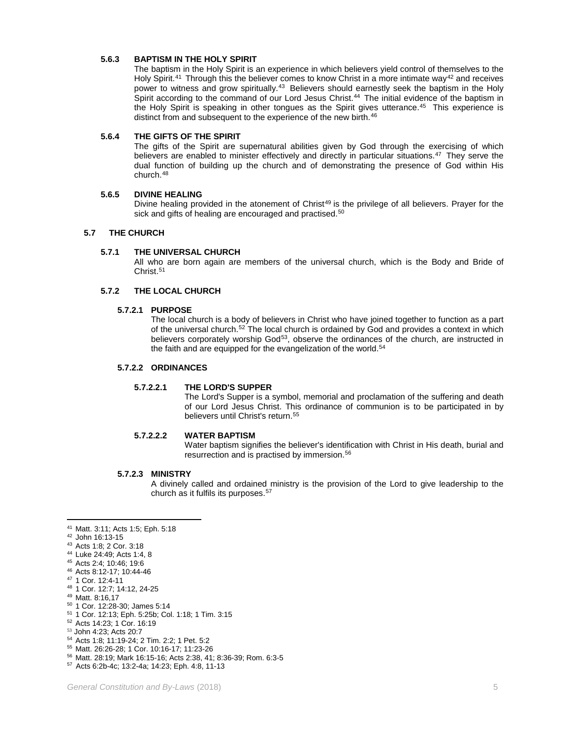# **5.6.3 BAPTISM IN THE HOLY SPIRIT**

The baptism in the Holy Spirit is an experience in which believers yield control of themselves to the Holy Spirit.<sup>[41](#page-6-0)</sup> Through this the believer comes to know Christ in a more intimate way<sup>[42](#page-6-1)</sup> and receives power to witness and grow spiritually.<sup>43</sup> Believers should earnestly seek the baptism in the Holy Spirit according to the command of our Lord Jesus Christ.<sup>[44](#page-6-3)</sup> The initial evidence of the baptism in the Holy Spirit is speaking in other tongues as the Spirit gives utterance.[45](#page-6-4) This experience is distinct from and subsequent to the experience of the new birth.<sup>[46](#page-6-5)</sup>

#### **5.6.4 THE GIFTS OF THE SPIRIT**

The gifts of the Spirit are supernatural abilities given by God through the exercising of which believers are enabled to minister effectively and directly in particular situations.<sup>47</sup> They serve the dual function of building up the church and of demonstrating the presence of God within His church.[48](#page-6-7)

# **5.6.5 DIVINE HEALING**

Divine healing provided in the atonement of Christ<sup>[49](#page-6-8)</sup> is the privilege of all believers. Prayer for the sick and gifts of healing are encouraged and practised.<sup>[50](#page-6-9)</sup>

# **5.7 THE CHURCH**

# **5.7.1 THE UNIVERSAL CHURCH**

All who are born again are members of the universal church, which is the Body and Bride of Christ.[51](#page-6-10)

#### **5.7.2 THE LOCAL CHURCH**

#### **5.7.2.1 PURPOSE**

The local church is a body of believers in Christ who have joined together to function as a part of the universal church.[52](#page-6-11) The local church is ordained by God and provides a context in which believers corporately worship God<sup>[53](#page-6-12)</sup>, observe the ordinances of the church, are instructed in the faith and are equipped for the evangelization of the world.<sup>[54](#page-6-13)</sup>

# **5.7.2.2 ORDINANCES**

#### **5.7.2.2.1 THE LORD'S SUPPER**

The Lord's Supper is a symbol, memorial and proclamation of the suffering and death of our Lord Jesus Christ. This ordinance of communion is to be participated in by believers until Christ's return.<sup>[55](#page-6-14)</sup>

# **5.7.2.2.2 WATER BAPTISM**

Water baptism signifies the believer's identification with Christ in His death, burial and resurrection and is practised by immersion.[56](#page-6-15)

#### **5.7.2.3 MINISTRY**

A divinely called and ordained ministry is the provision of the Lord to give leadership to the church as it fulfils its purposes.[57](#page-6-16)

 $\overline{a}$ <sup>41</sup> Matt. 3:11; Acts 1:5; Eph. 5:18

<span id="page-6-1"></span><span id="page-6-0"></span><sup>42</sup> John 16:13-15

<span id="page-6-2"></span><sup>43</sup> Acts 1:8; 2 Cor. 3:18

<span id="page-6-3"></span><sup>44</sup> Luke 24:49; Acts 1:4, 8

<span id="page-6-4"></span><sup>45</sup> Acts 2:4; 10:46; 19:6

<span id="page-6-5"></span><sup>46</sup> Acts 8:12-17; 10:44-46

<span id="page-6-6"></span><sup>47</sup> 1 Cor. 12:4-11

<span id="page-6-7"></span><sup>48</sup> 1 Cor. 12:7; 14:12, 24-25

<span id="page-6-8"></span><sup>49</sup> Matt. 8:16,17

<span id="page-6-9"></span><sup>50</sup> 1 Cor. 12:28-30; James 5:14

<span id="page-6-10"></span><sup>51</sup> 1 Cor. 12:13; Eph. 5:25b; Col. 1:18; 1 Tim. 3:15

<span id="page-6-11"></span><sup>52</sup> Acts 14:23; 1 Cor. 16:19

<span id="page-6-12"></span><sup>53</sup> John 4:23; Acts 20:7

<span id="page-6-13"></span><sup>54</sup> Acts 1:8; 11:19-24; 2 Tim. 2:2; 1 Pet. 5:2

<span id="page-6-14"></span><sup>55</sup> Matt. 26:26-28; 1 Cor. 10:16-17; 11:23-26

<span id="page-6-15"></span><sup>56</sup> Matt. 28:19; Mark 16:15-16; Acts 2:38, 41; 8:36-39; Rom. 6:3-5

<span id="page-6-16"></span><sup>57</sup> Acts 6:2b-4c; 13:2-4a; 14:23; Eph. 4:8, 11-13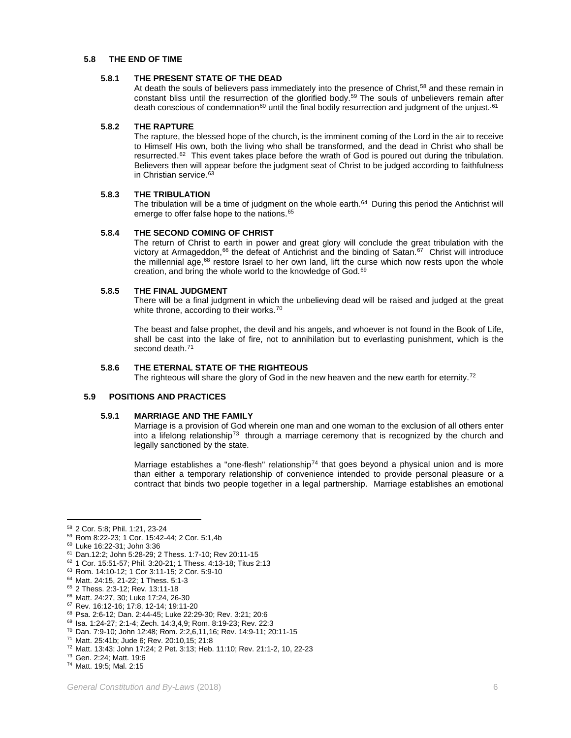# **5.8 THE END OF TIME**

#### **5.8.1 THE PRESENT STATE OF THE DEAD**

At death the souls of believers pass immediately into the presence of Christ,<sup>[58](#page-7-0)</sup> and these remain in constant bliss until the resurrection of the glorified body.<sup>[59](#page-7-1)</sup> The souls of unbelievers remain after death conscious of condemnation<sup>[60](#page-7-2)</sup> until the final bodily resurrection and judgment of the unjust.<sup>[61](#page-7-3)</sup>

#### **5.8.2 THE RAPTURE**

The rapture, the blessed hope of the church, is the imminent coming of the Lord in the air to receive to Himself His own, both the living who shall be transformed, and the dead in Christ who shall be resurrected[.62](#page-7-4) This event takes place before the wrath of God is poured out during the tribulation. Believers then will appear before the judgment seat of Christ to be judged according to faithfulness in Christian service.<sup>[63](#page-7-5)</sup>

#### **5.8.3 THE TRIBULATION**

The tribulation will be a time of judgment on the whole earth. $64$  During this period the Antichrist will emerge to offer false hope to the nations.<sup>[65](#page-7-7)</sup>

#### **5.8.4 THE SECOND COMING OF CHRIST**

The return of Christ to earth in power and great glory will conclude the great tribulation with the victory at Armageddon,<sup>[66](#page-7-8)</sup> the defeat of Antichrist and the binding of Satan.<sup>[67](#page-7-9)</sup> Christ will introduce the millennial age, $68$  restore Israel to her own land, lift the curse which now rests upon the whole creation, and bring the whole world to the knowledge of God.<sup>[69](#page-7-11)</sup>

#### **5.8.5 THE FINAL JUDGMENT**

There will be a final judgment in which the unbelieving dead will be raised and judged at the great white throne, according to their works.<sup>[70](#page-7-12)</sup>

The beast and false prophet, the devil and his angels, and whoever is not found in the Book of Life, shall be cast into the lake of fire, not to annihilation but to everlasting punishment, which is the second death.<sup>[71](#page-7-13)</sup>

# **5.8.6 THE ETERNAL STATE OF THE RIGHTEOUS**

The righteous will share the glory of God in the new heaven and the new earth for eternity.<sup>[72](#page-7-14)</sup>

#### **5.9 POSITIONS AND PRACTICES**

#### **5.9.1 MARRIAGE AND THE FAMILY**

Marriage is a provision of God wherein one man and one woman to the exclusion of all others enter into a lifelong relationship<sup>[73](#page-7-15)</sup> through a marriage ceremony that is recognized by the church and legally sanctioned by the state.

Marriage establishes a "one-flesh" relationship<sup>[74](#page-7-16)</sup> that goes beyond a physical union and is more than either a temporary relationship of convenience intended to provide personal pleasure or a contract that binds two people together in a legal partnership. Marriage establishes an emotional

 $\overline{a}$ 

<sup>58</sup> 2 Cor. 5:8; Phil. 1:21, 23-24

<span id="page-7-1"></span><span id="page-7-0"></span><sup>59</sup> Rom 8:22-23; 1 Cor. 15:42-44; 2 Cor. 5:1,4b

<span id="page-7-2"></span><sup>60</sup> Luke 16:22-31; John 3:36

<span id="page-7-3"></span><sup>61</sup> Dan.12:2; John 5:28-29; 2 Thess. 1:7-10; Rev 20:11-15

<span id="page-7-4"></span><sup>62</sup> 1 Cor. 15:51-57; Phil. 3:20-21; 1 Thess. 4:13-18; Titus 2:13

<span id="page-7-5"></span><sup>63</sup> Rom. 14:10-12; 1 Cor 3:11-15; 2 Cor. 5:9-10

<span id="page-7-6"></span><sup>64</sup> Matt. 24:15, 21-22; 1 Thess. 5:1-3

<span id="page-7-7"></span><sup>65</sup> 2 Thess. 2:3-12; Rev. 13:11-18

<span id="page-7-9"></span><span id="page-7-8"></span><sup>66</sup> Matt. 24:27, 30; Luke 17:24, 26-30

<sup>67</sup> Rev. 16:12-16; 17:8, 12-14; 19:11-20

<span id="page-7-10"></span><sup>68</sup> Psa. 2:6-12; Dan. 2:44-45; Luke 22:29-30; Rev. 3:21; 20:6 <sup>69</sup> Isa. 1:24-27; 2:1-4; Zech. 14:3,4,9; Rom. 8:19-23; Rev. 22:3

<span id="page-7-12"></span><span id="page-7-11"></span><sup>70</sup> Dan. 7:9-10; John 12:48; Rom. 2:2,6,11,16; Rev. 14:9-11; 20:11-15

<span id="page-7-13"></span><sup>71</sup> Matt. 25:41b; Jude 6; Rev. 20:10,15; 21:8

<span id="page-7-14"></span><sup>72</sup> Matt. 13:43; John 17:24; 2 Pet. 3:13; Heb. 11:10; Rev. 21:1-2, 10, 22-23

<span id="page-7-15"></span><sup>73</sup> Gen. 2:24; Matt. 19:6

<span id="page-7-16"></span><sup>74</sup> Matt. 19:5; Mal. 2:15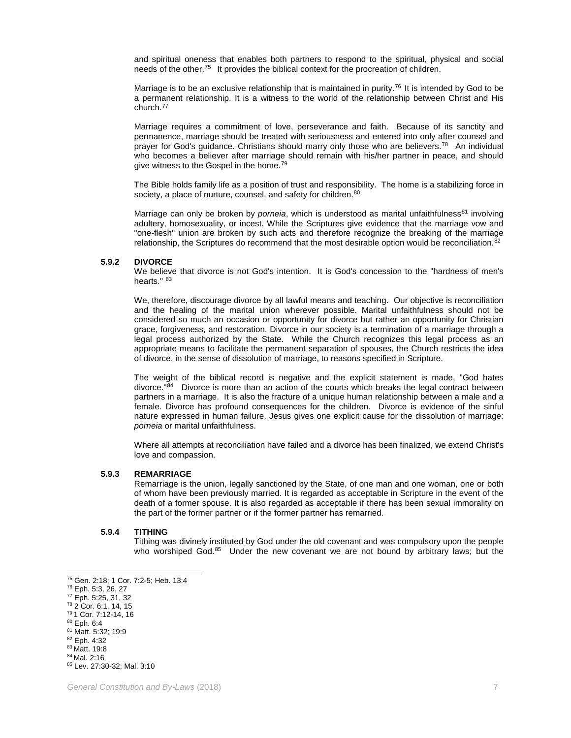and spiritual oneness that enables both partners to respond to the spiritual, physical and social needs of the other.[75](#page-8-0) It provides the biblical context for the procreation of children.

Marriage is to be an exclusive relationship that is maintained in purity.<sup>[76](#page-8-1)</sup> It is intended by God to be a permanent relationship. It is a witness to the world of the relationship between Christ and His church.[77](#page-8-2)

Marriage requires a commitment of love, perseverance and faith. Because of its sanctity and permanence, marriage should be treated with seriousness and entered into only after counsel and prayer for God's guidance. Christians should marry only those who are believers.<sup>78</sup> An individual who becomes a believer after marriage should remain with his/her partner in peace, and should give witness to the Gospel in the home.<sup>[79](#page-8-4)</sup>

The Bible holds family life as a position of trust and responsibility. The home is a stabilizing force in society, a place of nurture, counsel, and safety for children.<sup>[80](#page-8-5)</sup>

Marriage can only be broken by *porneia*, which is understood as marital unfaithfulness<sup>[81](#page-8-6)</sup> involving adultery, homosexuality, or incest. While the Scriptures give evidence that the marriage vow and "one-flesh" union are broken by such acts and therefore recognize the breaking of the marriage relationship, the Scriptures do recommend that the most desirable option would be reconciliation. $82$ 

#### **5.9.2 DIVORCE**

We believe that divorce is not God's intention. It is God's concession to the "hardness of men's hearts." [83](#page-8-8)

We, therefore, discourage divorce by all lawful means and teaching. Our objective is reconciliation and the healing of the marital union wherever possible. Marital unfaithfulness should not be considered so much an occasion or opportunity for divorce but rather an opportunity for Christian grace, forgiveness, and restoration. Divorce in our society is a termination of a marriage through a legal process authorized by the State. While the Church recognizes this legal process as an appropriate means to facilitate the permanent separation of spouses, the Church restricts the idea of divorce, in the sense of dissolution of marriage, to reasons specified in Scripture.

The weight of the biblical record is negative and the explicit statement is made, "God hates divorce."[84](#page-8-9) Divorce is more than an action of the courts which breaks the legal contract between partners in a marriage. It is also the fracture of a unique human relationship between a male and a female. Divorce has profound consequences for the children. Divorce is evidence of the sinful nature expressed in human failure. Jesus gives one explicit cause for the dissolution of marriage: *porneia* or marital unfaithfulness.

Where all attempts at reconciliation have failed and a divorce has been finalized, we extend Christ's love and compassion.

#### **5.9.3 REMARRIAGE**

Remarriage is the union, legally sanctioned by the State, of one man and one woman, one or both of whom have been previously married. It is regarded as acceptable in Scripture in the event of the death of a former spouse. It is also regarded as acceptable if there has been sexual immorality on the part of the former partner or if the former partner has remarried.

#### **5.9.4 TITHING**

Tithing was divinely instituted by God under the old covenant and was compulsory upon the people who worshiped God.<sup>[85](#page-8-10)</sup> Under the new covenant we are not bound by arbitrary laws; but the

 $80$  Eph. 6:4

 $\overline{a}$ 

<sup>84</sup> Mal. 2:16

<sup>75</sup> Gen. 2:18; 1 Cor. 7:2-5; Heb. 13:4

<span id="page-8-2"></span><span id="page-8-1"></span><span id="page-8-0"></span><sup>76</sup> Eph. 5:3, 26, 27

<sup>77</sup> Eph. 5:25, 31, 32

<span id="page-8-3"></span><sup>78</sup> 2 Cor. 6:1, 14, 15

<span id="page-8-4"></span><sup>79</sup> 1 Cor. 7:12-14, 16

<span id="page-8-6"></span><span id="page-8-5"></span><sup>81</sup> Matt. 5:32; 19:9 <sup>82</sup> Eph. 4:32

<span id="page-8-8"></span><span id="page-8-7"></span><sup>83</sup> Matt. 19:8

<span id="page-8-10"></span><span id="page-8-9"></span><sup>85</sup> Lev. 27:30-32; Mal. 3:10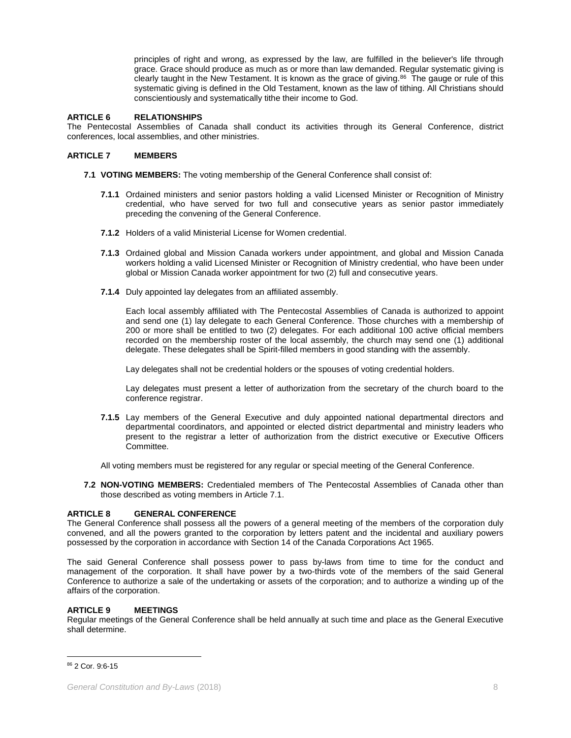principles of right and wrong, as expressed by the law, are fulfilled in the believer's life through grace. Grace should produce as much as or more than law demanded. Regular systematic giving is clearly taught in the New Testament. It is known as the grace of giving. $86$  The gauge or rule of this systematic giving is defined in the Old Testament, known as the law of tithing. All Christians should conscientiously and systematically tithe their income to God.

# **ARTICLE 6 RELATIONSHIPS**

The Pentecostal Assemblies of Canada shall conduct its activities through its General Conference, district conferences, local assemblies, and other ministries.

#### **ARTICLE 7 MEMBERS**

- **7.1 VOTING MEMBERS:** The voting membership of the General Conference shall consist of:
	- **7.1.1** Ordained ministers and senior pastors holding a valid Licensed Minister or Recognition of Ministry credential, who have served for two full and consecutive years as senior pastor immediately preceding the convening of the General Conference.
	- **7.1.2** Holders of a valid Ministerial License for Women credential.
	- **7.1.3** Ordained global and Mission Canada workers under appointment, and global and Mission Canada workers holding a valid Licensed Minister or Recognition of Ministry credential, who have been under global or Mission Canada worker appointment for two (2) full and consecutive years.
	- **7.1.4** Duly appointed lay delegates from an affiliated assembly.

Each local assembly affiliated with The Pentecostal Assemblies of Canada is authorized to appoint and send one (1) lay delegate to each General Conference. Those churches with a membership of 200 or more shall be entitled to two (2) delegates. For each additional 100 active official members recorded on the membership roster of the local assembly, the church may send one (1) additional delegate. These delegates shall be Spirit-filled members in good standing with the assembly.

Lay delegates shall not be credential holders or the spouses of voting credential holders.

Lay delegates must present a letter of authorization from the secretary of the church board to the conference registrar.

**7.1.5** Lay members of the General Executive and duly appointed national departmental directors and departmental coordinators, and appointed or elected district departmental and ministry leaders who present to the registrar a letter of authorization from the district executive or Executive Officers Committee.

All voting members must be registered for any regular or special meeting of the General Conference.

**7.2 NON-VOTING MEMBERS:** Credentialed members of The Pentecostal Assemblies of Canada other than those described as voting members in Article 7.1.

# **ARTICLE 8 GENERAL CONFERENCE**

The General Conference shall possess all the powers of a general meeting of the members of the corporation duly convened, and all the powers granted to the corporation by letters patent and the incidental and auxiliary powers possessed by the corporation in accordance with Section 14 of the Canada Corporations Act 1965.

The said General Conference shall possess power to pass by-laws from time to time for the conduct and management of the corporation. It shall have power by a two-thirds vote of the members of the said General Conference to authorize a sale of the undertaking or assets of the corporation; and to authorize a winding up of the affairs of the corporation.

# **ARTICLE 9 MEETINGS**

Regular meetings of the General Conference shall be held annually at such time and place as the General Executive shall determine.

<span id="page-9-0"></span> $\overline{a}$ <sup>86</sup> 2 Cor. 9:6-15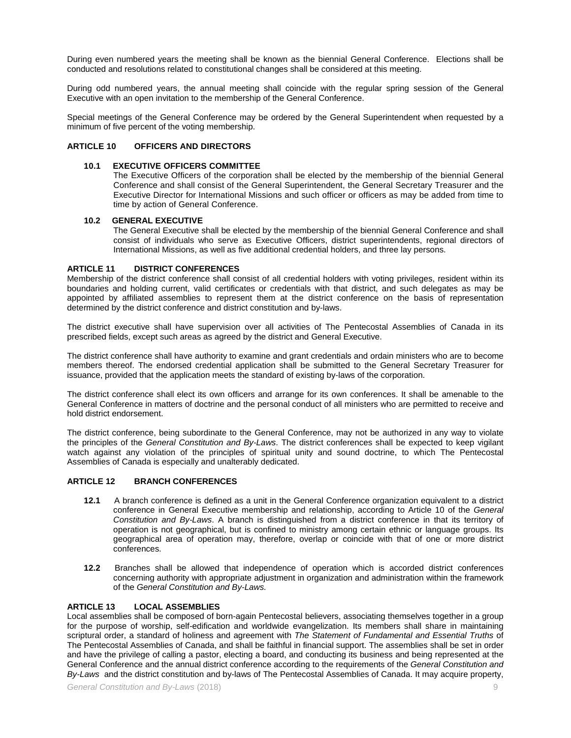During even numbered years the meeting shall be known as the biennial General Conference. Elections shall be conducted and resolutions related to constitutional changes shall be considered at this meeting.

During odd numbered years, the annual meeting shall coincide with the regular spring session of the General Executive with an open invitation to the membership of the General Conference.

Special meetings of the General Conference may be ordered by the General Superintendent when requested by a minimum of five percent of the voting membership.

# **ARTICLE 10 OFFICERS AND DIRECTORS**

# **10.1 EXECUTIVE OFFICERS COMMITTEE**

The Executive Officers of the corporation shall be elected by the membership of the biennial General Conference and shall consist of the General Superintendent, the General Secretary Treasurer and the Executive Director for International Missions and such officer or officers as may be added from time to time by action of General Conference.

#### **10.2 GENERAL EXECUTIVE**

The General Executive shall be elected by the membership of the biennial General Conference and shall consist of individuals who serve as Executive Officers, district superintendents, regional directors of International Missions, as well as five additional credential holders, and three lay persons.

#### **ARTICLE 11 DISTRICT CONFERENCES**

Membership of the district conference shall consist of all credential holders with voting privileges, resident within its boundaries and holding current, valid certificates or credentials with that district, and such delegates as may be appointed by affiliated assemblies to represent them at the district conference on the basis of representation determined by the district conference and district constitution and by-laws.

The district executive shall have supervision over all activities of The Pentecostal Assemblies of Canada in its prescribed fields, except such areas as agreed by the district and General Executive.

The district conference shall have authority to examine and grant credentials and ordain ministers who are to become members thereof. The endorsed credential application shall be submitted to the General Secretary Treasurer for issuance, provided that the application meets the standard of existing by-laws of the corporation.

The district conference shall elect its own officers and arrange for its own conferences. It shall be amenable to the General Conference in matters of doctrine and the personal conduct of all ministers who are permitted to receive and hold district endorsement.

The district conference, being subordinate to the General Conference, may not be authorized in any way to violate the principles of the *General Constitution and By-Laws*. The district conferences shall be expected to keep vigilant watch against any violation of the principles of spiritual unity and sound doctrine, to which The Pentecostal Assemblies of Canada is especially and unalterably dedicated.

# **ARTICLE 12 BRANCH CONFERENCES**

- **12.1** A branch conference is defined as a unit in the General Conference organization equivalent to a district conference in General Executive membership and relationship, according to Article 10 of the *General Constitution and By-Laws*. A branch is distinguished from a district conference in that its territory of operation is not geographical, but is confined to ministry among certain ethnic or language groups. Its geographical area of operation may, therefore, overlap or coincide with that of one or more district conferences.
- **12.2** Branches shall be allowed that independence of operation which is accorded district conferences concerning authority with appropriate adjustment in organization and administration within the framework of the *General Constitution and By-Laws.*

# **ARTICLE 13 LOCAL ASSEMBLIES**

Local assemblies shall be composed of born-again Pentecostal believers, associating themselves together in a group for the purpose of worship, self-edification and worldwide evangelization. Its members shall share in maintaining scriptural order, a standard of holiness and agreement with *The Statement of Fundamental and Essential Truths* of The Pentecostal Assemblies of Canada, and shall be faithful in financial support. The assemblies shall be set in order and have the privilege of calling a pastor, electing a board, and conducting its business and being represented at the General Conference and the annual district conference according to the requirements of the *General Constitution and By-Laws* and the district constitution and by-laws of The Pentecostal Assemblies of Canada. It may acquire property,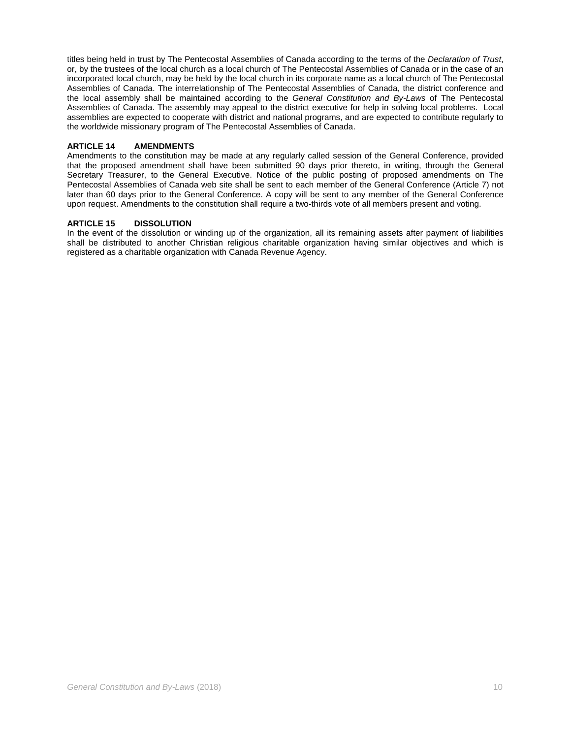titles being held in trust by The Pentecostal Assemblies of Canada according to the terms of the *Declaration of Trust*, or, by the trustees of the local church as a local church of The Pentecostal Assemblies of Canada or in the case of an incorporated local church, may be held by the local church in its corporate name as a local church of The Pentecostal Assemblies of Canada. The interrelationship of The Pentecostal Assemblies of Canada, the district conference and the local assembly shall be maintained according to the *General Constitution and By-Laws* of The Pentecostal Assemblies of Canada. The assembly may appeal to the district executive for help in solving local problems. Local assemblies are expected to cooperate with district and national programs, and are expected to contribute regularly to the worldwide missionary program of The Pentecostal Assemblies of Canada.

# **ARTICLE 14 AMENDMENTS**

Amendments to the constitution may be made at any regularly called session of the General Conference, provided that the proposed amendment shall have been submitted 90 days prior thereto, in writing, through the General Secretary Treasurer, to the General Executive. Notice of the public posting of proposed amendments on The Pentecostal Assemblies of Canada web site shall be sent to each member of the General Conference (Article 7) not later than 60 days prior to the General Conference. A copy will be sent to any member of the General Conference upon request. Amendments to the constitution shall require a two-thirds vote of all members present and voting.

# **ARTICLE 15 DISSOLUTION**

In the event of the dissolution or winding up of the organization, all its remaining assets after payment of liabilities shall be distributed to another Christian religious charitable organization having similar objectives and which is registered as a charitable organization with Canada Revenue Agency.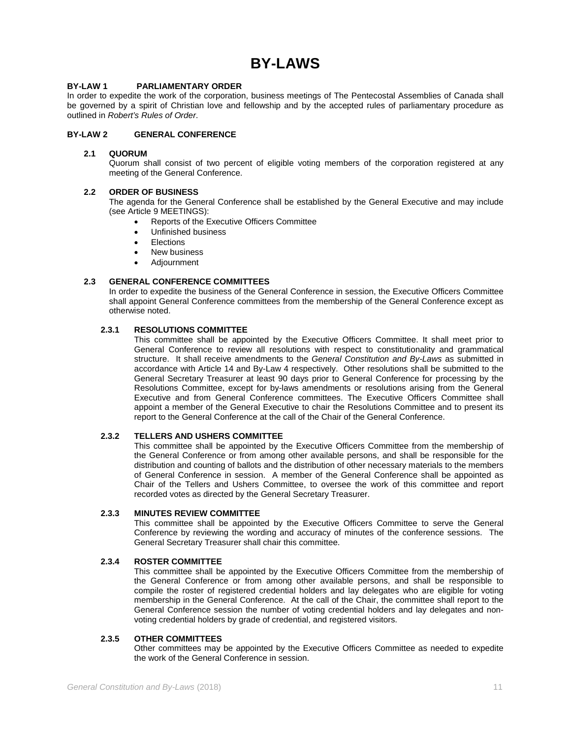# **BY-LAWS**

# **BY-LAW 1 PARLIAMENTARY ORDER**

In order to expedite the work of the corporation, business meetings of The Pentecostal Assemblies of Canada shall be governed by a spirit of Christian love and fellowship and by the accepted rules of parliamentary procedure as outlined in *Robert's Rules of Order*.

# **BY-LAW 2 GENERAL CONFERENCE**

# **2.1 QUORUM**

Quorum shall consist of two percent of eligible voting members of the corporation registered at any meeting of the General Conference.

#### **2.2 ORDER OF BUSINESS**

The agenda for the General Conference shall be established by the General Executive and may include (see Article 9 MEETINGS):

- Reports of the Executive Officers Committee
- Unfinished business
- **Elections**
- New business
- Adjournment

# **2.3 GENERAL CONFERENCE COMMITTEES**

In order to expedite the business of the General Conference in session, the Executive Officers Committee shall appoint General Conference committees from the membership of the General Conference except as otherwise noted.

# **2.3.1 RESOLUTIONS COMMITTEE**

This committee shall be appointed by the Executive Officers Committee. It shall meet prior to General Conference to review all resolutions with respect to constitutionality and grammatical structure. It shall receive amendments to the *General Constitution and By-Laws* as submitted in accordance with Article 14 and By-Law 4 respectively. Other resolutions shall be submitted to the General Secretary Treasurer at least 90 days prior to General Conference for processing by the Resolutions Committee, except for by-laws amendments or resolutions arising from the General Executive and from General Conference committees. The Executive Officers Committee shall appoint a member of the General Executive to chair the Resolutions Committee and to present its report to the General Conference at the call of the Chair of the General Conference.

# **2.3.2 TELLERS AND USHERS COMMITTEE**

This committee shall be appointed by the Executive Officers Committee from the membership of the General Conference or from among other available persons, and shall be responsible for the distribution and counting of ballots and the distribution of other necessary materials to the members of General Conference in session. A member of the General Conference shall be appointed as Chair of the Tellers and Ushers Committee, to oversee the work of this committee and report recorded votes as directed by the General Secretary Treasurer.

#### **2.3.3 MINUTES REVIEW COMMITTEE**

This committee shall be appointed by the Executive Officers Committee to serve the General Conference by reviewing the wording and accuracy of minutes of the conference sessions. The General Secretary Treasurer shall chair this committee.

# **2.3.4 ROSTER COMMITTEE**

This committee shall be appointed by the Executive Officers Committee from the membership of the General Conference or from among other available persons, and shall be responsible to compile the roster of registered credential holders and lay delegates who are eligible for voting membership in the General Conference. At the call of the Chair, the committee shall report to the General Conference session the number of voting credential holders and lay delegates and nonvoting credential holders by grade of credential, and registered visitors.

#### **2.3.5 OTHER COMMITTEES**

Other committees may be appointed by the Executive Officers Committee as needed to expedite the work of the General Conference in session.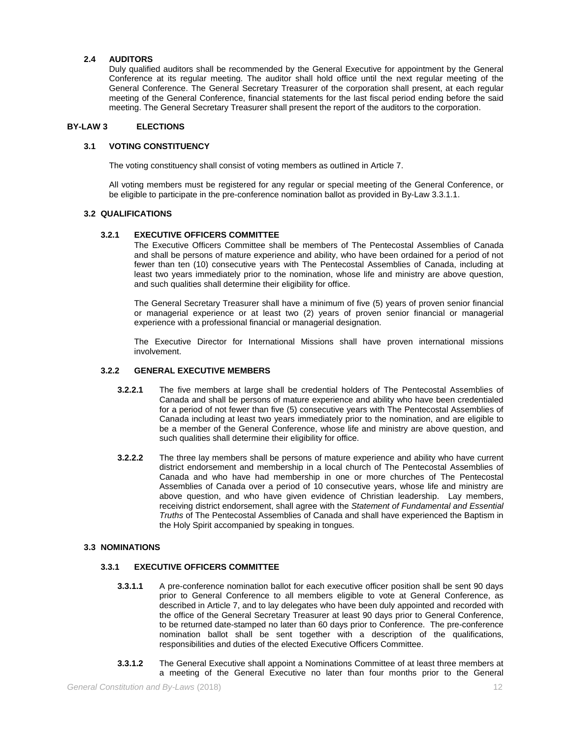# **2.4 AUDITORS**

Duly qualified auditors shall be recommended by the General Executive for appointment by the General Conference at its regular meeting. The auditor shall hold office until the next regular meeting of the General Conference. The General Secretary Treasurer of the corporation shall present, at each regular meeting of the General Conference, financial statements for the last fiscal period ending before the said meeting. The General Secretary Treasurer shall present the report of the auditors to the corporation.

# **BY-LAW 3 ELECTIONS**

# **3.1 VOTING CONSTITUENCY**

The voting constituency shall consist of voting members as outlined in Article 7.

All voting members must be registered for any regular or special meeting of the General Conference, or be eligible to participate in the pre-conference nomination ballot as provided in By-Law 3.3.1.1.

#### **3.2 QUALIFICATIONS**

#### **3.2.1 EXECUTIVE OFFICERS COMMITTEE**

The Executive Officers Committee shall be members of The Pentecostal Assemblies of Canada and shall be persons of mature experience and ability, who have been ordained for a period of not fewer than ten (10) consecutive years with The Pentecostal Assemblies of Canada, including at least two years immediately prior to the nomination, whose life and ministry are above question, and such qualities shall determine their eligibility for office.

The General Secretary Treasurer shall have a minimum of five (5) years of proven senior financial or managerial experience or at least two (2) years of proven senior financial or managerial experience with a professional financial or managerial designation.

The Executive Director for International Missions shall have proven international missions involvement.

# **3.2.2 GENERAL EXECUTIVE MEMBERS**

- **3.2.2.1** The five members at large shall be credential holders of The Pentecostal Assemblies of Canada and shall be persons of mature experience and ability who have been credentialed for a period of not fewer than five (5) consecutive years with The Pentecostal Assemblies of Canada including at least two years immediately prior to the nomination, and are eligible to be a member of the General Conference, whose life and ministry are above question, and such qualities shall determine their eligibility for office.
- **3.2.2.2** The three lay members shall be persons of mature experience and ability who have current district endorsement and membership in a local church of The Pentecostal Assemblies of Canada and who have had membership in one or more churches of The Pentecostal Assemblies of Canada over a period of 10 consecutive years, whose life and ministry are above question, and who have given evidence of Christian leadership. Lay members, receiving district endorsement, shall agree with the *Statement of Fundamental and Essential Truths* of The Pentecostal Assemblies of Canada and shall have experienced the Baptism in the Holy Spirit accompanied by speaking in tongues.

# **3.3 NOMINATIONS**

# **3.3.1 EXECUTIVE OFFICERS COMMITTEE**

- **3.3.1.1** A pre-conference nomination ballot for each executive officer position shall be sent 90 days prior to General Conference to all members eligible to vote at General Conference, as described in Article 7, and to lay delegates who have been duly appointed and recorded with the office of the General Secretary Treasurer at least 90 days prior to General Conference, to be returned date-stamped no later than 60 days prior to Conference. The pre-conference nomination ballot shall be sent together with a description of the qualifications, responsibilities and duties of the elected Executive Officers Committee.
- **3.3.1.2** The General Executive shall appoint a Nominations Committee of at least three members at a meeting of the General Executive no later than four months prior to the General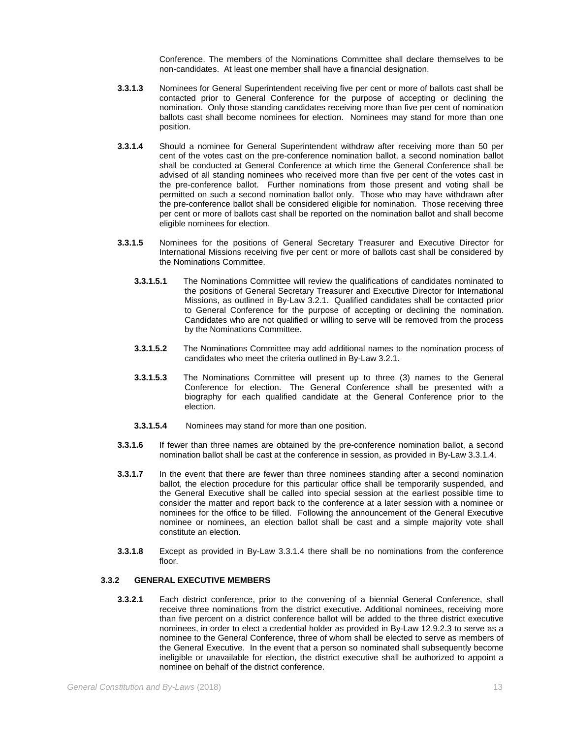Conference. The members of the Nominations Committee shall declare themselves to be non-candidates. At least one member shall have a financial designation.

- **3.3.1.3** Nominees for General Superintendent receiving five per cent or more of ballots cast shall be contacted prior to General Conference for the purpose of accepting or declining the nomination. Only those standing candidates receiving more than five per cent of nomination ballots cast shall become nominees for election. Nominees may stand for more than one position.
- **3.3.1.4** Should a nominee for General Superintendent withdraw after receiving more than 50 per cent of the votes cast on the pre-conference nomination ballot, a second nomination ballot shall be conducted at General Conference at which time the General Conference shall be advised of all standing nominees who received more than five per cent of the votes cast in the pre-conference ballot. Further nominations from those present and voting shall be permitted on such a second nomination ballot only. Those who may have withdrawn after the pre-conference ballot shall be considered eligible for nomination. Those receiving three per cent or more of ballots cast shall be reported on the nomination ballot and shall become eligible nominees for election.
- **3.3.1.5** Nominees for the positions of General Secretary Treasurer and Executive Director for International Missions receiving five per cent or more of ballots cast shall be considered by the Nominations Committee.
	- **3.3.1.5.1** The Nominations Committee will review the qualifications of candidates nominated to the positions of General Secretary Treasurer and Executive Director for International Missions, as outlined in By-Law 3.2.1. Qualified candidates shall be contacted prior to General Conference for the purpose of accepting or declining the nomination. Candidates who are not qualified or willing to serve will be removed from the process by the Nominations Committee.
	- **3.3.1.5.2** The Nominations Committee may add additional names to the nomination process of candidates who meet the criteria outlined in By-Law 3.2.1.
	- **3.3.1.5.3** The Nominations Committee will present up to three (3) names to the General Conference for election. The General Conference shall be presented with a biography for each qualified candidate at the General Conference prior to the election.
	- **3.3.1.5.4** Nominees may stand for more than one position.
- **3.3.1.6** If fewer than three names are obtained by the pre-conference nomination ballot, a second nomination ballot shall be cast at the conference in session, as provided in By-Law 3.3.1.4.
- **3.3.1.7** In the event that there are fewer than three nominees standing after a second nomination ballot, the election procedure for this particular office shall be temporarily suspended, and the General Executive shall be called into special session at the earliest possible time to consider the matter and report back to the conference at a later session with a nominee or nominees for the office to be filled. Following the announcement of the General Executive nominee or nominees, an election ballot shall be cast and a simple majority vote shall constitute an election.
- **3.3.1.8** Except as provided in By-Law 3.3.1.4 there shall be no nominations from the conference floor.

# **3.3.2 GENERAL EXECUTIVE MEMBERS**

**3.3.2.1** Each district conference, prior to the convening of a biennial General Conference, shall receive three nominations from the district executive. Additional nominees, receiving more than five percent on a district conference ballot will be added to the three district executive nominees, in order to elect a credential holder as provided in By-Law 12.9.2.3 to serve as a nominee to the General Conference, three of whom shall be elected to serve as members of the General Executive. In the event that a person so nominated shall subsequently become ineligible or unavailable for election, the district executive shall be authorized to appoint a nominee on behalf of the district conference.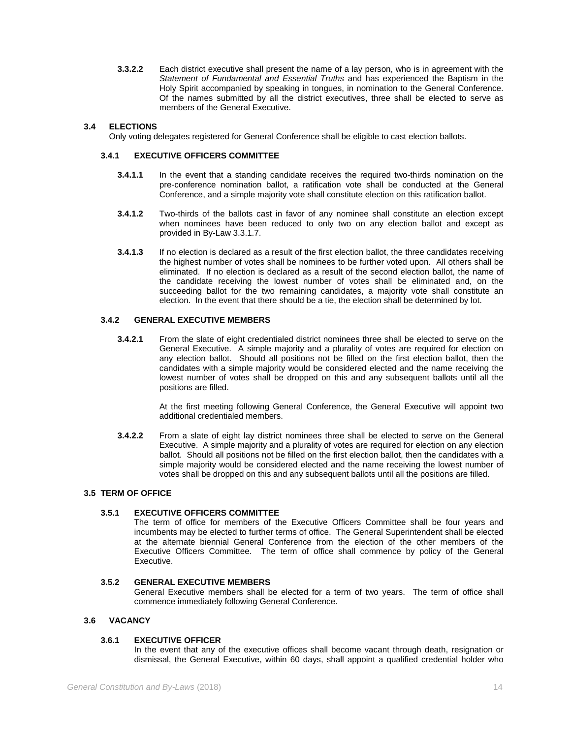**3.3.2.2** Each district executive shall present the name of a lay person, who is in agreement with the *Statement of Fundamental and Essential Truths* and has experienced the Baptism in the Holy Spirit accompanied by speaking in tongues, in nomination to the General Conference. Of the names submitted by all the district executives, three shall be elected to serve as members of the General Executive.

# **3.4 ELECTIONS**

Only voting delegates registered for General Conference shall be eligible to cast election ballots.

# **3.4.1 EXECUTIVE OFFICERS COMMITTEE**

- **3.4.1.1** In the event that a standing candidate receives the required two-thirds nomination on the pre-conference nomination ballot, a ratification vote shall be conducted at the General Conference, and a simple majority vote shall constitute election on this ratification ballot.
- **3.4.1.2** Two-thirds of the ballots cast in favor of any nominee shall constitute an election except when nominees have been reduced to only two on any election ballot and except as provided in By-Law 3.3.1.7.
- **3.4.1.3** If no election is declared as a result of the first election ballot, the three candidates receiving the highest number of votes shall be nominees to be further voted upon. All others shall be eliminated. If no election is declared as a result of the second election ballot, the name of the candidate receiving the lowest number of votes shall be eliminated and, on the succeeding ballot for the two remaining candidates, a majority vote shall constitute an election. In the event that there should be a tie, the election shall be determined by lot.

# **3.4.2 GENERAL EXECUTIVE MEMBERS**

**3.4.2.1** From the slate of eight credentialed district nominees three shall be elected to serve on the General Executive. A simple majority and a plurality of votes are required for election on any election ballot. Should all positions not be filled on the first election ballot, then the candidates with a simple majority would be considered elected and the name receiving the lowest number of votes shall be dropped on this and any subsequent ballots until all the positions are filled.

> At the first meeting following General Conference, the General Executive will appoint two additional credentialed members.

**3.4.2.2** From a slate of eight lay district nominees three shall be elected to serve on the General Executive. A simple majority and a plurality of votes are required for election on any election ballot. Should all positions not be filled on the first election ballot, then the candidates with a simple majority would be considered elected and the name receiving the lowest number of votes shall be dropped on this and any subsequent ballots until all the positions are filled.

# **3.5 TERM OF OFFICE**

# **3.5.1 EXECUTIVE OFFICERS COMMITTEE**

The term of office for members of the Executive Officers Committee shall be four years and incumbents may be elected to further terms of office. The General Superintendent shall be elected at the alternate biennial General Conference from the election of the other members of the Executive Officers Committee. The term of office shall commence by policy of the General Executive.

# **3.5.2 GENERAL EXECUTIVE MEMBERS**

General Executive members shall be elected for a term of two years. The term of office shall commence immediately following General Conference.

# **3.6 VACANCY**

# **3.6.1 EXECUTIVE OFFICER**

In the event that any of the executive offices shall become vacant through death, resignation or dismissal, the General Executive, within 60 days, shall appoint a qualified credential holder who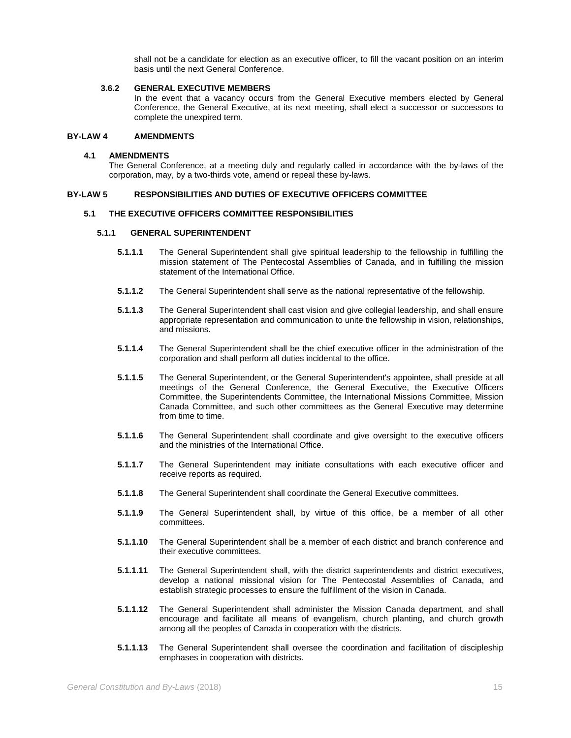shall not be a candidate for election as an executive officer, to fill the vacant position on an interim basis until the next General Conference.

# **3.6.2 GENERAL EXECUTIVE MEMBERS**

In the event that a vacancy occurs from the General Executive members elected by General Conference, the General Executive, at its next meeting, shall elect a successor or successors to complete the unexpired term.

### **BY-LAW 4 AMENDMENTS**

#### **4.1 AMENDMENTS**

The General Conference, at a meeting duly and regularly called in accordance with the by-laws of the corporation, may, by a two-thirds vote, amend or repeal these by-laws.

# **BY-LAW 5 RESPONSIBILITIES AND DUTIES OF EXECUTIVE OFFICERS COMMITTEE**

#### **5.1 THE EXECUTIVE OFFICERS COMMITTEE RESPONSIBILITIES**

#### **5.1.1 GENERAL SUPERINTENDENT**

- **5.1.1.1** The General Superintendent shall give spiritual leadership to the fellowship in fulfilling the mission statement of The Pentecostal Assemblies of Canada, and in fulfilling the mission statement of the International Office.
- **5.1.1.2** The General Superintendent shall serve as the national representative of the fellowship.
- **5.1.1.3** The General Superintendent shall cast vision and give collegial leadership, and shall ensure appropriate representation and communication to unite the fellowship in vision, relationships, and missions.
- **5.1.1.4** The General Superintendent shall be the chief executive officer in the administration of the corporation and shall perform all duties incidental to the office.
- **5.1.1.5** The General Superintendent, or the General Superintendent's appointee, shall preside at all meetings of the General Conference, the General Executive, the Executive Officers Committee, the Superintendents Committee, the International Missions Committee, Mission Canada Committee, and such other committees as the General Executive may determine from time to time.
- **5.1.1.6** The General Superintendent shall coordinate and give oversight to the executive officers and the ministries of the International Office.
- **5.1.1.7** The General Superintendent may initiate consultations with each executive officer and receive reports as required.
- **5.1.1.8** The General Superintendent shall coordinate the General Executive committees.
- **5.1.1.9** The General Superintendent shall, by virtue of this office, be a member of all other committees.
- **5.1.1.10** The General Superintendent shall be a member of each district and branch conference and their executive committees.
- **5.1.1.11** The General Superintendent shall, with the district superintendents and district executives, develop a national missional vision for The Pentecostal Assemblies of Canada, and establish strategic processes to ensure the fulfillment of the vision in Canada.
- **5.1.1.12** The General Superintendent shall administer the Mission Canada department, and shall encourage and facilitate all means of evangelism, church planting, and church growth among all the peoples of Canada in cooperation with the districts.
- **5.1.1.13** The General Superintendent shall oversee the coordination and facilitation of discipleship emphases in cooperation with districts.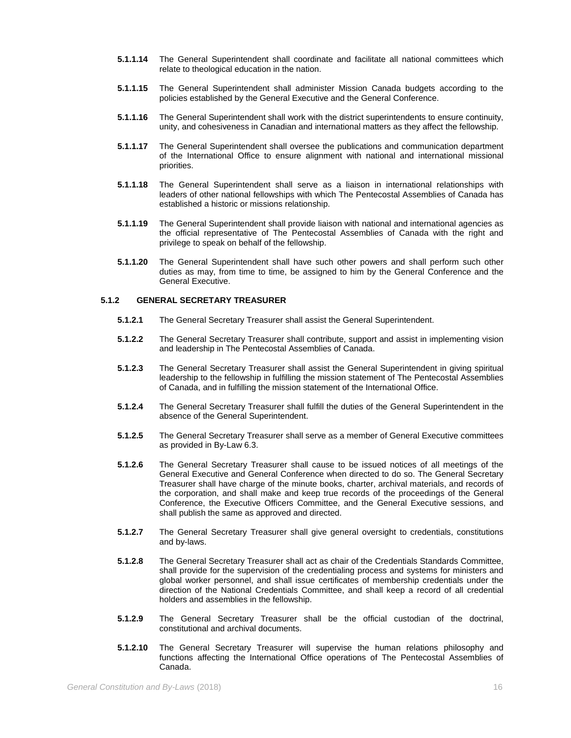- **5.1.1.14** The General Superintendent shall coordinate and facilitate all national committees which relate to theological education in the nation.
- **5.1.1.15** The General Superintendent shall administer Mission Canada budgets according to the policies established by the General Executive and the General Conference.
- **5.1.1.16** The General Superintendent shall work with the district superintendents to ensure continuity, unity, and cohesiveness in Canadian and international matters as they affect the fellowship.
- **5.1.1.17** The General Superintendent shall oversee the publications and communication department of the International Office to ensure alignment with national and international missional priorities.
- **5.1.1.18** The General Superintendent shall serve as a liaison in international relationships with leaders of other national fellowships with which The Pentecostal Assemblies of Canada has established a historic or missions relationship.
- **5.1.1.19** The General Superintendent shall provide liaison with national and international agencies as the official representative of The Pentecostal Assemblies of Canada with the right and privilege to speak on behalf of the fellowship.
- **5.1.1.20** The General Superintendent shall have such other powers and shall perform such other duties as may, from time to time, be assigned to him by the General Conference and the General Executive.

#### **5.1.2 GENERAL SECRETARY TREASURER**

- **5.1.2.1** The General Secretary Treasurer shall assist the General Superintendent.
- **5.1.2.2** The General Secretary Treasurer shall contribute, support and assist in implementing vision and leadership in The Pentecostal Assemblies of Canada.
- **5.1.2.3** The General Secretary Treasurer shall assist the General Superintendent in giving spiritual leadership to the fellowship in fulfilling the mission statement of The Pentecostal Assemblies of Canada, and in fulfilling the mission statement of the International Office.
- **5.1.2.4** The General Secretary Treasurer shall fulfill the duties of the General Superintendent in the absence of the General Superintendent.
- **5.1.2.5** The General Secretary Treasurer shall serve as a member of General Executive committees as provided in By-Law 6.3.
- **5.1.2.6** The General Secretary Treasurer shall cause to be issued notices of all meetings of the General Executive and General Conference when directed to do so. The General Secretary Treasurer shall have charge of the minute books, charter, archival materials, and records of the corporation, and shall make and keep true records of the proceedings of the General Conference, the Executive Officers Committee, and the General Executive sessions, and shall publish the same as approved and directed.
- **5.1.2.7** The General Secretary Treasurer shall give general oversight to credentials, constitutions and by-laws.
- **5.1.2.8** The General Secretary Treasurer shall act as chair of the Credentials Standards Committee, shall provide for the supervision of the credentialing process and systems for ministers and global worker personnel, and shall issue certificates of membership credentials under the direction of the National Credentials Committee, and shall keep a record of all credential holders and assemblies in the fellowship.
- **5.1.2.9** The General Secretary Treasurer shall be the official custodian of the doctrinal, constitutional and archival documents.
- **5.1.2.10** The General Secretary Treasurer will supervise the human relations philosophy and functions affecting the International Office operations of The Pentecostal Assemblies of Canada.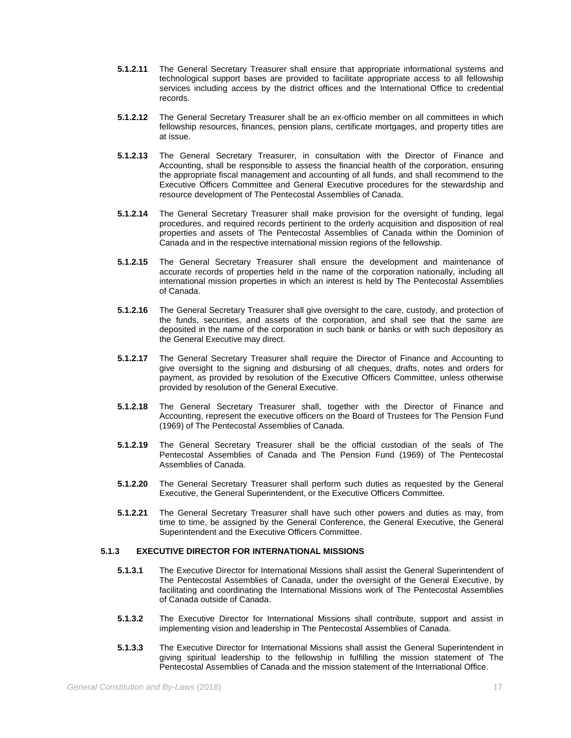- **5.1.2.11** The General Secretary Treasurer shall ensure that appropriate informational systems and technological support bases are provided to facilitate appropriate access to all fellowship services including access by the district offices and the International Office to credential records.
- **5.1.2.12** The General Secretary Treasurer shall be an ex-officio member on all committees in which fellowship resources, finances, pension plans, certificate mortgages, and property titles are at issue.
- **5.1.2.13** The General Secretary Treasurer, in consultation with the Director of Finance and Accounting, shall be responsible to assess the financial health of the corporation, ensuring the appropriate fiscal management and accounting of all funds, and shall recommend to the Executive Officers Committee and General Executive procedures for the stewardship and resource development of The Pentecostal Assemblies of Canada.
- **5.1.2.14** The General Secretary Treasurer shall make provision for the oversight of funding, legal procedures, and required records pertinent to the orderly acquisition and disposition of real properties and assets of The Pentecostal Assemblies of Canada within the Dominion of Canada and in the respective international mission regions of the fellowship.
- **5.1.2.15** The General Secretary Treasurer shall ensure the development and maintenance of accurate records of properties held in the name of the corporation nationally, including all international mission properties in which an interest is held by The Pentecostal Assemblies of Canada.
- **5.1.2.16** The General Secretary Treasurer shall give oversight to the care, custody, and protection of the funds, securities, and assets of the corporation, and shall see that the same are deposited in the name of the corporation in such bank or banks or with such depository as the General Executive may direct.
- **5.1.2.17** The General Secretary Treasurer shall require the Director of Finance and Accounting to give oversight to the signing and disbursing of all cheques, drafts, notes and orders for payment, as provided by resolution of the Executive Officers Committee, unless otherwise provided by resolution of the General Executive.
- **5.1.2.18** The General Secretary Treasurer shall, together with the Director of Finance and Accounting, represent the executive officers on the Board of Trustees for The Pension Fund (1969) of The Pentecostal Assemblies of Canada.
- **5.1.2.19** The General Secretary Treasurer shall be the official custodian of the seals of The Pentecostal Assemblies of Canada and The Pension Fund (1969) of The Pentecostal Assemblies of Canada.
- **5.1.2.20** The General Secretary Treasurer shall perform such duties as requested by the General Executive, the General Superintendent, or the Executive Officers Committee.
- **5.1.2.21** The General Secretary Treasurer shall have such other powers and duties as may, from time to time, be assigned by the General Conference, the General Executive, the General Superintendent and the Executive Officers Committee.

# **5.1.3 EXECUTIVE DIRECTOR FOR INTERNATIONAL MISSIONS**

- **5.1.3.1** The Executive Director for International Missions shall assist the General Superintendent of The Pentecostal Assemblies of Canada, under the oversight of the General Executive, by facilitating and coordinating the International Missions work of The Pentecostal Assemblies of Canada outside of Canada.
- **5.1.3.2** The Executive Director for International Missions shall contribute, support and assist in implementing vision and leadership in The Pentecostal Assemblies of Canada.
- **5.1.3.3** The Executive Director for International Missions shall assist the General Superintendent in giving spiritual leadership to the fellowship in fulfilling the mission statement of The Pentecostal Assemblies of Canada and the mission statement of the International Office.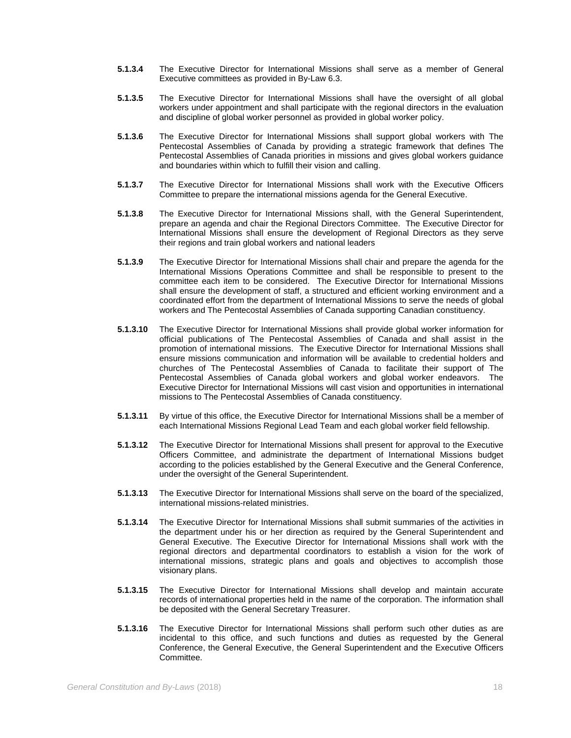- **5.1.3.4** The Executive Director for International Missions shall serve as a member of General Executive committees as provided in By-Law 6.3.
- **5.1.3.5** The Executive Director for International Missions shall have the oversight of all global workers under appointment and shall participate with the regional directors in the evaluation and discipline of global worker personnel as provided in global worker policy.
- **5.1.3.6** The Executive Director for International Missions shall support global workers with The Pentecostal Assemblies of Canada by providing a strategic framework that defines The Pentecostal Assemblies of Canada priorities in missions and gives global workers guidance and boundaries within which to fulfill their vision and calling.
- **5.1.3.7** The Executive Director for International Missions shall work with the Executive Officers Committee to prepare the international missions agenda for the General Executive.
- **5.1.3.8** The Executive Director for International Missions shall, with the General Superintendent, prepare an agenda and chair the Regional Directors Committee. The Executive Director for International Missions shall ensure the development of Regional Directors as they serve their regions and train global workers and national leaders
- **5.1.3.9** The Executive Director for International Missions shall chair and prepare the agenda for the International Missions Operations Committee and shall be responsible to present to the committee each item to be considered. The Executive Director for International Missions shall ensure the development of staff, a structured and efficient working environment and a coordinated effort from the department of International Missions to serve the needs of global workers and The Pentecostal Assemblies of Canada supporting Canadian constituency.
- **5.1.3.10** The Executive Director for International Missions shall provide global worker information for official publications of The Pentecostal Assemblies of Canada and shall assist in the promotion of international missions. The Executive Director for International Missions shall ensure missions communication and information will be available to credential holders and churches of The Pentecostal Assemblies of Canada to facilitate their support of The Pentecostal Assemblies of Canada global workers and global worker endeavors. The Executive Director for International Missions will cast vision and opportunities in international missions to The Pentecostal Assemblies of Canada constituency.
- **5.1.3.11** By virtue of this office, the Executive Director for International Missions shall be a member of each International Missions Regional Lead Team and each global worker field fellowship.
- **5.1.3.12** The Executive Director for International Missions shall present for approval to the Executive Officers Committee, and administrate the department of International Missions budget according to the policies established by the General Executive and the General Conference, under the oversight of the General Superintendent.
- **5.1.3.13** The Executive Director for International Missions shall serve on the board of the specialized, international missions-related ministries.
- **5.1.3.14** The Executive Director for International Missions shall submit summaries of the activities in the department under his or her direction as required by the General Superintendent and General Executive. The Executive Director for International Missions shall work with the regional directors and departmental coordinators to establish a vision for the work of international missions, strategic plans and goals and objectives to accomplish those visionary plans.
- **5.1.3.15** The Executive Director for International Missions shall develop and maintain accurate records of international properties held in the name of the corporation. The information shall be deposited with the General Secretary Treasurer.
- **5.1.3.16** The Executive Director for International Missions shall perform such other duties as are incidental to this office, and such functions and duties as requested by the General Conference, the General Executive, the General Superintendent and the Executive Officers Committee.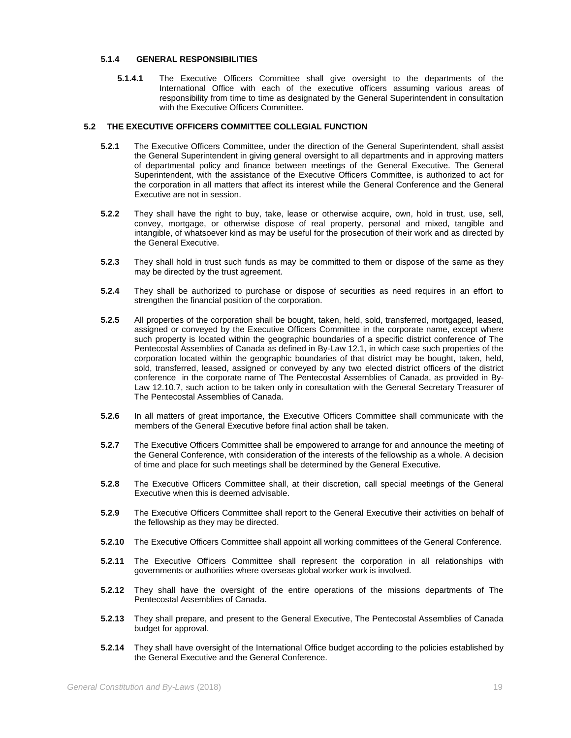# **5.1.4 GENERAL RESPONSIBILITIES**

**5.1.4.1** The Executive Officers Committee shall give oversight to the departments of the International Office with each of the executive officers assuming various areas of responsibility from time to time as designated by the General Superintendent in consultation with the Executive Officers Committee.

# **5.2 THE EXECUTIVE OFFICERS COMMITTEE COLLEGIAL FUNCTION**

- **5.2.1** The Executive Officers Committee, under the direction of the General Superintendent, shall assist the General Superintendent in giving general oversight to all departments and in approving matters of departmental policy and finance between meetings of the General Executive. The General Superintendent, with the assistance of the Executive Officers Committee, is authorized to act for the corporation in all matters that affect its interest while the General Conference and the General Executive are not in session.
- **5.2.2** They shall have the right to buy, take, lease or otherwise acquire, own, hold in trust, use, sell, convey, mortgage, or otherwise dispose of real property, personal and mixed, tangible and intangible, of whatsoever kind as may be useful for the prosecution of their work and as directed by the General Executive.
- **5.2.3** They shall hold in trust such funds as may be committed to them or dispose of the same as they may be directed by the trust agreement.
- **5.2.4** They shall be authorized to purchase or dispose of securities as need requires in an effort to strengthen the financial position of the corporation.
- **5.2.5** All properties of the corporation shall be bought, taken, held, sold, transferred, mortgaged, leased, assigned or conveyed by the Executive Officers Committee in the corporate name, except where such property is located within the geographic boundaries of a specific district conference of The Pentecostal Assemblies of Canada as defined in By-Law 12.1, in which case such properties of the corporation located within the geographic boundaries of that district may be bought, taken, held, sold, transferred, leased, assigned or conveyed by any two elected district officers of the district conference in the corporate name of The Pentecostal Assemblies of Canada, as provided in By-Law 12.10.7, such action to be taken only in consultation with the General Secretary Treasurer of The Pentecostal Assemblies of Canada.
- **5.2.6** In all matters of great importance, the Executive Officers Committee shall communicate with the members of the General Executive before final action shall be taken.
- **5.2.7** The Executive Officers Committee shall be empowered to arrange for and announce the meeting of the General Conference, with consideration of the interests of the fellowship as a whole. A decision of time and place for such meetings shall be determined by the General Executive.
- **5.2.8** The Executive Officers Committee shall, at their discretion, call special meetings of the General Executive when this is deemed advisable.
- **5.2.9** The Executive Officers Committee shall report to the General Executive their activities on behalf of the fellowship as they may be directed.
- **5.2.10** The Executive Officers Committee shall appoint all working committees of the General Conference.
- **5.2.11** The Executive Officers Committee shall represent the corporation in all relationships with governments or authorities where overseas global worker work is involved.
- **5.2.12** They shall have the oversight of the entire operations of the missions departments of The Pentecostal Assemblies of Canada.
- **5.2.13** They shall prepare, and present to the General Executive, The Pentecostal Assemblies of Canada budget for approval.
- **5.2.14** They shall have oversight of the International Office budget according to the policies established by the General Executive and the General Conference.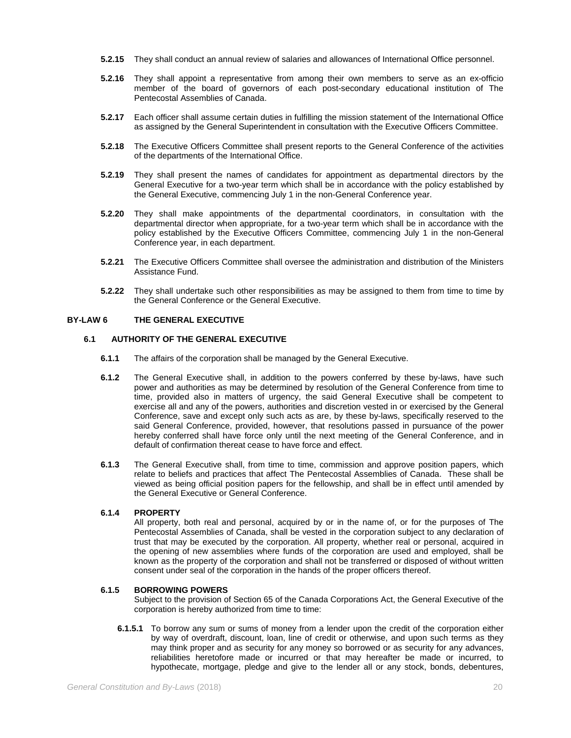- **5.2.15** They shall conduct an annual review of salaries and allowances of International Office personnel.
- **5.2.16** They shall appoint a representative from among their own members to serve as an ex-officio member of the board of governors of each post-secondary educational institution of The Pentecostal Assemblies of Canada.
- **5.2.17** Each officer shall assume certain duties in fulfilling the mission statement of the International Office as assigned by the General Superintendent in consultation with the Executive Officers Committee.
- **5.2.18** The Executive Officers Committee shall present reports to the General Conference of the activities of the departments of the International Office.
- **5.2.19** They shall present the names of candidates for appointment as departmental directors by the General Executive for a two-year term which shall be in accordance with the policy established by the General Executive, commencing July 1 in the non-General Conference year.
- **5.2.20** They shall make appointments of the departmental coordinators, in consultation with the departmental director when appropriate, for a two-year term which shall be in accordance with the policy established by the Executive Officers Committee, commencing July 1 in the non-General Conference year, in each department.
- **5.2.21** The Executive Officers Committee shall oversee the administration and distribution of the Ministers Assistance Fund.
- **5.2.22** They shall undertake such other responsibilities as may be assigned to them from time to time by the General Conference or the General Executive.

# **BY-LAW 6 THE GENERAL EXECUTIVE**

#### **6.1 AUTHORITY OF THE GENERAL EXECUTIVE**

- **6.1.1** The affairs of the corporation shall be managed by the General Executive.
- **6.1.2** The General Executive shall, in addition to the powers conferred by these by-laws, have such power and authorities as may be determined by resolution of the General Conference from time to time, provided also in matters of urgency, the said General Executive shall be competent to exercise all and any of the powers, authorities and discretion vested in or exercised by the General Conference, save and except only such acts as are, by these by-laws, specifically reserved to the said General Conference, provided, however, that resolutions passed in pursuance of the power hereby conferred shall have force only until the next meeting of the General Conference, and in default of confirmation thereat cease to have force and effect.
- **6.1.3** The General Executive shall, from time to time, commission and approve position papers, which relate to beliefs and practices that affect The Pentecostal Assemblies of Canada. These shall be viewed as being official position papers for the fellowship, and shall be in effect until amended by the General Executive or General Conference.

# **6.1.4 PROPERTY**

All property, both real and personal, acquired by or in the name of, or for the purposes of The Pentecostal Assemblies of Canada, shall be vested in the corporation subject to any declaration of trust that may be executed by the corporation. All property, whether real or personal, acquired in the opening of new assemblies where funds of the corporation are used and employed, shall be known as the property of the corporation and shall not be transferred or disposed of without written consent under seal of the corporation in the hands of the proper officers thereof.

#### **6.1.5 BORROWING POWERS**

Subject to the provision of Section 65 of the Canada Corporations Act, the General Executive of the corporation is hereby authorized from time to time:

**6.1.5.1** To borrow any sum or sums of money from a lender upon the credit of the corporation either by way of overdraft, discount, loan, line of credit or otherwise, and upon such terms as they may think proper and as security for any money so borrowed or as security for any advances, reliabilities heretofore made or incurred or that may hereafter be made or incurred, to hypothecate, mortgage, pledge and give to the lender all or any stock, bonds, debentures,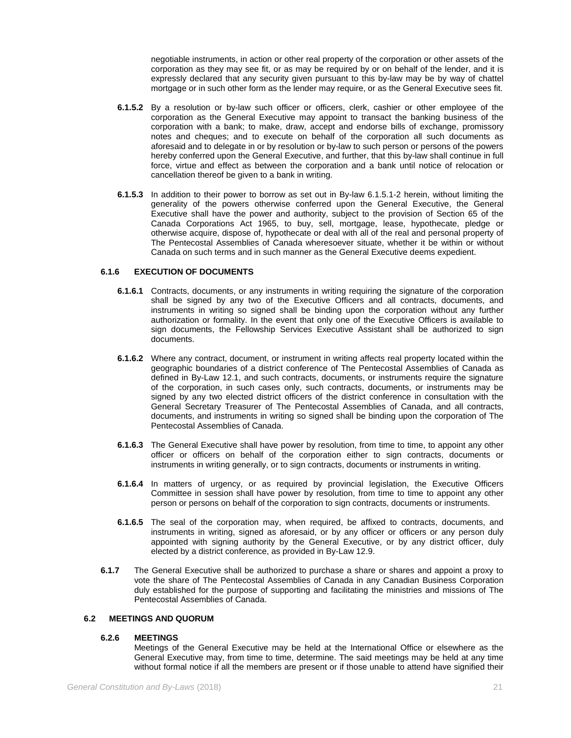negotiable instruments, in action or other real property of the corporation or other assets of the corporation as they may see fit, or as may be required by or on behalf of the lender, and it is expressly declared that any security given pursuant to this by-law may be by way of chattel mortgage or in such other form as the lender may require, or as the General Executive sees fit.

- **6.1.5.2** By a resolution or by-law such officer or officers, clerk, cashier or other employee of the corporation as the General Executive may appoint to transact the banking business of the corporation with a bank; to make, draw, accept and endorse bills of exchange, promissory notes and cheques; and to execute on behalf of the corporation all such documents as aforesaid and to delegate in or by resolution or by-law to such person or persons of the powers hereby conferred upon the General Executive, and further, that this by-law shall continue in full force, virtue and effect as between the corporation and a bank until notice of relocation or cancellation thereof be given to a bank in writing.
- **6.1.5.3** In addition to their power to borrow as set out in By-law 6.1.5.1-2 herein, without limiting the generality of the powers otherwise conferred upon the General Executive, the General Executive shall have the power and authority, subject to the provision of Section 65 of the Canada Corporations Act 1965, to buy, sell, mortgage, lease, hypothecate, pledge or otherwise acquire, dispose of, hypothecate or deal with all of the real and personal property of The Pentecostal Assemblies of Canada wheresoever situate, whether it be within or without Canada on such terms and in such manner as the General Executive deems expedient.

# **6.1.6 EXECUTION OF DOCUMENTS**

- **6.1.6.1** Contracts, documents, or any instruments in writing requiring the signature of the corporation shall be signed by any two of the Executive Officers and all contracts, documents, and instruments in writing so signed shall be binding upon the corporation without any further authorization or formality. In the event that only one of the Executive Officers is available to sign documents, the Fellowship Services Executive Assistant shall be authorized to sign documents.
- **6.1.6.2** Where any contract, document, or instrument in writing affects real property located within the geographic boundaries of a district conference of The Pentecostal Assemblies of Canada as defined in By-Law 12.1, and such contracts, documents, or instruments require the signature of the corporation, in such cases only, such contracts, documents, or instruments may be signed by any two elected district officers of the district conference in consultation with the General Secretary Treasurer of The Pentecostal Assemblies of Canada, and all contracts, documents, and instruments in writing so signed shall be binding upon the corporation of The Pentecostal Assemblies of Canada.
- **6.1.6.3** The General Executive shall have power by resolution, from time to time, to appoint any other officer or officers on behalf of the corporation either to sign contracts, documents or instruments in writing generally, or to sign contracts, documents or instruments in writing.
- **6.1.6.4** In matters of urgency, or as required by provincial legislation, the Executive Officers Committee in session shall have power by resolution, from time to time to appoint any other person or persons on behalf of the corporation to sign contracts, documents or instruments.
- **6.1.6.5** The seal of the corporation may, when required, be affixed to contracts, documents, and instruments in writing, signed as aforesaid, or by any officer or officers or any person duly appointed with signing authority by the General Executive, or by any district officer, duly elected by a district conference, as provided in By-Law 12.9.
- **6.1.7** The General Executive shall be authorized to purchase a share or shares and appoint a proxy to vote the share of The Pentecostal Assemblies of Canada in any Canadian Business Corporation duly established for the purpose of supporting and facilitating the ministries and missions of The Pentecostal Assemblies of Canada.

# **6.2 MEETINGS AND QUORUM**

# **6.2.6 MEETINGS**

Meetings of the General Executive may be held at the International Office or elsewhere as the General Executive may, from time to time, determine. The said meetings may be held at any time without formal notice if all the members are present or if those unable to attend have signified their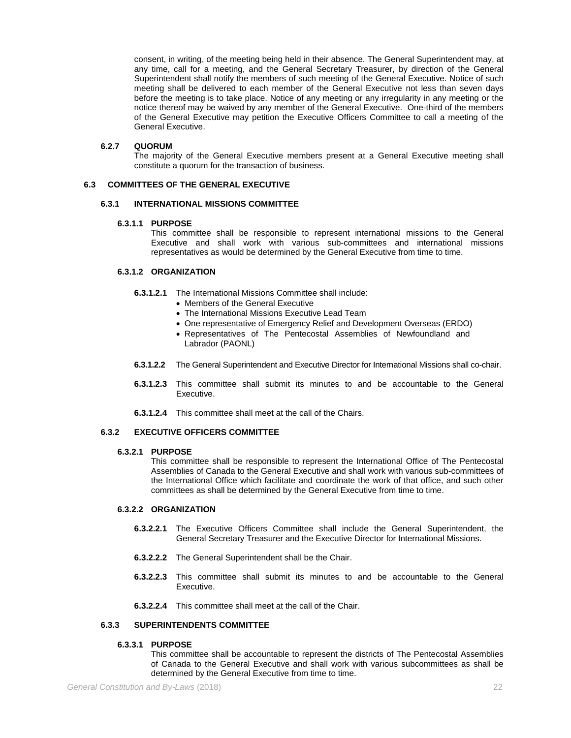consent, in writing, of the meeting being held in their absence. The General Superintendent may, at any time, call for a meeting, and the General Secretary Treasurer, by direction of the General Superintendent shall notify the members of such meeting of the General Executive. Notice of such meeting shall be delivered to each member of the General Executive not less than seven days before the meeting is to take place. Notice of any meeting or any irregularity in any meeting or the notice thereof may be waived by any member of the General Executive. One-third of the members of the General Executive may petition the Executive Officers Committee to call a meeting of the General Executive.

# **6.2.7 QUORUM**

The majority of the General Executive members present at a General Executive meeting shall constitute a quorum for the transaction of business.

# **6.3 COMMITTEES OF THE GENERAL EXECUTIVE**

#### **6.3.1 INTERNATIONAL MISSIONS COMMITTEE**

# **6.3.1.1 PURPOSE**

This committee shall be responsible to represent international missions to the General Executive and shall work with various sub-committees and international missions representatives as would be determined by the General Executive from time to time.

# **6.3.1.2 ORGANIZATION**

- **6.3.1.2.1** The International Missions Committee shall include:
	- Members of the General Executive
		- The International Missions Executive Lead Team
		- One representative of Emergency Relief and Development Overseas (ERDO)
		- Representatives of The Pentecostal Assemblies of Newfoundland and Labrador (PAONL)
- **6.3.1.2.2** The General Superintendent and Executive Director for International Missions shall co-chair.
- **6.3.1.2.3** This committee shall submit its minutes to and be accountable to the General Executive.
- **6.3.1.2.4** This committee shall meet at the call of the Chairs.

# **6.3.2 EXECUTIVE OFFICERS COMMITTEE**

#### **6.3.2.1 PURPOSE**

This committee shall be responsible to represent the International Office of The Pentecostal Assemblies of Canada to the General Executive and shall work with various sub-committees of the International Office which facilitate and coordinate the work of that office, and such other committees as shall be determined by the General Executive from time to time.

#### **6.3.2.2 ORGANIZATION**

- **6.3.2.2.1** The Executive Officers Committee shall include the General Superintendent, the General Secretary Treasurer and the Executive Director for International Missions.
- **6.3.2.2.2** The General Superintendent shall be the Chair.
- **6.3.2.2.3** This committee shall submit its minutes to and be accountable to the General Executive.
- **6.3.2.2.4** This committee shall meet at the call of the Chair.

# **6.3.3 SUPERINTENDENTS COMMITTEE**

# **6.3.3.1 PURPOSE**

This committee shall be accountable to represent the districts of The Pentecostal Assemblies of Canada to the General Executive and shall work with various subcommittees as shall be determined by the General Executive from time to time.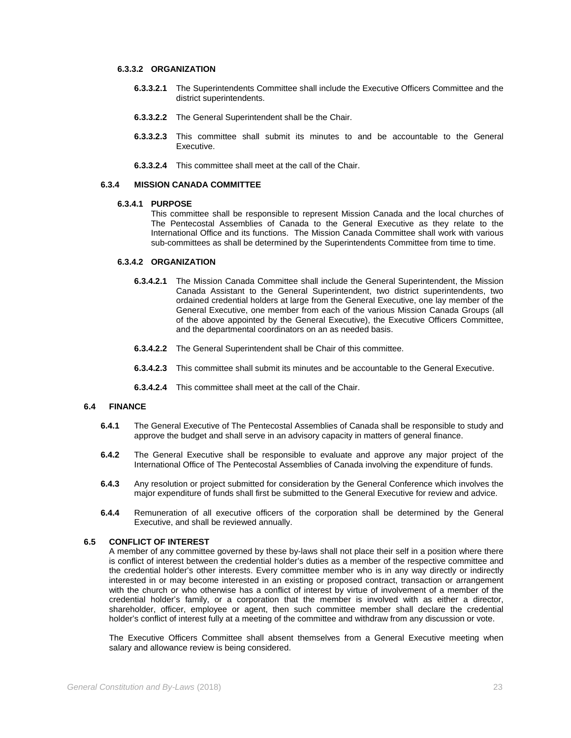#### **6.3.3.2 ORGANIZATION**

- **6.3.3.2.1** The Superintendents Committee shall include the Executive Officers Committee and the district superintendents.
- **6.3.3.2.2** The General Superintendent shall be the Chair.
- **6.3.3.2.3** This committee shall submit its minutes to and be accountable to the General Executive.
- **6.3.3.2.4** This committee shall meet at the call of the Chair.

# **6.3.4 MISSION CANADA COMMITTEE**

#### **6.3.4.1 PURPOSE**

This committee shall be responsible to represent Mission Canada and the local churches of The Pentecostal Assemblies of Canada to the General Executive as they relate to the International Office and its functions. The Mission Canada Committee shall work with various sub-committees as shall be determined by the Superintendents Committee from time to time.

# **6.3.4.2 ORGANIZATION**

- **6.3.4.2.1** The Mission Canada Committee shall include the General Superintendent, the Mission Canada Assistant to the General Superintendent, two district superintendents, two ordained credential holders at large from the General Executive, one lay member of the General Executive, one member from each of the various Mission Canada Groups (all of the above appointed by the General Executive), the Executive Officers Committee, and the departmental coordinators on an as needed basis.
- **6.3.4.2.2** The General Superintendent shall be Chair of this committee.
- **6.3.4.2.3** This committee shall submit its minutes and be accountable to the General Executive.
- **6.3.4.2.4** This committee shall meet at the call of the Chair.

#### **6.4 FINANCE**

- **6.4.1** The General Executive of The Pentecostal Assemblies of Canada shall be responsible to study and approve the budget and shall serve in an advisory capacity in matters of general finance.
- **6.4.2** The General Executive shall be responsible to evaluate and approve any major project of the International Office of The Pentecostal Assemblies of Canada involving the expenditure of funds.
- **6.4.3** Any resolution or project submitted for consideration by the General Conference which involves the major expenditure of funds shall first be submitted to the General Executive for review and advice.
- **6.4.4** Remuneration of all executive officers of the corporation shall be determined by the General Executive, and shall be reviewed annually.

#### **6.5 CONFLICT OF INTEREST**

A member of any committee governed by these by-laws shall not place their self in a position where there is conflict of interest between the credential holder's duties as a member of the respective committee and the credential holder's other interests. Every committee member who is in any way directly or indirectly interested in or may become interested in an existing or proposed contract, transaction or arrangement with the church or who otherwise has a conflict of interest by virtue of involvement of a member of the credential holder's family, or a corporation that the member is involved with as either a director, shareholder, officer, employee or agent, then such committee member shall declare the credential holder's conflict of interest fully at a meeting of the committee and withdraw from any discussion or vote.

The Executive Officers Committee shall absent themselves from a General Executive meeting when salary and allowance review is being considered.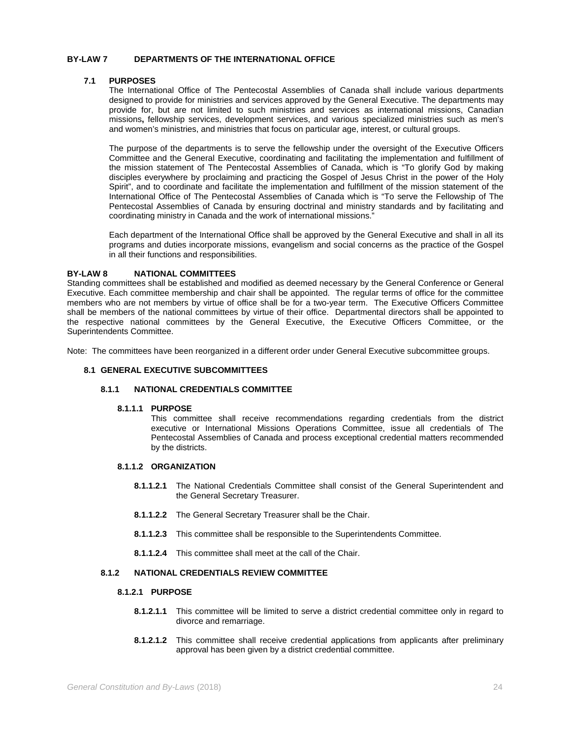# **BY-LAW 7 DEPARTMENTS OF THE INTERNATIONAL OFFICE**

#### **7.1 PURPOSES**

The International Office of The Pentecostal Assemblies of Canada shall include various departments designed to provide for ministries and services approved by the General Executive. The departments may provide for, but are not limited to such ministries and services as international missions, Canadian missions**,** fellowship services, development services, and various specialized ministries such as men's and women's ministries, and ministries that focus on particular age, interest, or cultural groups.

The purpose of the departments is to serve the fellowship under the oversight of the Executive Officers Committee and the General Executive, coordinating and facilitating the implementation and fulfillment of the mission statement of The Pentecostal Assemblies of Canada, which is "To glorify God by making disciples everywhere by proclaiming and practicing the Gospel of Jesus Christ in the power of the Holy Spirit", and to coordinate and facilitate the implementation and fulfillment of the mission statement of the International Office of The Pentecostal Assemblies of Canada which is "To serve the Fellowship of The Pentecostal Assemblies of Canada by ensuring doctrinal and ministry standards and by facilitating and coordinating ministry in Canada and the work of international missions."

Each department of the International Office shall be approved by the General Executive and shall in all its programs and duties incorporate missions, evangelism and social concerns as the practice of the Gospel in all their functions and responsibilities.

#### **BY-LAW 8 NATIONAL COMMITTEES**

Standing committees shall be established and modified as deemed necessary by the General Conference or General Executive. Each committee membership and chair shall be appointed. The regular terms of office for the committee members who are not members by virtue of office shall be for a two-year term. The Executive Officers Committee shall be members of the national committees by virtue of their office. Departmental directors shall be appointed to the respective national committees by the General Executive, the Executive Officers Committee, or the Superintendents Committee.

Note: The committees have been reorganized in a different order under General Executive subcommittee groups.

# **8.1 GENERAL EXECUTIVE SUBCOMMITTEES**

# **8.1.1 NATIONAL CREDENTIALS COMMITTEE**

#### **8.1.1.1 PURPOSE**

This committee shall receive recommendations regarding credentials from the district executive or International Missions Operations Committee, issue all credentials of The Pentecostal Assemblies of Canada and process exceptional credential matters recommended by the districts.

# **8.1.1.2 ORGANIZATION**

- **8.1.1.2.1** The National Credentials Committee shall consist of the General Superintendent and the General Secretary Treasurer.
- **8.1.1.2.2** The General Secretary Treasurer shall be the Chair.
- **8.1.1.2.3** This committee shall be responsible to the Superintendents Committee.
- **8.1.1.2.4** This committee shall meet at the call of the Chair.

# **8.1.2 NATIONAL CREDENTIALS REVIEW COMMITTEE**

#### **8.1.2.1 PURPOSE**

- **8.1.2.1.1** This committee will be limited to serve a district credential committee only in regard to divorce and remarriage.
- **8.1.2.1.2** This committee shall receive credential applications from applicants after preliminary approval has been given by a district credential committee.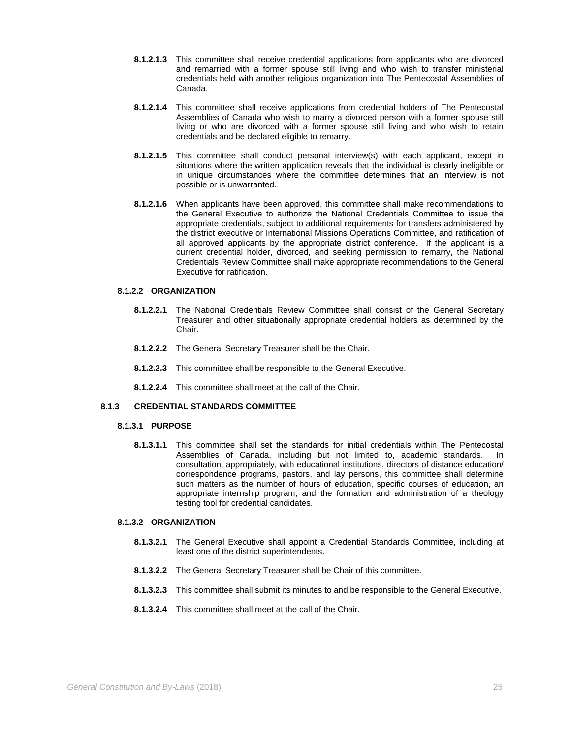- **8.1.2.1.3** This committee shall receive credential applications from applicants who are divorced and remarried with a former spouse still living and who wish to transfer ministerial credentials held with another religious organization into The Pentecostal Assemblies of Canada.
- **8.1.2.1.4** This committee shall receive applications from credential holders of The Pentecostal Assemblies of Canada who wish to marry a divorced person with a former spouse still living or who are divorced with a former spouse still living and who wish to retain credentials and be declared eligible to remarry.
- **8.1.2.1.5** This committee shall conduct personal interview(s) with each applicant, except in situations where the written application reveals that the individual is clearly ineligible or in unique circumstances where the committee determines that an interview is not possible or is unwarranted.
- **8.1.2.1.6** When applicants have been approved, this committee shall make recommendations to the General Executive to authorize the National Credentials Committee to issue the appropriate credentials, subject to additional requirements for transfers administered by the district executive or International Missions Operations Committee, and ratification of all approved applicants by the appropriate district conference. If the applicant is a current credential holder, divorced, and seeking permission to remarry, the National Credentials Review Committee shall make appropriate recommendations to the General Executive for ratification.

#### **8.1.2.2 ORGANIZATION**

- **8.1.2.2.1** The National Credentials Review Committee shall consist of the General Secretary Treasurer and other situationally appropriate credential holders as determined by the Chair.
- **8.1.2.2.2** The General Secretary Treasurer shall be the Chair.
- **8.1.2.2.3** This committee shall be responsible to the General Executive.
- **8.1.2.2.4** This committee shall meet at the call of the Chair.

# **8.1.3 CREDENTIAL STANDARDS COMMITTEE**

# **8.1.3.1 PURPOSE**

**8.1.3.1.1** This committee shall set the standards for initial credentials within The Pentecostal Assemblies of Canada, including but not limited to, academic standards. In consultation, appropriately, with educational institutions, directors of distance education/ correspondence programs, pastors, and lay persons, this committee shall determine such matters as the number of hours of education, specific courses of education, an appropriate internship program, and the formation and administration of a theology testing tool for credential candidates.

# **8.1.3.2 ORGANIZATION**

- **8.1.3.2.1** The General Executive shall appoint a Credential Standards Committee, including at least one of the district superintendents.
- **8.1.3.2.2** The General Secretary Treasurer shall be Chair of this committee.
- **8.1.3.2.3** This committee shall submit its minutes to and be responsible to the General Executive.
- **8.1.3.2.4** This committee shall meet at the call of the Chair.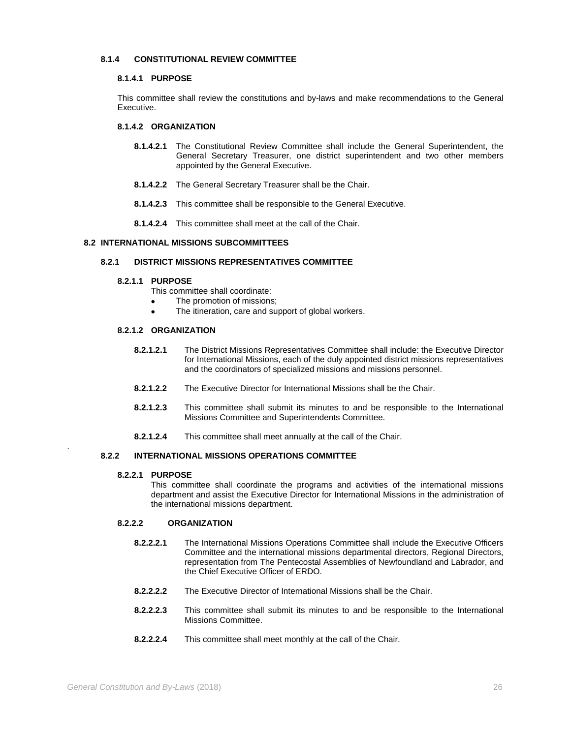# **8.1.4 CONSTITUTIONAL REVIEW COMMITTEE**

#### **8.1.4.1 PURPOSE**

This committee shall review the constitutions and by-laws and make recommendations to the General Executive.

# **8.1.4.2 ORGANIZATION**

- **8.1.4.2.1** The Constitutional Review Committee shall include the General Superintendent, the General Secretary Treasurer, one district superintendent and two other members appointed by the General Executive.
- **8.1.4.2.2** The General Secretary Treasurer shall be the Chair.
- **8.1.4.2.3** This committee shall be responsible to the General Executive.
- **8.1.4.2.4** This committee shall meet at the call of the Chair.

# **8.2 INTERNATIONAL MISSIONS SUBCOMMITTEES**

# **8.2.1 DISTRICT MISSIONS REPRESENTATIVES COMMITTEE**

#### **8.2.1.1 PURPOSE**

- This committee shall coordinate:
- The promotion of missions;
- The itineration, care and support of global workers.

# **8.2.1.2 ORGANIZATION**

- **8.2.1.2.1** The District Missions Representatives Committee shall include: the Executive Director for International Missions, each of the duly appointed district missions representatives and the coordinators of specialized missions and missions personnel.
- **8.2.1.2.2** The Executive Director for International Missions shall be the Chair.
- **8.2.1.2.3** This committee shall submit its minutes to and be responsible to the International Missions Committee and Superintendents Committee.
- **8.2.1.2.4** This committee shall meet annually at the call of the Chair.

# **8.2.2 INTERNATIONAL MISSIONS OPERATIONS COMMITTEE**

#### **8.2.2.1 PURPOSE**

.

This committee shall coordinate the programs and activities of the international missions department and assist the Executive Director for International Missions in the administration of the international missions department.

# **8.2.2.2 ORGANIZATION**

- **8.2.2.2.1** The International Missions Operations Committee shall include the Executive Officers Committee and the international missions departmental directors, Regional Directors, representation from The Pentecostal Assemblies of Newfoundland and Labrador, and the Chief Executive Officer of ERDO.
- **8.2.2.2.2** The Executive Director of International Missions shall be the Chair.
- **8.2.2.2.3** This committee shall submit its minutes to and be responsible to the International Missions Committee.
- **8.2.2.2.4** This committee shall meet monthly at the call of the Chair.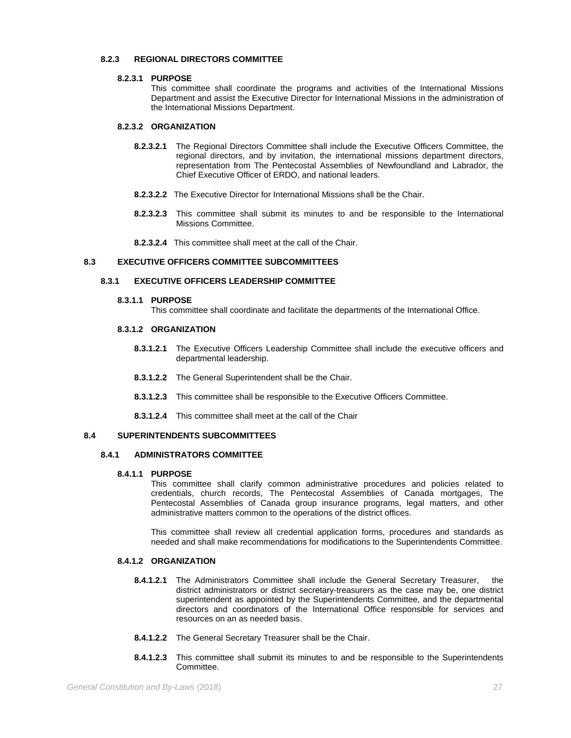# **8.2.3 REGIONAL DIRECTORS COMMITTEE**

#### **8.2.3.1 PURPOSE**

This committee shall coordinate the programs and activities of the International Missions Department and assist the Executive Director for International Missions in the administration of the International Missions Department.

# **8.2.3.2 ORGANIZATION**

- **8.2.3.2.1** The Regional Directors Committee shall include the Executive Officers Committee, the regional directors, and by invitation, the international missions department directors, representation from The Pentecostal Assemblies of Newfoundland and Labrador, the Chief Executive Officer of ERDO, and national leaders.
- **8.2.3.2.2** The Executive Director for International Missions shall be the Chair.
- **8.2.3.2.3** This committee shall submit its minutes to and be responsible to the International Missions Committee.
- **8.2.3.2.4** This committee shall meet at the call of the Chair.

# **8.3 EXECUTIVE OFFICERS COMMITTEE SUBCOMMITTEES**

# **8.3.1 EXECUTIVE OFFICERS LEADERSHIP COMMITTEE**

#### **8.3.1.1 PURPOSE**

This committee shall coordinate and facilitate the departments of the International Office.

### **8.3.1.2 ORGANIZATION**

- **8.3.1.2.1** The Executive Officers Leadership Committee shall include the executive officers and departmental leadership.
- **8.3.1.2.2** The General Superintendent shall be the Chair.
- **8.3.1.2.3** This committee shall be responsible to the Executive Officers Committee.
- **8.3.1.2.4** This committee shall meet at the call of the Chair

# **8.4 SUPERINTENDENTS SUBCOMMITTEES**

#### **8.4.1 ADMINISTRATORS COMMITTEE**

#### **8.4.1.1 PURPOSE**

This committee shall clarify common administrative procedures and policies related to credentials, church records, The Pentecostal Assemblies of Canada mortgages, The Pentecostal Assemblies of Canada group insurance programs, legal matters, and other administrative matters common to the operations of the district offices.

This committee shall review all credential application forms, procedures and standards as needed and shall make recommendations for modifications to the Superintendents Committee.

### **8.4.1.2 ORGANIZATION**

- **8.4.1.2.1** The Administrators Committee shall include the General Secretary Treasurer, the district administrators or district secretary-treasurers as the case may be, one district superintendent as appointed by the Superintendents Committee, and the departmental directors and coordinators of the International Office responsible for services and resources on an as needed basis.
- **8.4.1.2.2** The General Secretary Treasurer shall be the Chair.
- **8.4.1.2.3** This committee shall submit its minutes to and be responsible to the Superintendents Committee.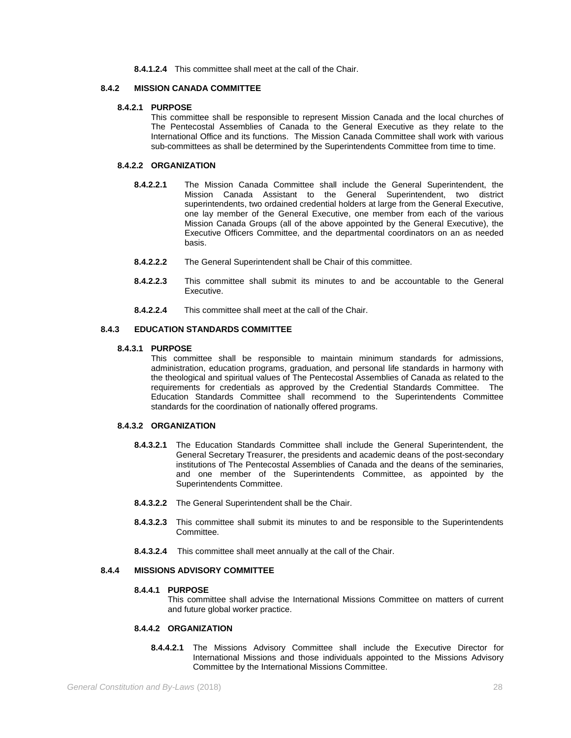**8.4.1.2.4** This committee shall meet at the call of the Chair.

# **8.4.2 MISSION CANADA COMMITTEE**

# **8.4.2.1 PURPOSE**

This committee shall be responsible to represent Mission Canada and the local churches of The Pentecostal Assemblies of Canada to the General Executive as they relate to the International Office and its functions. The Mission Canada Committee shall work with various sub-committees as shall be determined by the Superintendents Committee from time to time.

# **8.4.2.2 ORGANIZATION**

- **8.4.2.2.1** The Mission Canada Committee shall include the General Superintendent, the Mission Canada Assistant to the General Superintendent, two district superintendents, two ordained credential holders at large from the General Executive, one lay member of the General Executive, one member from each of the various Mission Canada Groups (all of the above appointed by the General Executive), the Executive Officers Committee, and the departmental coordinators on an as needed basis.
- **8.4.2.2.2** The General Superintendent shall be Chair of this committee.
- **8.4.2.2.3** This committee shall submit its minutes to and be accountable to the General Executive.
- **8.4.2.2.4** This committee shall meet at the call of the Chair.

# **8.4.3 EDUCATION STANDARDS COMMITTEE**

# **8.4.3.1 PURPOSE**

This committee shall be responsible to maintain minimum standards for admissions, administration, education programs, graduation, and personal life standards in harmony with the theological and spiritual values of The Pentecostal Assemblies of Canada as related to the requirements for credentials as approved by the Credential Standards Committee. The Education Standards Committee shall recommend to the Superintendents Committee standards for the coordination of nationally offered programs.

# **8.4.3.2 ORGANIZATION**

- **8.4.3.2.1** The Education Standards Committee shall include the General Superintendent, the General Secretary Treasurer, the presidents and academic deans of the post-secondary institutions of The Pentecostal Assemblies of Canada and the deans of the seminaries, and one member of the Superintendents Committee, as appointed by the Superintendents Committee.
- **8.4.3.2.2** The General Superintendent shall be the Chair.
- **8.4.3.2.3** This committee shall submit its minutes to and be responsible to the Superintendents Committee.
- **8.4.3.2.4** This committee shall meet annually at the call of the Chair.

# **8.4.4 MISSIONS ADVISORY COMMITTEE**

# **8.4.4.1 PURPOSE**

This committee shall advise the International Missions Committee on matters of current and future global worker practice.

# **8.4.4.2 ORGANIZATION**

**8.4.4.2.1** The Missions Advisory Committee shall include the Executive Director for International Missions and those individuals appointed to the Missions Advisory Committee by the International Missions Committee.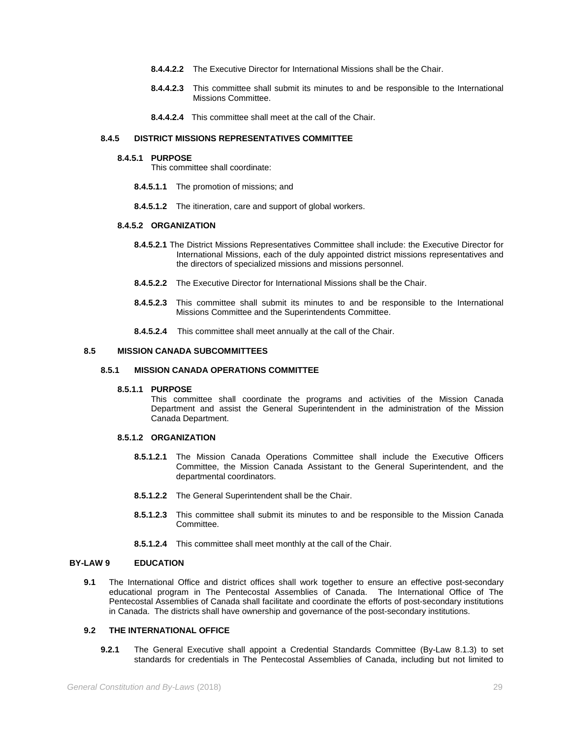- **8.4.4.2.2** The Executive Director for International Missions shall be the Chair.
- **8.4.4.2.3** This committee shall submit its minutes to and be responsible to the International Missions Committee.
- **8.4.4.2.4** This committee shall meet at the call of the Chair.

# **8.4.5 DISTRICT MISSIONS REPRESENTATIVES COMMITTEE**

#### **8.4.5.1 PURPOSE**

This committee shall coordinate:

- **8.4.5.1.1** The promotion of missions; and
- **8.4.5.1.2** The itineration, care and support of global workers.

# **8.4.5.2 ORGANIZATION**

- **8.4.5.2.1** The District Missions Representatives Committee shall include: the Executive Director for International Missions, each of the duly appointed district missions representatives and the directors of specialized missions and missions personnel.
- **8.4.5.2.2** The Executive Director for International Missions shall be the Chair.
- **8.4.5.2.3** This committee shall submit its minutes to and be responsible to the International Missions Committee and the Superintendents Committee.
- **8.4.5.2.4** This committee shall meet annually at the call of the Chair.

# **8.5 MISSION CANADA SUBCOMMITTEES**

#### **8.5.1 MISSION CANADA OPERATIONS COMMITTEE**

#### **8.5.1.1 PURPOSE**

This committee shall coordinate the programs and activities of the Mission Canada Department and assist the General Superintendent in the administration of the Mission Canada Department.

# **8.5.1.2 ORGANIZATION**

- **8.5.1.2.1** The Mission Canada Operations Committee shall include the Executive Officers Committee, the Mission Canada Assistant to the General Superintendent, and the departmental coordinators.
- **8.5.1.2.2** The General Superintendent shall be the Chair.
- **8.5.1.2.3** This committee shall submit its minutes to and be responsible to the Mission Canada Committee.
- **8.5.1.2.4** This committee shall meet monthly at the call of the Chair.

#### **BY-LAW 9 EDUCATION**

**9.1** The International Office and district offices shall work together to ensure an effective post-secondary educational program in The Pentecostal Assemblies of Canada. The International Office of The Pentecostal Assemblies of Canada shall facilitate and coordinate the efforts of post-secondary institutions in Canada. The districts shall have ownership and governance of the post-secondary institutions.

# **9.2 THE INTERNATIONAL OFFICE**

**9.2.1** The General Executive shall appoint a Credential Standards Committee (By-Law 8.1.3) to set standards for credentials in The Pentecostal Assemblies of Canada, including but not limited to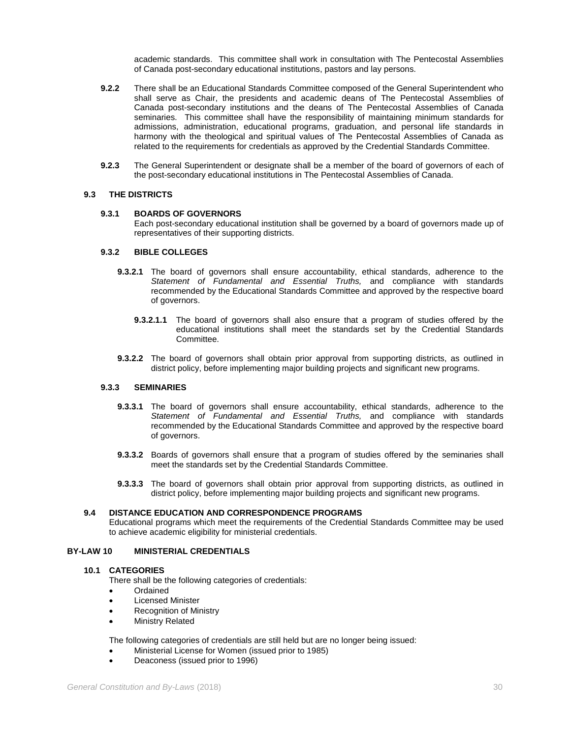academic standards. This committee shall work in consultation with The Pentecostal Assemblies of Canada post-secondary educational institutions, pastors and lay persons.

- **9.2.2** There shall be an Educational Standards Committee composed of the General Superintendent who shall serve as Chair, the presidents and academic deans of The Pentecostal Assemblies of Canada post-secondary institutions and the deans of The Pentecostal Assemblies of Canada seminaries. This committee shall have the responsibility of maintaining minimum standards for admissions, administration, educational programs, graduation, and personal life standards in harmony with the theological and spiritual values of The Pentecostal Assemblies of Canada as related to the requirements for credentials as approved by the Credential Standards Committee.
- **9.2.3** The General Superintendent or designate shall be a member of the board of governors of each of the post-secondary educational institutions in The Pentecostal Assemblies of Canada.

#### **9.3 THE DISTRICTS**

#### **9.3.1 BOARDS OF GOVERNORS**

Each post-secondary educational institution shall be governed by a board of governors made up of representatives of their supporting districts.

#### **9.3.2 BIBLE COLLEGES**

- **9.3.2.1** The board of governors shall ensure accountability, ethical standards, adherence to the *Statement of Fundamental and Essential Truths,* and compliance with standards recommended by the Educational Standards Committee and approved by the respective board of governors.
	- **9.3.2.1.1** The board of governors shall also ensure that a program of studies offered by the educational institutions shall meet the standards set by the Credential Standards Committee.
- **9.3.2.2** The board of governors shall obtain prior approval from supporting districts, as outlined in district policy, before implementing major building projects and significant new programs.

# **9.3.3 SEMINARIES**

- **9.3.3.1** The board of governors shall ensure accountability, ethical standards, adherence to the *Statement of Fundamental and Essential Truths,* and compliance with standards recommended by the Educational Standards Committee and approved by the respective board of governors.
- **9.3.3.2** Boards of governors shall ensure that a program of studies offered by the seminaries shall meet the standards set by the Credential Standards Committee.
- **9.3.3.3** The board of governors shall obtain prior approval from supporting districts, as outlined in district policy, before implementing major building projects and significant new programs.

# **9.4 DISTANCE EDUCATION AND CORRESPONDENCE PROGRAMS**

Educational programs which meet the requirements of the Credential Standards Committee may be used to achieve academic eligibility for ministerial credentials.

#### **BY-LAW 10 MINISTERIAL CREDENTIALS**

#### **10.1 CATEGORIES**

There shall be the following categories of credentials:

- Ordained
- Licensed Minister
- **Recognition of Ministry**
- Ministry Related

The following categories of credentials are still held but are no longer being issued:

- Ministerial License for Women (issued prior to 1985)
- Deaconess (issued prior to 1996)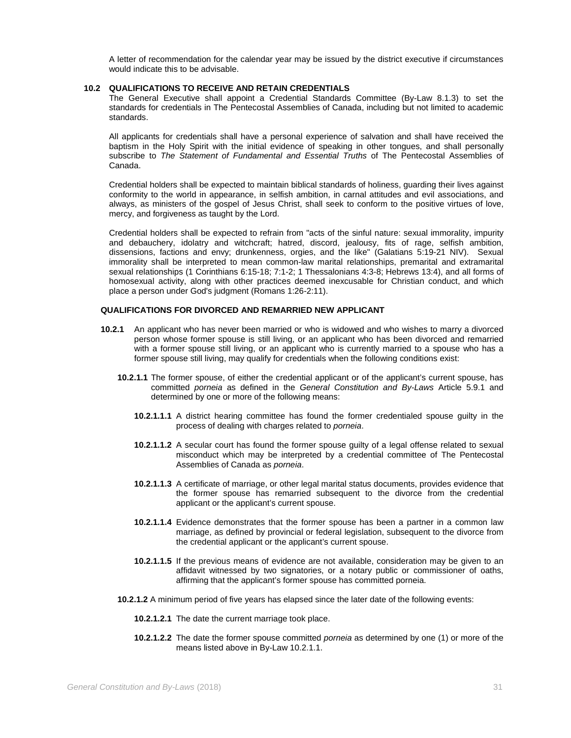A letter of recommendation for the calendar year may be issued by the district executive if circumstances would indicate this to be advisable.

# **10.2 QUALIFICATIONS TO RECEIVE AND RETAIN CREDENTIALS**

The General Executive shall appoint a Credential Standards Committee (By-Law 8.1.3) to set the standards for credentials in The Pentecostal Assemblies of Canada, including but not limited to academic standards.

All applicants for credentials shall have a personal experience of salvation and shall have received the baptism in the Holy Spirit with the initial evidence of speaking in other tongues, and shall personally subscribe to *The Statement of Fundamental and Essential Truths* of The Pentecostal Assemblies of Canada.

Credential holders shall be expected to maintain biblical standards of holiness, guarding their lives against conformity to the world in appearance, in selfish ambition, in carnal attitudes and evil associations, and always, as ministers of the gospel of Jesus Christ, shall seek to conform to the positive virtues of love, mercy, and forgiveness as taught by the Lord.

Credential holders shall be expected to refrain from "acts of the sinful nature: sexual immorality, impurity and debauchery, idolatry and witchcraft; hatred, discord, jealousy, fits of rage, selfish ambition, dissensions, factions and envy; drunkenness, orgies, and the like" (Galatians 5:19-21 NIV). Sexual immorality shall be interpreted to mean common-law marital relationships, premarital and extramarital sexual relationships (1 Corinthians 6:15-18; 7:1-2; 1 Thessalonians 4:3-8; Hebrews 13:4), and all forms of homosexual activity, along with other practices deemed inexcusable for Christian conduct, and which place a person under God's judgment (Romans 1:26-2:11).

#### **QUALIFICATIONS FOR DIVORCED AND REMARRIED NEW APPLICANT**

- **10.2.1** An applicant who has never been married or who is widowed and who wishes to marry a divorced person whose former spouse is still living, or an applicant who has been divorced and remarried with a former spouse still living, or an applicant who is currently married to a spouse who has a former spouse still living, may qualify for credentials when the following conditions exist:
	- **10.2.1.1** The former spouse, of either the credential applicant or of the applicant's current spouse, has committed *porneia* as defined in the *General Constitution and By-Laws* Article 5.9.1 and determined by one or more of the following means:
		- **10.2.1.1.1** A district hearing committee has found the former credentialed spouse guilty in the process of dealing with charges related to *porneia*.
		- **10.2.1.1.2** A secular court has found the former spouse guilty of a legal offense related to sexual misconduct which may be interpreted by a credential committee of The Pentecostal Assemblies of Canada as *porneia*.
		- **10.2.1.1.3** A certificate of marriage, or other legal marital status documents, provides evidence that the former spouse has remarried subsequent to the divorce from the credential applicant or the applicant's current spouse.
		- **10.2.1.1.4** Evidence demonstrates that the former spouse has been a partner in a common law marriage, as defined by provincial or federal legislation, subsequent to the divorce from the credential applicant or the applicant's current spouse.
		- **10.2.1.1.5** If the previous means of evidence are not available, consideration may be given to an affidavit witnessed by two signatories, or a notary public or commissioner of oaths, affirming that the applicant's former spouse has committed porneia.
	- **10.2.1.2** A minimum period of five years has elapsed since the later date of the following events:
		- **10.2.1.2.1** The date the current marriage took place.
		- **10.2.1.2.2** The date the former spouse committed *porneia* as determined by one (1) or more of the means listed above in By-Law 10.2.1.1.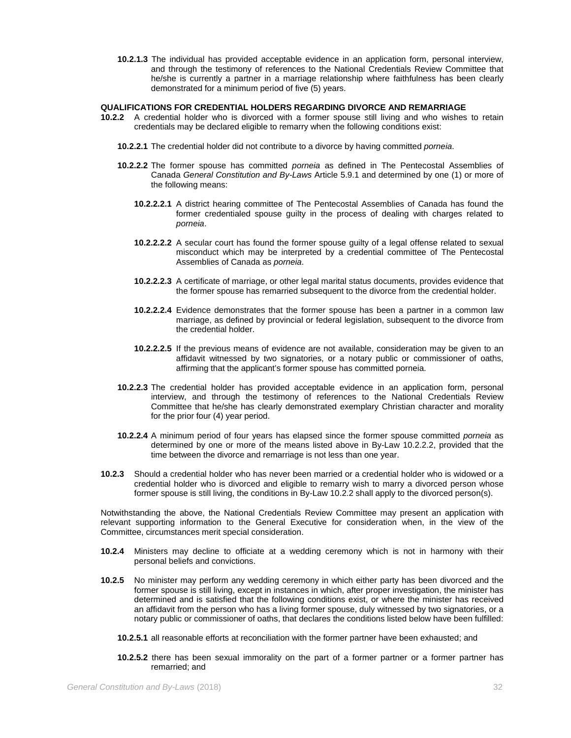**10.2.1.3** The individual has provided acceptable evidence in an application form, personal interview, and through the testimony of references to the National Credentials Review Committee that he/she is currently a partner in a marriage relationship where faithfulness has been clearly demonstrated for a minimum period of five (5) years.

#### **QUALIFICATIONS FOR CREDENTIAL HOLDERS REGARDING DIVORCE AND REMARRIAGE**

- **10.2.2** A credential holder who is divorced with a former spouse still living and who wishes to retain credentials may be declared eligible to remarry when the following conditions exist:
	- **10.2.2.1** The credential holder did not contribute to a divorce by having committed *porneia*.
	- **10.2.2.2** The former spouse has committed *porneia* as defined in The Pentecostal Assemblies of Canada *General Constitution and By-Laws* Article 5.9.1 and determined by one (1) or more of the following means:
		- **10.2.2.2.1** A district hearing committee of The Pentecostal Assemblies of Canada has found the former credentialed spouse guilty in the process of dealing with charges related to *porneia*.
		- **10.2.2.2.2** A secular court has found the former spouse guilty of a legal offense related to sexual misconduct which may be interpreted by a credential committee of The Pentecostal Assemblies of Canada as *porneia*.
		- **10.2.2.2.3** A certificate of marriage, or other legal marital status documents, provides evidence that the former spouse has remarried subsequent to the divorce from the credential holder.
		- **10.2.2.2.4** Evidence demonstrates that the former spouse has been a partner in a common law marriage, as defined by provincial or federal legislation, subsequent to the divorce from the credential holder.
		- **10.2.2.2.5** If the previous means of evidence are not available, consideration may be given to an affidavit witnessed by two signatories, or a notary public or commissioner of oaths, affirming that the applicant's former spouse has committed porneia.
	- **10.2.2.3** The credential holder has provided acceptable evidence in an application form, personal interview, and through the testimony of references to the National Credentials Review Committee that he/she has clearly demonstrated exemplary Christian character and morality for the prior four (4) year period.
	- **10.2.2.4** A minimum period of four years has elapsed since the former spouse committed *porneia* as determined by one or more of the means listed above in By-Law 10.2.2.2, provided that the time between the divorce and remarriage is not less than one year.
- **10.2.3** Should a credential holder who has never been married or a credential holder who is widowed or a credential holder who is divorced and eligible to remarry wish to marry a divorced person whose former spouse is still living, the conditions in By-Law 10.2.2 shall apply to the divorced person(s).

Notwithstanding the above, the National Credentials Review Committee may present an application with relevant supporting information to the General Executive for consideration when, in the view of the Committee, circumstances merit special consideration.

- **10.2.4** Ministers may decline to officiate at a wedding ceremony which is not in harmony with their personal beliefs and convictions.
- **10.2.5** No minister may perform any wedding ceremony in which either party has been divorced and the former spouse is still living, except in instances in which, after proper investigation, the minister has determined and is satisfied that the following conditions exist, or where the minister has received an affidavit from the person who has a living former spouse, duly witnessed by two signatories, or a notary public or commissioner of oaths, that declares the conditions listed below have been fulfilled:
	- **10.2.5.1** all reasonable efforts at reconciliation with the former partner have been exhausted; and
	- **10.2.5.2** there has been sexual immorality on the part of a former partner or a former partner has remarried; and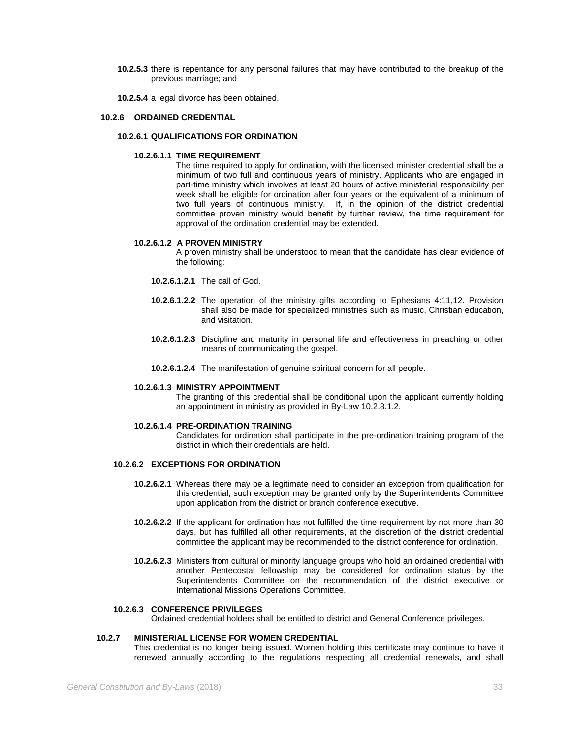**10.2.5.3** there is repentance for any personal failures that may have contributed to the breakup of the previous marriage; and

**10.2.5.4** a legal divorce has been obtained.

### **10.2.6 ORDAINED CREDENTIAL**

#### **10.2.6.1 QUALIFICATIONS FOR ORDINATION**

#### **10.2.6.1.1 TIME REQUIREMENT**

The time required to apply for ordination, with the licensed minister credential shall be a minimum of two full and continuous years of ministry. Applicants who are engaged in part-time ministry which involves at least 20 hours of active ministerial responsibility per week shall be eligible for ordination after four years or the equivalent of a minimum of two full years of continuous ministry. If, in the opinion of the district credential committee proven ministry would benefit by further review, the time requirement for approval of the ordination credential may be extended.

#### **10.2.6.1.2 A PROVEN MINISTRY**

A proven ministry shall be understood to mean that the candidate has clear evidence of the following:

- **10.2.6.1.2.1** The call of God.
- **10.2.6.1.2.2** The operation of the ministry gifts according to Ephesians 4:11,12. Provision shall also be made for specialized ministries such as music, Christian education, and visitation.
- **10.2.6.1.2.3** Discipline and maturity in personal life and effectiveness in preaching or other means of communicating the gospel.
- **10.2.6.1.2.4** The manifestation of genuine spiritual concern for all people.

#### **10.2.6.1.3 MINISTRY APPOINTMENT**

The granting of this credential shall be conditional upon the applicant currently holding an appointment in ministry as provided in By-Law 10.2.8.1.2.

#### **10.2.6.1.4 PRE-ORDINATION TRAINING**

Candidates for ordination shall participate in the pre-ordination training program of the district in which their credentials are held.

# **10.2.6.2 EXCEPTIONS FOR ORDINATION**

- **10.2.6.2.1** Whereas there may be a legitimate need to consider an exception from qualification for this credential, such exception may be granted only by the Superintendents Committee upon application from the district or branch conference executive.
- **10.2.6.2.2** If the applicant for ordination has not fulfilled the time requirement by not more than 30 days, but has fulfilled all other requirements, at the discretion of the district credential committee the applicant may be recommended to the district conference for ordination.
- **10.2.6.2.3** Ministers from cultural or minority language groups who hold an ordained credential with another Pentecostal fellowship may be considered for ordination status by the Superintendents Committee on the recommendation of the district executive or International Missions Operations Committee.

# **10.2.6.3 CONFERENCE PRIVILEGES**

Ordained credential holders shall be entitled to district and General Conference privileges.

# **10.2.7 MINISTERIAL LICENSE FOR WOMEN CREDENTIAL**

This credential is no longer being issued. Women holding this certificate may continue to have it renewed annually according to the regulations respecting all credential renewals, and shall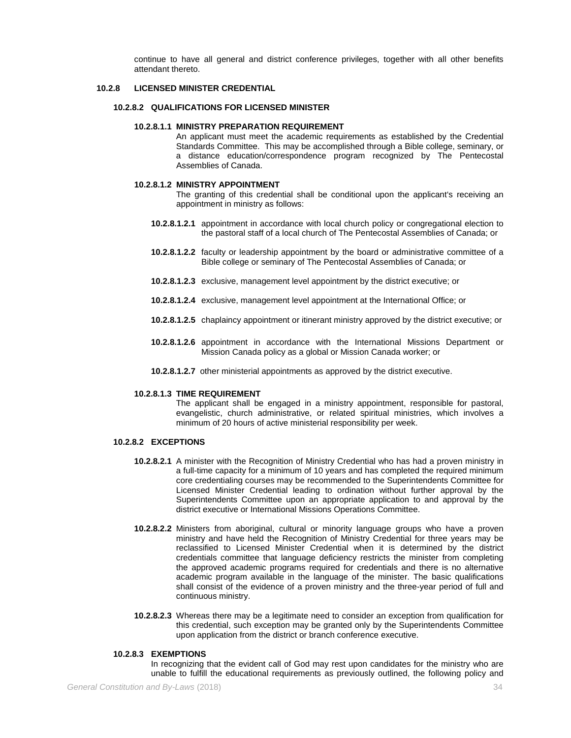continue to have all general and district conference privileges, together with all other benefits attendant thereto.

# **10.2.8 LICENSED MINISTER CREDENTIAL**

# **10.2.8.2 QUALIFICATIONS FOR LICENSED MINISTER**

# **10.2.8.1.1 MINISTRY PREPARATION REQUIREMENT**

An applicant must meet the academic requirements as established by the Credential Standards Committee. This may be accomplished through a Bible college, seminary, or a distance education/correspondence program recognized by The Pentecostal Assemblies of Canada.

#### **10.2.8.1.2 MINISTRY APPOINTMENT**

The granting of this credential shall be conditional upon the applicant's receiving an appointment in ministry as follows:

- **10.2.8.1.2.1** appointment in accordance with local church policy or congregational election to the pastoral staff of a local church of The Pentecostal Assemblies of Canada; or
- **10.2.8.1.2.2** faculty or leadership appointment by the board or administrative committee of a Bible college or seminary of The Pentecostal Assemblies of Canada; or
- **10.2.8.1.2.3** exclusive, management level appointment by the district executive; or
- **10.2.8.1.2.4** exclusive, management level appointment at the International Office; or
- **10.2.8.1.2.5** chaplaincy appointment or itinerant ministry approved by the district executive; or
- **10.2.8.1.2.6** appointment in accordance with the International Missions Department or Mission Canada policy as a global or Mission Canada worker; or
- **10.2.8.1.2.7** other ministerial appointments as approved by the district executive.

#### **10.2.8.1.3 TIME REQUIREMENT**

The applicant shall be engaged in a ministry appointment, responsible for pastoral, evangelistic, church administrative, or related spiritual ministries, which involves a minimum of 20 hours of active ministerial responsibility per week.

# **10.2.8.2 EXCEPTIONS**

- **10.2.8.2.1** A minister with the Recognition of Ministry Credential who has had a proven ministry in a full-time capacity for a minimum of 10 years and has completed the required minimum core credentialing courses may be recommended to the Superintendents Committee for Licensed Minister Credential leading to ordination without further approval by the Superintendents Committee upon an appropriate application to and approval by the district executive or International Missions Operations Committee.
- **10.2.8.2.2** Ministers from aboriginal, cultural or minority language groups who have a proven ministry and have held the Recognition of Ministry Credential for three years may be reclassified to Licensed Minister Credential when it is determined by the district credentials committee that language deficiency restricts the minister from completing the approved academic programs required for credentials and there is no alternative academic program available in the language of the minister. The basic qualifications shall consist of the evidence of a proven ministry and the three-year period of full and continuous ministry.
- **10.2.8.2.3** Whereas there may be a legitimate need to consider an exception from qualification for this credential, such exception may be granted only by the Superintendents Committee upon application from the district or branch conference executive.

#### **10.2.8.3 EXEMPTIONS**

In recognizing that the evident call of God may rest upon candidates for the ministry who are unable to fulfill the educational requirements as previously outlined, the following policy and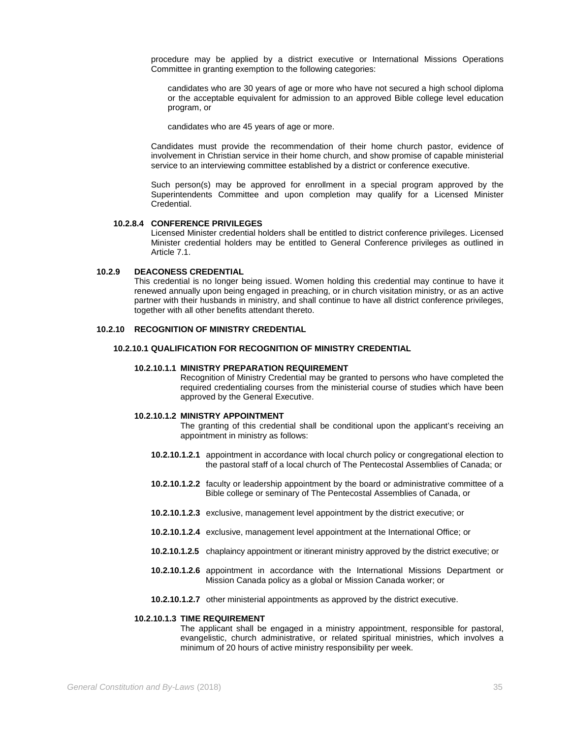procedure may be applied by a district executive or International Missions Operations Committee in granting exemption to the following categories:

candidates who are 30 years of age or more who have not secured a high school diploma or the acceptable equivalent for admission to an approved Bible college level education program, or

candidates who are 45 years of age or more.

Candidates must provide the recommendation of their home church pastor, evidence of involvement in Christian service in their home church, and show promise of capable ministerial service to an interviewing committee established by a district or conference executive.

Such person(s) may be approved for enrollment in a special program approved by the Superintendents Committee and upon completion may qualify for a Licensed Minister Credential.

### **10.2.8.4 CONFERENCE PRIVILEGES**

Licensed Minister credential holders shall be entitled to district conference privileges. Licensed Minister credential holders may be entitled to General Conference privileges as outlined in Article 7.1.

# **10.2.9 DEACONESS CREDENTIAL**

This credential is no longer being issued. Women holding this credential may continue to have it renewed annually upon being engaged in preaching, or in church visitation ministry, or as an active partner with their husbands in ministry, and shall continue to have all district conference privileges, together with all other benefits attendant thereto.

### **10.2.10 RECOGNITION OF MINISTRY CREDENTIAL**

# **10.2.10.1 QUALIFICATION FOR RECOGNITION OF MINISTRY CREDENTIAL**

## **10.2.10.1.1 MINISTRY PREPARATION REQUIREMENT**

Recognition of Ministry Credential may be granted to persons who have completed the required credentialing courses from the ministerial course of studies which have been approved by the General Executive.

## **10.2.10.1.2 MINISTRY APPOINTMENT**

The granting of this credential shall be conditional upon the applicant's receiving an appointment in ministry as follows:

- **10.2.10.1.2.1** appointment in accordance with local church policy or congregational election to the pastoral staff of a local church of The Pentecostal Assemblies of Canada; or
- **10.2.10.1.2.2** faculty or leadership appointment by the board or administrative committee of a Bible college or seminary of The Pentecostal Assemblies of Canada, or
- **10.2.10.1.2.3** exclusive, management level appointment by the district executive; or
- **10.2.10.1.2.4** exclusive, management level appointment at the International Office; or
- **10.2.10.1.2.5** chaplaincy appointment or itinerant ministry approved by the district executive; or
- **10.2.10.1.2.6** appointment in accordance with the International Missions Department or Mission Canada policy as a global or Mission Canada worker; or
- **10.2.10.1.2.7** other ministerial appointments as approved by the district executive.

### **10.2.10.1.3 TIME REQUIREMENT**

The applicant shall be engaged in a ministry appointment, responsible for pastoral, evangelistic, church administrative, or related spiritual ministries, which involves a minimum of 20 hours of active ministry responsibility per week.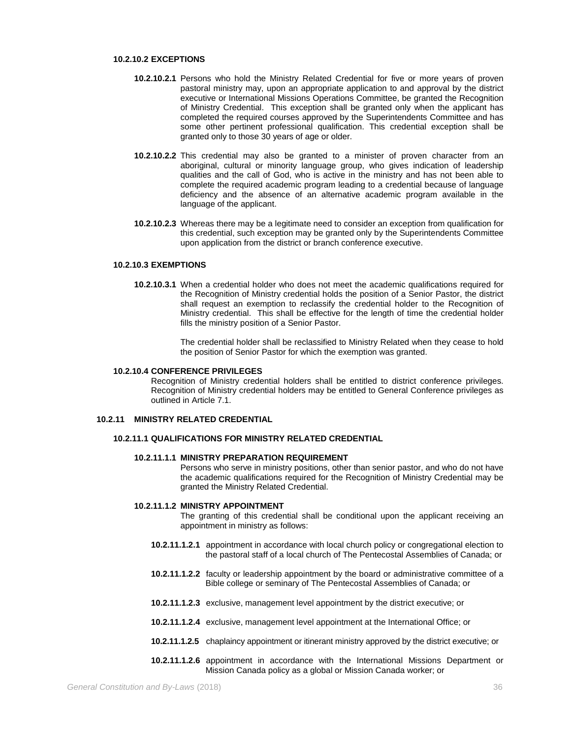### **10.2.10.2 EXCEPTIONS**

- **10.2.10.2.1** Persons who hold the Ministry Related Credential for five or more years of proven pastoral ministry may, upon an appropriate application to and approval by the district executive or International Missions Operations Committee, be granted the Recognition of Ministry Credential. This exception shall be granted only when the applicant has completed the required courses approved by the Superintendents Committee and has some other pertinent professional qualification. This credential exception shall be granted only to those 30 years of age or older.
- **10.2.10.2.2** This credential may also be granted to a minister of proven character from an aboriginal, cultural or minority language group, who gives indication of leadership qualities and the call of God, who is active in the ministry and has not been able to complete the required academic program leading to a credential because of language deficiency and the absence of an alternative academic program available in the language of the applicant.
- **10.2.10.2.3** Whereas there may be a legitimate need to consider an exception from qualification for this credential, such exception may be granted only by the Superintendents Committee upon application from the district or branch conference executive.

#### **10.2.10.3 EXEMPTIONS**

**10.2.10.3.1** When a credential holder who does not meet the academic qualifications required for the Recognition of Ministry credential holds the position of a Senior Pastor, the district shall request an exemption to reclassify the credential holder to the Recognition of Ministry credential. This shall be effective for the length of time the credential holder fills the ministry position of a Senior Pastor.

> The credential holder shall be reclassified to Ministry Related when they cease to hold the position of Senior Pastor for which the exemption was granted.

### **10.2.10.4 CONFERENCE PRIVILEGES**

Recognition of Ministry credential holders shall be entitled to district conference privileges. Recognition of Ministry credential holders may be entitled to General Conference privileges as outlined in Article 7.1.

# **10.2.11 MINISTRY RELATED CREDENTIAL**

## **10.2.11.1 QUALIFICATIONS FOR MINISTRY RELATED CREDENTIAL**

# **10.2.11.1.1 MINISTRY PREPARATION REQUIREMENT**

Persons who serve in ministry positions, other than senior pastor, and who do not have the academic qualifications required for the Recognition of Ministry Credential may be granted the Ministry Related Credential.

### **10.2.11.1.2 MINISTRY APPOINTMENT**

The granting of this credential shall be conditional upon the applicant receiving an appointment in ministry as follows:

- **10.2.11.1.2.1** appointment in accordance with local church policy or congregational election to the pastoral staff of a local church of The Pentecostal Assemblies of Canada; or
- **10.2.11.1.2.2** faculty or leadership appointment by the board or administrative committee of a Bible college or seminary of The Pentecostal Assemblies of Canada; or
- **10.2.11.1.2.3** exclusive, management level appointment by the district executive; or
- **10.2.11.1.2.4** exclusive, management level appointment at the International Office; or
- **10.2.11.1.2.5** chaplaincy appointment or itinerant ministry approved by the district executive; or
- **10.2.11.1.2.6** appointment in accordance with the International Missions Department or Mission Canada policy as a global or Mission Canada worker; or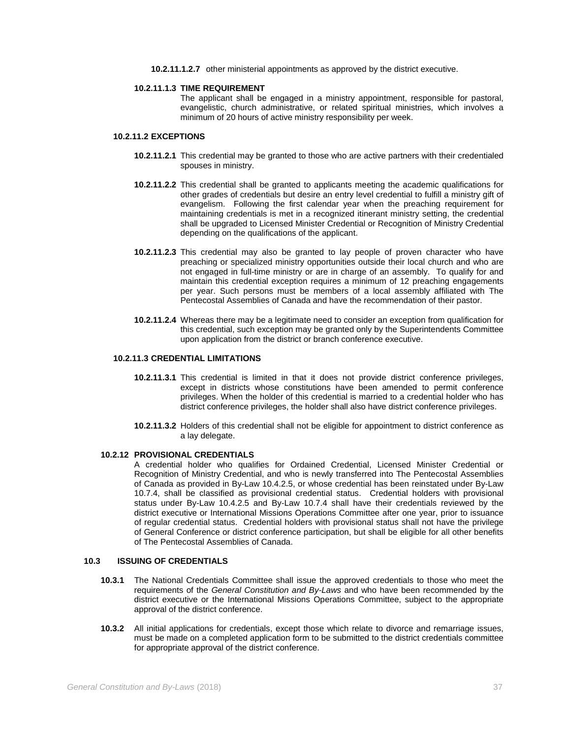**10.2.11.1.2.7** other ministerial appointments as approved by the district executive.

### **10.2.11.1.3 TIME REQUIREMENT**

The applicant shall be engaged in a ministry appointment, responsible for pastoral, evangelistic, church administrative, or related spiritual ministries, which involves a minimum of 20 hours of active ministry responsibility per week.

## **10.2.11.2 EXCEPTIONS**

- **10.2.11.2.1** This credential may be granted to those who are active partners with their credentialed spouses in ministry.
- **10.2.11.2.2** This credential shall be granted to applicants meeting the academic qualifications for other grades of credentials but desire an entry level credential to fulfill a ministry gift of evangelism. Following the first calendar year when the preaching requirement for maintaining credentials is met in a recognized itinerant ministry setting, the credential shall be upgraded to Licensed Minister Credential or Recognition of Ministry Credential depending on the qualifications of the applicant.
- **10.2.11.2.3** This credential may also be granted to lay people of proven character who have preaching or specialized ministry opportunities outside their local church and who are not engaged in full-time ministry or are in charge of an assembly. To qualify for and maintain this credential exception requires a minimum of 12 preaching engagements per year. Such persons must be members of a local assembly affiliated with The Pentecostal Assemblies of Canada and have the recommendation of their pastor.
- **10.2.11.2.4** Whereas there may be a legitimate need to consider an exception from qualification for this credential, such exception may be granted only by the Superintendents Committee upon application from the district or branch conference executive.

# **10.2.11.3 CREDENTIAL LIMITATIONS**

- **10.2.11.3.1** This credential is limited in that it does not provide district conference privileges, except in districts whose constitutions have been amended to permit conference privileges. When the holder of this credential is married to a credential holder who has district conference privileges, the holder shall also have district conference privileges.
- **10.2.11.3.2** Holders of this credential shall not be eligible for appointment to district conference as a lay delegate.

#### **10.2.12 PROVISIONAL CREDENTIALS**

A credential holder who qualifies for Ordained Credential, Licensed Minister Credential or Recognition of Ministry Credential, and who is newly transferred into The Pentecostal Assemblies of Canada as provided in By-Law 10.4.2.5, or whose credential has been reinstated under By-Law 10.7.4, shall be classified as provisional credential status. Credential holders with provisional status under By-Law 10.4.2.5 and By-Law 10.7.4 shall have their credentials reviewed by the district executive or International Missions Operations Committee after one year, prior to issuance of regular credential status. Credential holders with provisional status shall not have the privilege of General Conference or district conference participation, but shall be eligible for all other benefits of The Pentecostal Assemblies of Canada.

### **10.3 ISSUING OF CREDENTIALS**

- **10.3.1** The National Credentials Committee shall issue the approved credentials to those who meet the requirements of the *General Constitution and By-Laws* and who have been recommended by the district executive or the International Missions Operations Committee, subject to the appropriate approval of the district conference.
- **10.3.2** All initial applications for credentials, except those which relate to divorce and remarriage issues, must be made on a completed application form to be submitted to the district credentials committee for appropriate approval of the district conference.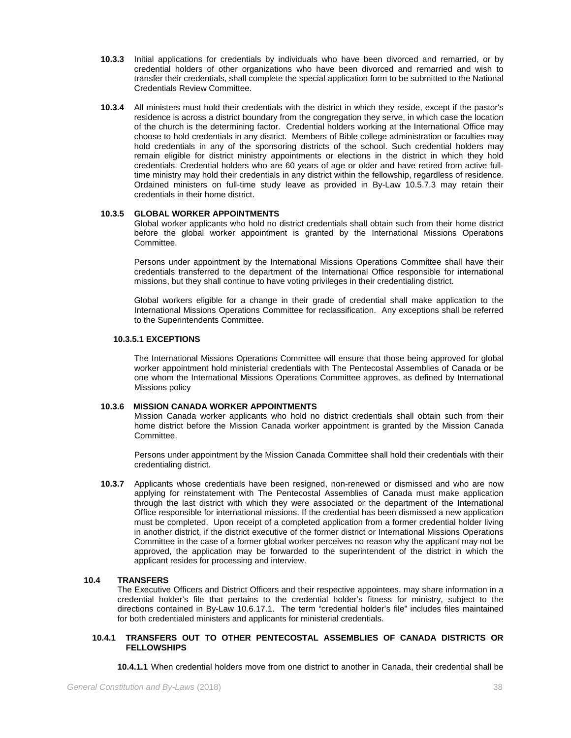- **10.3.3** Initial applications for credentials by individuals who have been divorced and remarried, or by credential holders of other organizations who have been divorced and remarried and wish to transfer their credentials, shall complete the special application form to be submitted to the National Credentials Review Committee.
- **10.3.4** All ministers must hold their credentials with the district in which they reside, except if the pastor's residence is across a district boundary from the congregation they serve, in which case the location of the church is the determining factor. Credential holders working at the International Office may choose to hold credentials in any district. Members of Bible college administration or faculties may hold credentials in any of the sponsoring districts of the school. Such credential holders may remain eligible for district ministry appointments or elections in the district in which they hold credentials. Credential holders who are 60 years of age or older and have retired from active fulltime ministry may hold their credentials in any district within the fellowship, regardless of residence. Ordained ministers on full-time study leave as provided in By-Law 10.5.7.3 may retain their credentials in their home district.

## **10.3.5 GLOBAL WORKER APPOINTMENTS**

Global worker applicants who hold no district credentials shall obtain such from their home district before the global worker appointment is granted by the International Missions Operations Committee.

Persons under appointment by the International Missions Operations Committee shall have their credentials transferred to the department of the International Office responsible for international missions, but they shall continue to have voting privileges in their credentialing district.

Global workers eligible for a change in their grade of credential shall make application to the International Missions Operations Committee for reclassification. Any exceptions shall be referred to the Superintendents Committee.

## **10.3.5.1 EXCEPTIONS**

The International Missions Operations Committee will ensure that those being approved for global worker appointment hold ministerial credentials with The Pentecostal Assemblies of Canada or be one whom the International Missions Operations Committee approves, as defined by International Missions policy

## **10.3.6 MISSION CANADA WORKER APPOINTMENTS**

Mission Canada worker applicants who hold no district credentials shall obtain such from their home district before the Mission Canada worker appointment is granted by the Mission Canada Committee.

Persons under appointment by the Mission Canada Committee shall hold their credentials with their credentialing district.

**10.3.7** Applicants whose credentials have been resigned, non-renewed or dismissed and who are now applying for reinstatement with The Pentecostal Assemblies of Canada must make application through the last district with which they were associated or the department of the International Office responsible for international missions. If the credential has been dismissed a new application must be completed. Upon receipt of a completed application from a former credential holder living in another district, if the district executive of the former district or International Missions Operations Committee in the case of a former global worker perceives no reason why the applicant may not be approved, the application may be forwarded to the superintendent of the district in which the applicant resides for processing and interview.

## **10.4 TRANSFERS**

The Executive Officers and District Officers and their respective appointees, may share information in a credential holder's file that pertains to the credential holder's fitness for ministry, subject to the directions contained in By-Law 10.6.17.1. The term "credential holder's file" includes files maintained for both credentialed ministers and applicants for ministerial credentials.

## **10.4.1 TRANSFERS OUT TO OTHER PENTECOSTAL ASSEMBLIES OF CANADA DISTRICTS OR FELLOWSHIPS**

**10.4.1.1** When credential holders move from one district to another in Canada, their credential shall be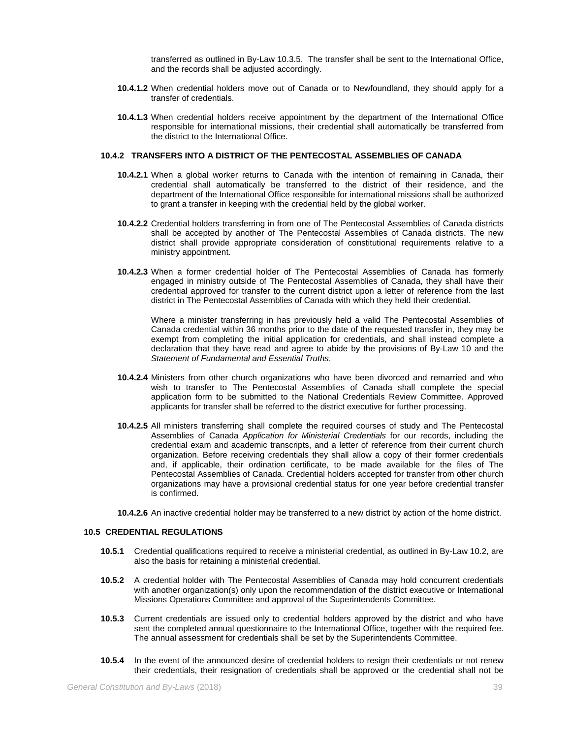transferred as outlined in By-Law 10.3.5. The transfer shall be sent to the International Office, and the records shall be adjusted accordingly.

- **10.4.1.2** When credential holders move out of Canada or to Newfoundland, they should apply for a transfer of credentials.
- **10.4.1.3** When credential holders receive appointment by the department of the International Office responsible for international missions, their credential shall automatically be transferred from the district to the International Office.

## **10.4.2 TRANSFERS INTO A DISTRICT OF THE PENTECOSTAL ASSEMBLIES OF CANADA**

- **10.4.2.1** When a global worker returns to Canada with the intention of remaining in Canada, their credential shall automatically be transferred to the district of their residence, and the department of the International Office responsible for international missions shall be authorized to grant a transfer in keeping with the credential held by the global worker.
- **10.4.2.2** Credential holders transferring in from one of The Pentecostal Assemblies of Canada districts shall be accepted by another of The Pentecostal Assemblies of Canada districts. The new district shall provide appropriate consideration of constitutional requirements relative to a ministry appointment.
- **10.4.2.3** When a former credential holder of The Pentecostal Assemblies of Canada has formerly engaged in ministry outside of The Pentecostal Assemblies of Canada, they shall have their credential approved for transfer to the current district upon a letter of reference from the last district in The Pentecostal Assemblies of Canada with which they held their credential.

Where a minister transferring in has previously held a valid The Pentecostal Assemblies of Canada credential within 36 months prior to the date of the requested transfer in, they may be exempt from completing the initial application for credentials, and shall instead complete a declaration that they have read and agree to abide by the provisions of By-Law 10 and the *Statement of Fundamental and Essential Truths*.

- **10.4.2.4** Ministers from other church organizations who have been divorced and remarried and who wish to transfer to The Pentecostal Assemblies of Canada shall complete the special application form to be submitted to the National Credentials Review Committee. Approved applicants for transfer shall be referred to the district executive for further processing.
- **10.4.2.5** All ministers transferring shall complete the required courses of study and The Pentecostal Assemblies of Canada *Application for Ministerial Credentials* for our records, including the credential exam and academic transcripts, and a letter of reference from their current church organization. Before receiving credentials they shall allow a copy of their former credentials and, if applicable, their ordination certificate, to be made available for the files of The Pentecostal Assemblies of Canada. Credential holders accepted for transfer from other church organizations may have a provisional credential status for one year before credential transfer is confirmed.

**10.4.2.6** An inactive credential holder may be transferred to a new district by action of the home district.

### **10.5 CREDENTIAL REGULATIONS**

- **10.5.1** Credential qualifications required to receive a ministerial credential, as outlined in By-Law 10.2, are also the basis for retaining a ministerial credential.
- **10.5.2** A credential holder with The Pentecostal Assemblies of Canada may hold concurrent credentials with another organization(s) only upon the recommendation of the district executive or International Missions Operations Committee and approval of the Superintendents Committee.
- **10.5.3** Current credentials are issued only to credential holders approved by the district and who have sent the completed annual questionnaire to the International Office, together with the required fee. The annual assessment for credentials shall be set by the Superintendents Committee.
- **10.5.4** In the event of the announced desire of credential holders to resign their credentials or not renew their credentials, their resignation of credentials shall be approved or the credential shall not be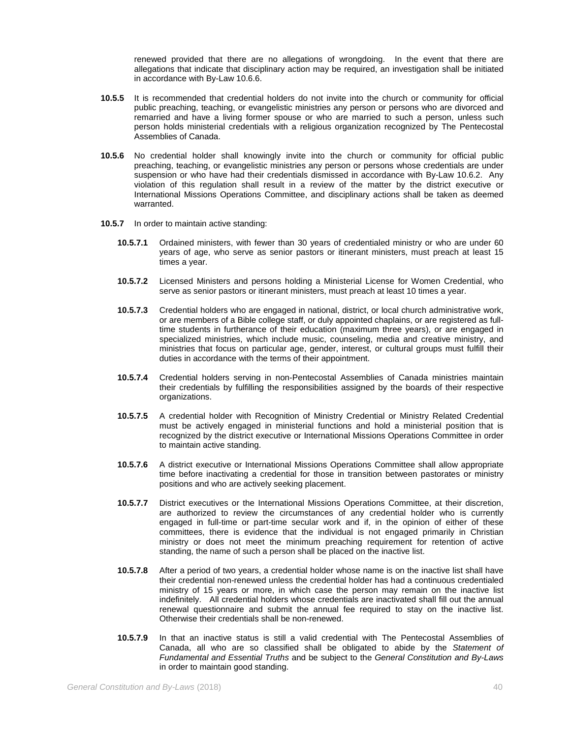renewed provided that there are no allegations of wrongdoing. In the event that there are allegations that indicate that disciplinary action may be required, an investigation shall be initiated in accordance with By-Law 10.6.6.

- **10.5.5** It is recommended that credential holders do not invite into the church or community for official public preaching, teaching, or evangelistic ministries any person or persons who are divorced and remarried and have a living former spouse or who are married to such a person, unless such person holds ministerial credentials with a religious organization recognized by The Pentecostal Assemblies of Canada.
- **10.5.6** No credential holder shall knowingly invite into the church or community for official public preaching, teaching, or evangelistic ministries any person or persons whose credentials are under suspension or who have had their credentials dismissed in accordance with By-Law 10.6.2. Any violation of this regulation shall result in a review of the matter by the district executive or International Missions Operations Committee, and disciplinary actions shall be taken as deemed warranted.
- **10.5.7** In order to maintain active standing:
	- **10.5.7.1** Ordained ministers, with fewer than 30 years of credentialed ministry or who are under 60 years of age, who serve as senior pastors or itinerant ministers, must preach at least 15 times a year.
	- **10.5.7.2** Licensed Ministers and persons holding a Ministerial License for Women Credential, who serve as senior pastors or itinerant ministers, must preach at least 10 times a year.
	- **10.5.7.3** Credential holders who are engaged in national, district, or local church administrative work, or are members of a Bible college staff, or duly appointed chaplains, or are registered as fulltime students in furtherance of their education (maximum three years), or are engaged in specialized ministries, which include music, counseling, media and creative ministry, and ministries that focus on particular age, gender, interest, or cultural groups must fulfill their duties in accordance with the terms of their appointment.
	- **10.5.7.4** Credential holders serving in non-Pentecostal Assemblies of Canada ministries maintain their credentials by fulfilling the responsibilities assigned by the boards of their respective organizations.
	- **10.5.7.5** A credential holder with Recognition of Ministry Credential or Ministry Related Credential must be actively engaged in ministerial functions and hold a ministerial position that is recognized by the district executive or International Missions Operations Committee in order to maintain active standing.
	- **10.5.7.6** A district executive or International Missions Operations Committee shall allow appropriate time before inactivating a credential for those in transition between pastorates or ministry positions and who are actively seeking placement.
	- **10.5.7.7** District executives or the International Missions Operations Committee, at their discretion, are authorized to review the circumstances of any credential holder who is currently engaged in full-time or part-time secular work and if, in the opinion of either of these committees, there is evidence that the individual is not engaged primarily in Christian ministry or does not meet the minimum preaching requirement for retention of active standing, the name of such a person shall be placed on the inactive list.
	- **10.5.7.8** After a period of two years, a credential holder whose name is on the inactive list shall have their credential non-renewed unless the credential holder has had a continuous credentialed ministry of 15 years or more, in which case the person may remain on the inactive list indefinitely. All credential holders whose credentials are inactivated shall fill out the annual renewal questionnaire and submit the annual fee required to stay on the inactive list. Otherwise their credentials shall be non-renewed.
	- **10.5.7.9** In that an inactive status is still a valid credential with The Pentecostal Assemblies of Canada, all who are so classified shall be obligated to abide by the *Statement of Fundamental and Essential Truths* and be subject to the *General Constitution and By-Laws* in order to maintain good standing.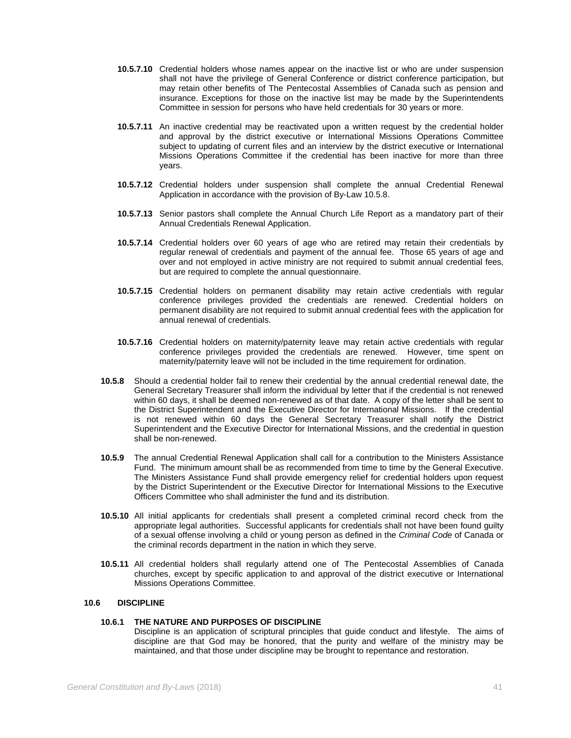- **10.5.7.10** Credential holders whose names appear on the inactive list or who are under suspension shall not have the privilege of General Conference or district conference participation, but may retain other benefits of The Pentecostal Assemblies of Canada such as pension and insurance. Exceptions for those on the inactive list may be made by the Superintendents Committee in session for persons who have held credentials for 30 years or more.
- **10.5.7.11** An inactive credential may be reactivated upon a written request by the credential holder and approval by the district executive or International Missions Operations Committee subject to updating of current files and an interview by the district executive or International Missions Operations Committee if the credential has been inactive for more than three years.
- **10.5.7.12** Credential holders under suspension shall complete the annual Credential Renewal Application in accordance with the provision of By-Law 10.5.8.
- **10.5.7.13** Senior pastors shall complete the Annual Church Life Report as a mandatory part of their Annual Credentials Renewal Application.
- **10.5.7.14** Credential holders over 60 years of age who are retired may retain their credentials by regular renewal of credentials and payment of the annual fee. Those 65 years of age and over and not employed in active ministry are not required to submit annual credential fees, but are required to complete the annual questionnaire.
- **10.5.7.15** Credential holders on permanent disability may retain active credentials with regular conference privileges provided the credentials are renewed. Credential holders on permanent disability are not required to submit annual credential fees with the application for annual renewal of credentials.
- **10.5.7.16** Credential holders on maternity/paternity leave may retain active credentials with regular conference privileges provided the credentials are renewed. However, time spent on maternity/paternity leave will not be included in the time requirement for ordination.
- **10.5.8** Should a credential holder fail to renew their credential by the annual credential renewal date, the General Secretary Treasurer shall inform the individual by letter that if the credential is not renewed within 60 days, it shall be deemed non-renewed as of that date. A copy of the letter shall be sent to the District Superintendent and the Executive Director for International Missions. If the credential is not renewed within 60 days the General Secretary Treasurer shall notify the District Superintendent and the Executive Director for International Missions, and the credential in question shall be non-renewed.
- **10.5.9** The annual Credential Renewal Application shall call for a contribution to the Ministers Assistance Fund. The minimum amount shall be as recommended from time to time by the General Executive. The Ministers Assistance Fund shall provide emergency relief for credential holders upon request by the District Superintendent or the Executive Director for International Missions to the Executive Officers Committee who shall administer the fund and its distribution.
- **10.5.10** All initial applicants for credentials shall present a completed criminal record check from the appropriate legal authorities. Successful applicants for credentials shall not have been found guilty of a sexual offense involving a child or young person as defined in the *Criminal Code* of Canada or the criminal records department in the nation in which they serve.
- **10.5.11** All credential holders shall regularly attend one of The Pentecostal Assemblies of Canada churches, except by specific application to and approval of the district executive or International Missions Operations Committee.

## **10.6 DISCIPLINE**

# **10.6.1 THE NATURE AND PURPOSES OF DISCIPLINE**

Discipline is an application of scriptural principles that guide conduct and lifestyle. The aims of discipline are that God may be honored, that the purity and welfare of the ministry may be maintained, and that those under discipline may be brought to repentance and restoration.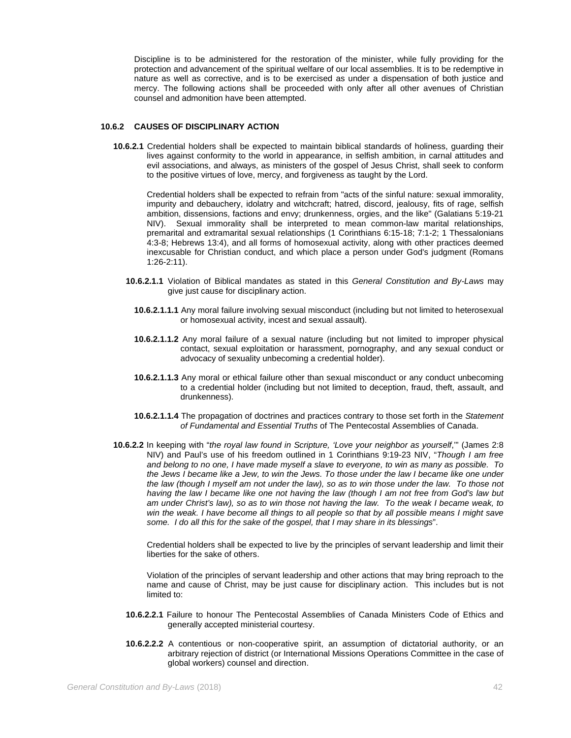Discipline is to be administered for the restoration of the minister, while fully providing for the protection and advancement of the spiritual welfare of our local assemblies. It is to be redemptive in nature as well as corrective, and is to be exercised as under a dispensation of both justice and mercy. The following actions shall be proceeded with only after all other avenues of Christian counsel and admonition have been attempted.

## **10.6.2 CAUSES OF DISCIPLINARY ACTION**

**10.6.2.1** Credential holders shall be expected to maintain biblical standards of holiness, guarding their lives against conformity to the world in appearance, in selfish ambition, in carnal attitudes and evil associations, and always, as ministers of the gospel of Jesus Christ, shall seek to conform to the positive virtues of love, mercy, and forgiveness as taught by the Lord.

Credential holders shall be expected to refrain from "acts of the sinful nature: sexual immorality, impurity and debauchery, idolatry and witchcraft; hatred, discord, jealousy, fits of rage, selfish ambition, dissensions, factions and envy; drunkenness, orgies, and the like" (Galatians 5:19-21 NIV). Sexual immorality shall be interpreted to mean common-law marital relationships, premarital and extramarital sexual relationships (1 Corinthians 6:15-18; 7:1-2; 1 Thessalonians 4:3-8; Hebrews 13:4), and all forms of homosexual activity, along with other practices deemed inexcusable for Christian conduct, and which place a person under God's judgment (Romans 1:26-2:11).

- **10.6.2.1.1** Violation of Biblical mandates as stated in this *General Constitution and By-Laws* may give just cause for disciplinary action.
	- **10.6.2.1.1.1** Any moral failure involving sexual misconduct (including but not limited to heterosexual or homosexual activity, incest and sexual assault).
	- **10.6.2.1.1.2** Any moral failure of a sexual nature (including but not limited to improper physical contact, sexual exploitation or harassment, pornography, and any sexual conduct or advocacy of sexuality unbecoming a credential holder).
	- **10.6.2.1.1.3** Any moral or ethical failure other than sexual misconduct or any conduct unbecoming to a credential holder (including but not limited to deception, fraud, theft, assault, and drunkenness).
	- **10.6.2.1.1.4** The propagation of doctrines and practices contrary to those set forth in the *Statement of Fundamental and Essential Truths* of The Pentecostal Assemblies of Canada.
- **10.6.2.2** In keeping with "*the royal law found in Scripture, 'Love your neighbor as yourself*,'" (James 2:8 NIV) and Paul's use of his freedom outlined in 1 Corinthians 9:19-23 NIV, "*Though I am free and belong to no one, I have made myself a slave to everyone, to win as many as possible. To the Jews I became like a Jew, to win the Jews. To those under the law I became like one under the law (though I myself am not under the law), so as to win those under the law. To those not having the law I became like one not having the law (though I am not free from God's law but am under Christ's law), so as to win those not having the law. To the weak I became weak, to win the weak. I have become all things to all people so that by all possible means I might save some. I do all this for the sake of the gospel, that I may share in its blessings*".

Credential holders shall be expected to live by the principles of servant leadership and limit their liberties for the sake of others.

Violation of the principles of servant leadership and other actions that may bring reproach to the name and cause of Christ, may be just cause for disciplinary action. This includes but is not limited to:

- **10.6.2.2.1** Failure to honour The Pentecostal Assemblies of Canada Ministers Code of Ethics and generally accepted ministerial courtesy.
- **10.6.2.2.2** A contentious or non-cooperative spirit, an assumption of dictatorial authority, or an arbitrary rejection of district (or International Missions Operations Committee in the case of global workers) counsel and direction.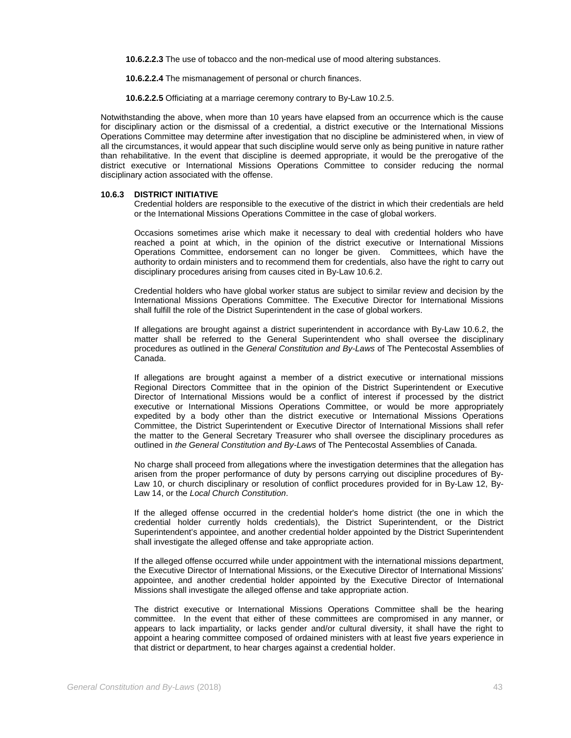**10.6.2.2.3** The use of tobacco and the non-medical use of mood altering substances.

**10.6.2.2.4** The mismanagement of personal or church finances.

**10.6.2.2.5** Officiating at a marriage ceremony contrary to By-Law 10.2.5.

Notwithstanding the above, when more than 10 years have elapsed from an occurrence which is the cause for disciplinary action or the dismissal of a credential, a district executive or the International Missions Operations Committee may determine after investigation that no discipline be administered when, in view of all the circumstances, it would appear that such discipline would serve only as being punitive in nature rather than rehabilitative. In the event that discipline is deemed appropriate, it would be the prerogative of the district executive or International Missions Operations Committee to consider reducing the normal disciplinary action associated with the offense.

### **10.6.3 DISTRICT INITIATIVE**

Credential holders are responsible to the executive of the district in which their credentials are held or the International Missions Operations Committee in the case of global workers.

Occasions sometimes arise which make it necessary to deal with credential holders who have reached a point at which, in the opinion of the district executive or International Missions Operations Committee, endorsement can no longer be given. Committees, which have the authority to ordain ministers and to recommend them for credentials, also have the right to carry out disciplinary procedures arising from causes cited in By-Law 10.6.2.

Credential holders who have global worker status are subject to similar review and decision by the International Missions Operations Committee. The Executive Director for International Missions shall fulfill the role of the District Superintendent in the case of global workers.

If allegations are brought against a district superintendent in accordance with By-Law 10.6.2, the matter shall be referred to the General Superintendent who shall oversee the disciplinary procedures as outlined in the *General Constitution and By-Laws* of The Pentecostal Assemblies of Canada.

If allegations are brought against a member of a district executive or international missions Regional Directors Committee that in the opinion of the District Superintendent or Executive Director of International Missions would be a conflict of interest if processed by the district executive or International Missions Operations Committee, or would be more appropriately expedited by a body other than the district executive or International Missions Operations Committee, the District Superintendent or Executive Director of International Missions shall refer the matter to the General Secretary Treasurer who shall oversee the disciplinary procedures as outlined in *the General Constitution and By-Laws* of The Pentecostal Assemblies of Canada.

No charge shall proceed from allegations where the investigation determines that the allegation has arisen from the proper performance of duty by persons carrying out discipline procedures of By-Law 10, or church disciplinary or resolution of conflict procedures provided for in By-Law 12, By-Law 14, or the *Local Church Constitution*.

If the alleged offense occurred in the credential holder's home district (the one in which the credential holder currently holds credentials), the District Superintendent, or the District Superintendent's appointee, and another credential holder appointed by the District Superintendent shall investigate the alleged offense and take appropriate action.

If the alleged offense occurred while under appointment with the international missions department, the Executive Director of International Missions, or the Executive Director of International Missions' appointee, and another credential holder appointed by the Executive Director of International Missions shall investigate the alleged offense and take appropriate action.

The district executive or International Missions Operations Committee shall be the hearing committee. In the event that either of these committees are compromised in any manner, or appears to lack impartiality, or lacks gender and/or cultural diversity, it shall have the right to appoint a hearing committee composed of ordained ministers with at least five years experience in that district or department, to hear charges against a credential holder.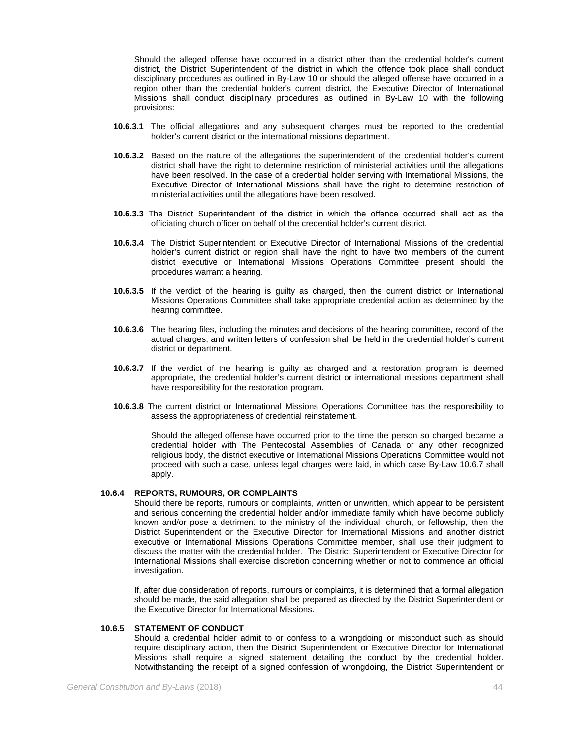Should the alleged offense have occurred in a district other than the credential holder's current district, the District Superintendent of the district in which the offence took place shall conduct disciplinary procedures as outlined in By-Law 10 or should the alleged offense have occurred in a region other than the credential holder's current district, the Executive Director of International Missions shall conduct disciplinary procedures as outlined in By-Law 10 with the following provisions:

- **10.6.3.1** The official allegations and any subsequent charges must be reported to the credential holder's current district or the international missions department.
- **10.6.3.2** Based on the nature of the allegations the superintendent of the credential holder's current district shall have the right to determine restriction of ministerial activities until the allegations have been resolved. In the case of a credential holder serving with International Missions, the Executive Director of International Missions shall have the right to determine restriction of ministerial activities until the allegations have been resolved.
- **10.6.3.3** The District Superintendent of the district in which the offence occurred shall act as the officiating church officer on behalf of the credential holder's current district.
- **10.6.3.4** The District Superintendent or Executive Director of International Missions of the credential holder's current district or region shall have the right to have two members of the current district executive or International Missions Operations Committee present should the procedures warrant a hearing.
- **10.6.3.5** If the verdict of the hearing is guilty as charged, then the current district or International Missions Operations Committee shall take appropriate credential action as determined by the hearing committee.
- **10.6.3.6** The hearing files, including the minutes and decisions of the hearing committee, record of the actual charges, and written letters of confession shall be held in the credential holder's current district or department.
- **10.6.3.7** If the verdict of the hearing is guilty as charged and a restoration program is deemed appropriate, the credential holder's current district or international missions department shall have responsibility for the restoration program.
- **10.6.3.8** The current district or International Missions Operations Committee has the responsibility to assess the appropriateness of credential reinstatement.

Should the alleged offense have occurred prior to the time the person so charged became a credential holder with The Pentecostal Assemblies of Canada or any other recognized religious body, the district executive or International Missions Operations Committee would not proceed with such a case, unless legal charges were laid, in which case By-Law 10.6.7 shall apply.

# **10.6.4 REPORTS, RUMOURS, OR COMPLAINTS**

Should there be reports, rumours or complaints, written or unwritten, which appear to be persistent and serious concerning the credential holder and/or immediate family which have become publicly known and/or pose a detriment to the ministry of the individual, church, or fellowship, then the District Superintendent or the Executive Director for International Missions and another district executive or International Missions Operations Committee member, shall use their judgment to discuss the matter with the credential holder. The District Superintendent or Executive Director for International Missions shall exercise discretion concerning whether or not to commence an official investigation.

If, after due consideration of reports, rumours or complaints, it is determined that a formal allegation should be made, the said allegation shall be prepared as directed by the District Superintendent or the Executive Director for International Missions.

## **10.6.5 STATEMENT OF CONDUCT**

Should a credential holder admit to or confess to a wrongdoing or misconduct such as should require disciplinary action, then the District Superintendent or Executive Director for International Missions shall require a signed statement detailing the conduct by the credential holder. Notwithstanding the receipt of a signed confession of wrongdoing, the District Superintendent or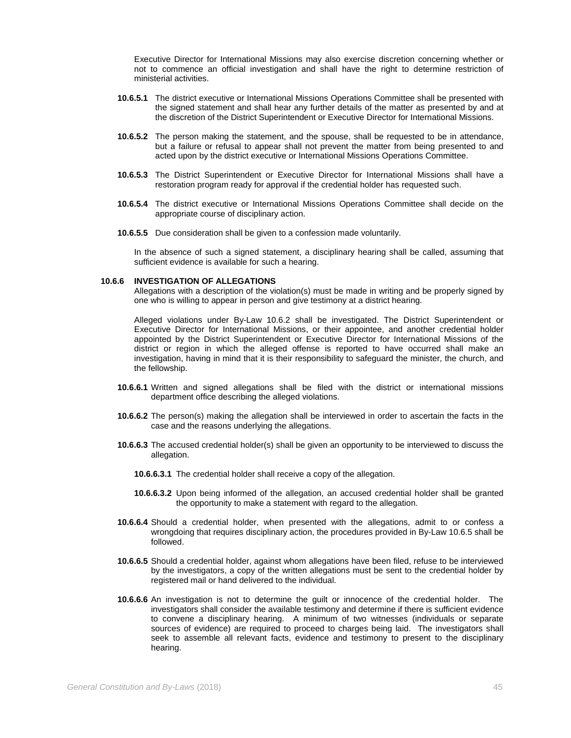Executive Director for International Missions may also exercise discretion concerning whether or not to commence an official investigation and shall have the right to determine restriction of ministerial activities.

- **10.6.5.1** The district executive or International Missions Operations Committee shall be presented with the signed statement and shall hear any further details of the matter as presented by and at the discretion of the District Superintendent or Executive Director for International Missions.
- **10.6.5.2** The person making the statement, and the spouse, shall be requested to be in attendance, but a failure or refusal to appear shall not prevent the matter from being presented to and acted upon by the district executive or International Missions Operations Committee.
- **10.6.5.3** The District Superintendent or Executive Director for International Missions shall have a restoration program ready for approval if the credential holder has requested such.
- **10.6.5.4** The district executive or International Missions Operations Committee shall decide on the appropriate course of disciplinary action.
- **10.6.5.5** Due consideration shall be given to a confession made voluntarily.

In the absence of such a signed statement, a disciplinary hearing shall be called, assuming that sufficient evidence is available for such a hearing.

## **10.6.6 INVESTIGATION OF ALLEGATIONS**

Allegations with a description of the violation(s) must be made in writing and be properly signed by one who is willing to appear in person and give testimony at a district hearing.

Alleged violations under By-Law 10.6.2 shall be investigated. The District Superintendent or Executive Director for International Missions, or their appointee, and another credential holder appointed by the District Superintendent or Executive Director for International Missions of the district or region in which the alleged offense is reported to have occurred shall make an investigation, having in mind that it is their responsibility to safeguard the minister, the church, and the fellowship.

- **10.6.6.1** Written and signed allegations shall be filed with the district or international missions department office describing the alleged violations.
- **10.6.6.2** The person(s) making the allegation shall be interviewed in order to ascertain the facts in the case and the reasons underlying the allegations.
- **10.6.6.3** The accused credential holder(s) shall be given an opportunity to be interviewed to discuss the allegation.
	- **10.6.6.3.1** The credential holder shall receive a copy of the allegation.
	- **10.6.6.3.2** Upon being informed of the allegation, an accused credential holder shall be granted the opportunity to make a statement with regard to the allegation.
- **10.6.6.4** Should a credential holder, when presented with the allegations, admit to or confess a wrongdoing that requires disciplinary action, the procedures provided in By-Law 10.6.5 shall be followed.
- **10.6.6.5** Should a credential holder, against whom allegations have been filed, refuse to be interviewed by the investigators, a copy of the written allegations must be sent to the credential holder by registered mail or hand delivered to the individual.
- **10.6.6.6** An investigation is not to determine the guilt or innocence of the credential holder. The investigators shall consider the available testimony and determine if there is sufficient evidence to convene a disciplinary hearing. A minimum of two witnesses (individuals or separate sources of evidence) are required to proceed to charges being laid. The investigators shall seek to assemble all relevant facts, evidence and testimony to present to the disciplinary hearing.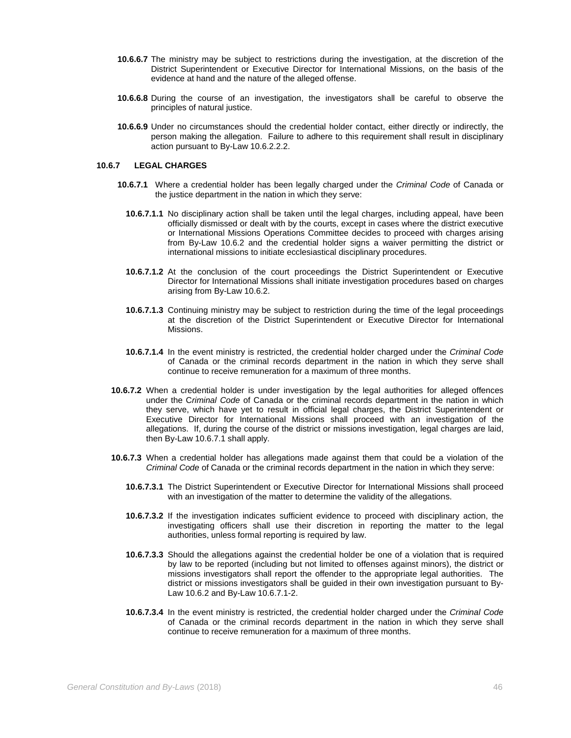- **10.6.6.7** The ministry may be subject to restrictions during the investigation, at the discretion of the District Superintendent or Executive Director for International Missions, on the basis of the evidence at hand and the nature of the alleged offense.
- **10.6.6.8** During the course of an investigation, the investigators shall be careful to observe the principles of natural justice.
- **10.6.6.9** Under no circumstances should the credential holder contact, either directly or indirectly, the person making the allegation. Failure to adhere to this requirement shall result in disciplinary action pursuant to By-Law 10.6.2.2.2.

## **10.6.7 LEGAL CHARGES**

- **10.6.7.1** Where a credential holder has been legally charged under the *Criminal Code* of Canada or the justice department in the nation in which they serve:
	- **10.6.7.1.1** No disciplinary action shall be taken until the legal charges, including appeal, have been officially dismissed or dealt with by the courts, except in cases where the district executive or International Missions Operations Committee decides to proceed with charges arising from By-Law 10.6.2 and the credential holder signs a waiver permitting the district or international missions to initiate ecclesiastical disciplinary procedures.
	- **10.6.7.1.2** At the conclusion of the court proceedings the District Superintendent or Executive Director for International Missions shall initiate investigation procedures based on charges arising from By-Law 10.6.2.
	- **10.6.7.1.3** Continuing ministry may be subject to restriction during the time of the legal proceedings at the discretion of the District Superintendent or Executive Director for International Missions.
	- **10.6.7.1.4** In the event ministry is restricted, the credential holder charged under the *Criminal Code* of Canada or the criminal records department in the nation in which they serve shall continue to receive remuneration for a maximum of three months.
- **10.6.7.2** When a credential holder is under investigation by the legal authorities for alleged offences under the C*riminal Code* of Canada or the criminal records department in the nation in which they serve, which have yet to result in official legal charges, the District Superintendent or Executive Director for International Missions shall proceed with an investigation of the allegations. If, during the course of the district or missions investigation, legal charges are laid, then By-Law 10.6.7.1 shall apply.
- **10.6.7.3** When a credential holder has allegations made against them that could be a violation of the *Criminal Code* of Canada or the criminal records department in the nation in which they serve:
	- **10.6.7.3.1** The District Superintendent or Executive Director for International Missions shall proceed with an investigation of the matter to determine the validity of the allegations.
	- **10.6.7.3.2** If the investigation indicates sufficient evidence to proceed with disciplinary action, the investigating officers shall use their discretion in reporting the matter to the legal authorities, unless formal reporting is required by law.
	- **10.6.7.3.3** Should the allegations against the credential holder be one of a violation that is required by law to be reported (including but not limited to offenses against minors), the district or missions investigators shall report the offender to the appropriate legal authorities. The district or missions investigators shall be guided in their own investigation pursuant to By-Law 10.6.2 and By-Law 10.6.7.1-2.
	- **10.6.7.3.4** In the event ministry is restricted, the credential holder charged under the *Criminal Code* of Canada or the criminal records department in the nation in which they serve shall continue to receive remuneration for a maximum of three months.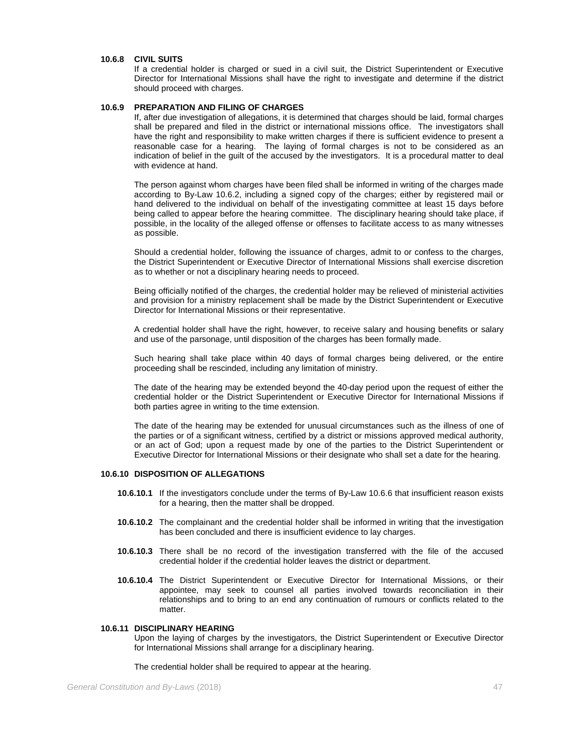### **10.6.8 CIVIL SUITS**

If a credential holder is charged or sued in a civil suit, the District Superintendent or Executive Director for International Missions shall have the right to investigate and determine if the district should proceed with charges.

## **10.6.9 PREPARATION AND FILING OF CHARGES**

If, after due investigation of allegations, it is determined that charges should be laid, formal charges shall be prepared and filed in the district or international missions office. The investigators shall have the right and responsibility to make written charges if there is sufficient evidence to present a reasonable case for a hearing. The laying of formal charges is not to be considered as an indication of belief in the guilt of the accused by the investigators. It is a procedural matter to deal with evidence at hand.

The person against whom charges have been filed shall be informed in writing of the charges made according to By-Law 10.6.2, including a signed copy of the charges; either by registered mail or hand delivered to the individual on behalf of the investigating committee at least 15 days before being called to appear before the hearing committee. The disciplinary hearing should take place, if possible, in the locality of the alleged offense or offenses to facilitate access to as many witnesses as possible.

Should a credential holder, following the issuance of charges, admit to or confess to the charges, the District Superintendent or Executive Director of International Missions shall exercise discretion as to whether or not a disciplinary hearing needs to proceed.

Being officially notified of the charges, the credential holder may be relieved of ministerial activities and provision for a ministry replacement shall be made by the District Superintendent or Executive Director for International Missions or their representative.

A credential holder shall have the right, however, to receive salary and housing benefits or salary and use of the parsonage, until disposition of the charges has been formally made.

Such hearing shall take place within 40 days of formal charges being delivered, or the entire proceeding shall be rescinded, including any limitation of ministry.

The date of the hearing may be extended beyond the 40-day period upon the request of either the credential holder or the District Superintendent or Executive Director for International Missions if both parties agree in writing to the time extension.

The date of the hearing may be extended for unusual circumstances such as the illness of one of the parties or of a significant witness, certified by a district or missions approved medical authority, or an act of God; upon a request made by one of the parties to the District Superintendent or Executive Director for International Missions or their designate who shall set a date for the hearing.

### **10.6.10 DISPOSITION OF ALLEGATIONS**

- **10.6.10.1** If the investigators conclude under the terms of By-Law 10.6.6 that insufficient reason exists for a hearing, then the matter shall be dropped.
- **10.6.10.2** The complainant and the credential holder shall be informed in writing that the investigation has been concluded and there is insufficient evidence to lay charges.
- **10.6.10.3** There shall be no record of the investigation transferred with the file of the accused credential holder if the credential holder leaves the district or department.
- **10.6.10.4** The District Superintendent or Executive Director for International Missions, or their appointee, may seek to counsel all parties involved towards reconciliation in their relationships and to bring to an end any continuation of rumours or conflicts related to the matter.

## **10.6.11 DISCIPLINARY HEARING**

Upon the laying of charges by the investigators, the District Superintendent or Executive Director for International Missions shall arrange for a disciplinary hearing.

The credential holder shall be required to appear at the hearing.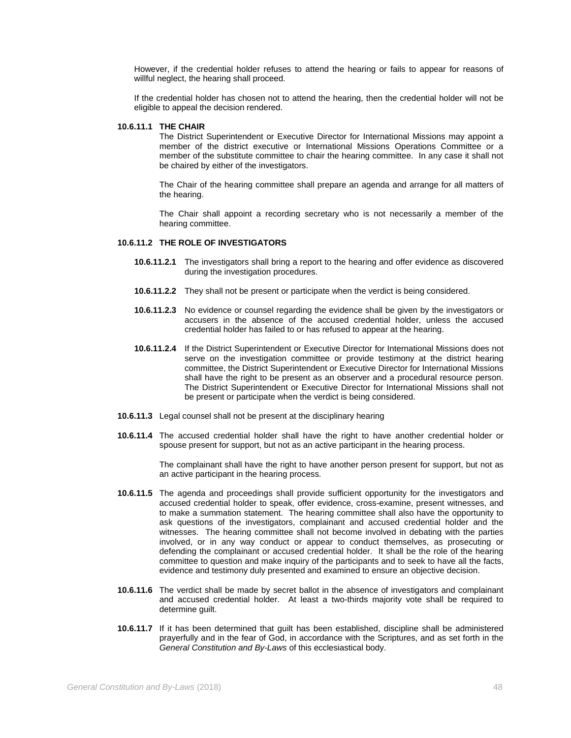However, if the credential holder refuses to attend the hearing or fails to appear for reasons of willful neglect, the hearing shall proceed.

If the credential holder has chosen not to attend the hearing, then the credential holder will not be eligible to appeal the decision rendered.

### **10.6.11.1 THE CHAIR**

The District Superintendent or Executive Director for International Missions may appoint a member of the district executive or International Missions Operations Committee or a member of the substitute committee to chair the hearing committee. In any case it shall not be chaired by either of the investigators.

The Chair of the hearing committee shall prepare an agenda and arrange for all matters of the hearing.

The Chair shall appoint a recording secretary who is not necessarily a member of the hearing committee.

## **10.6.11.2 THE ROLE OF INVESTIGATORS**

- **10.6.11.2.1** The investigators shall bring a report to the hearing and offer evidence as discovered during the investigation procedures.
- **10.6.11.2.2** They shall not be present or participate when the verdict is being considered.
- **10.6.11.2.3** No evidence or counsel regarding the evidence shall be given by the investigators or accusers in the absence of the accused credential holder, unless the accused credential holder has failed to or has refused to appear at the hearing.
- **10.6.11.2.4** If the District Superintendent or Executive Director for International Missions does not serve on the investigation committee or provide testimony at the district hearing committee, the District Superintendent or Executive Director for International Missions shall have the right to be present as an observer and a procedural resource person. The District Superintendent or Executive Director for International Missions shall not be present or participate when the verdict is being considered.
- **10.6.11.3** Legal counsel shall not be present at the disciplinary hearing
- **10.6.11.4** The accused credential holder shall have the right to have another credential holder or spouse present for support, but not as an active participant in the hearing process.

The complainant shall have the right to have another person present for support, but not as an active participant in the hearing process.

- **10.6.11.5** The agenda and proceedings shall provide sufficient opportunity for the investigators and accused credential holder to speak, offer evidence, cross-examine, present witnesses, and to make a summation statement. The hearing committee shall also have the opportunity to ask questions of the investigators, complainant and accused credential holder and the witnesses. The hearing committee shall not become involved in debating with the parties involved, or in any way conduct or appear to conduct themselves, as prosecuting or defending the complainant or accused credential holder. It shall be the role of the hearing committee to question and make inquiry of the participants and to seek to have all the facts, evidence and testimony duly presented and examined to ensure an objective decision.
- **10.6.11.6** The verdict shall be made by secret ballot in the absence of investigators and complainant and accused credential holder. At least a two-thirds majority vote shall be required to determine guilt.
- **10.6.11.7** If it has been determined that guilt has been established, discipline shall be administered prayerfully and in the fear of God, in accordance with the Scriptures, and as set forth in the *General Constitution and By-Laws* of this ecclesiastical body.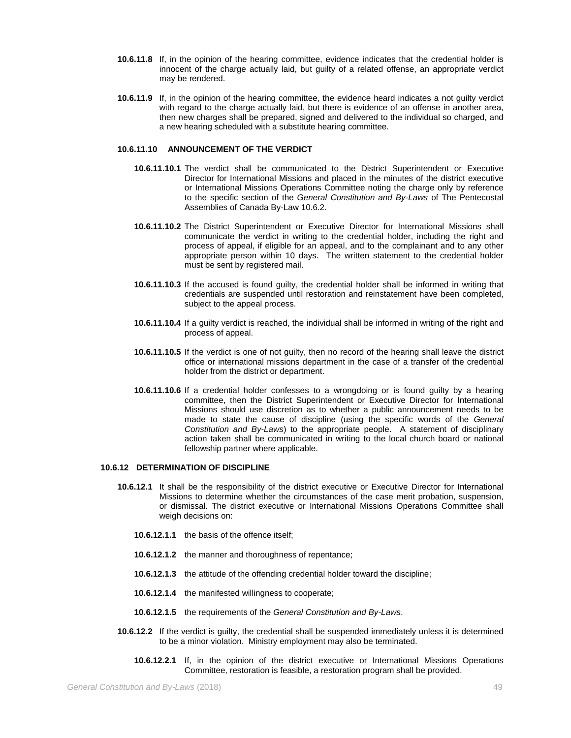- **10.6.11.8** If, in the opinion of the hearing committee, evidence indicates that the credential holder is innocent of the charge actually laid, but guilty of a related offense, an appropriate verdict may be rendered.
- **10.6.11.9** If, in the opinion of the hearing committee, the evidence heard indicates a not guilty verdict with regard to the charge actually laid, but there is evidence of an offense in another area, then new charges shall be prepared, signed and delivered to the individual so charged, and a new hearing scheduled with a substitute hearing committee.

## **10.6.11.10 ANNOUNCEMENT OF THE VERDICT**

- **10.6.11.10.1** The verdict shall be communicated to the District Superintendent or Executive Director for International Missions and placed in the minutes of the district executive or International Missions Operations Committee noting the charge only by reference to the specific section of the *General Constitution and By-Laws* of The Pentecostal Assemblies of Canada By-Law 10.6.2.
- **10.6.11.10.2** The District Superintendent or Executive Director for International Missions shall communicate the verdict in writing to the credential holder, including the right and process of appeal, if eligible for an appeal, and to the complainant and to any other appropriate person within 10 days. The written statement to the credential holder must be sent by registered mail.
- **10.6.11.10.3** If the accused is found guilty, the credential holder shall be informed in writing that credentials are suspended until restoration and reinstatement have been completed, subject to the appeal process.
- **10.6.11.10.4** If a guilty verdict is reached, the individual shall be informed in writing of the right and process of appeal.
- **10.6.11.10.5** If the verdict is one of not guilty, then no record of the hearing shall leave the district office or international missions department in the case of a transfer of the credential holder from the district or department.
- **10.6.11.10.6** If a credential holder confesses to a wrongdoing or is found guilty by a hearing committee, then the District Superintendent or Executive Director for International Missions should use discretion as to whether a public announcement needs to be made to state the cause of discipline (using the specific words of the *General Constitution and By-Laws*) to the appropriate people. A statement of disciplinary action taken shall be communicated in writing to the local church board or national fellowship partner where applicable.

# **10.6.12 DETERMINATION OF DISCIPLINE**

- **10.6.12.1** It shall be the responsibility of the district executive or Executive Director for International Missions to determine whether the circumstances of the case merit probation, suspension, or dismissal. The district executive or International Missions Operations Committee shall weigh decisions on:
	- **10.6.12.1.1** the basis of the offence itself;
	- **10.6.12.1.2** the manner and thoroughness of repentance;
	- **10.6.12.1.3** the attitude of the offending credential holder toward the discipline;
	- **10.6.12.1.4** the manifested willingness to cooperate;
	- **10.6.12.1.5** the requirements of the *General Constitution and By-Laws*.
- **10.6.12.2** If the verdict is guilty, the credential shall be suspended immediately unless it is determined to be a minor violation. Ministry employment may also be terminated.
	- **10.6.12.2.1** If, in the opinion of the district executive or International Missions Operations Committee, restoration is feasible, a restoration program shall be provided.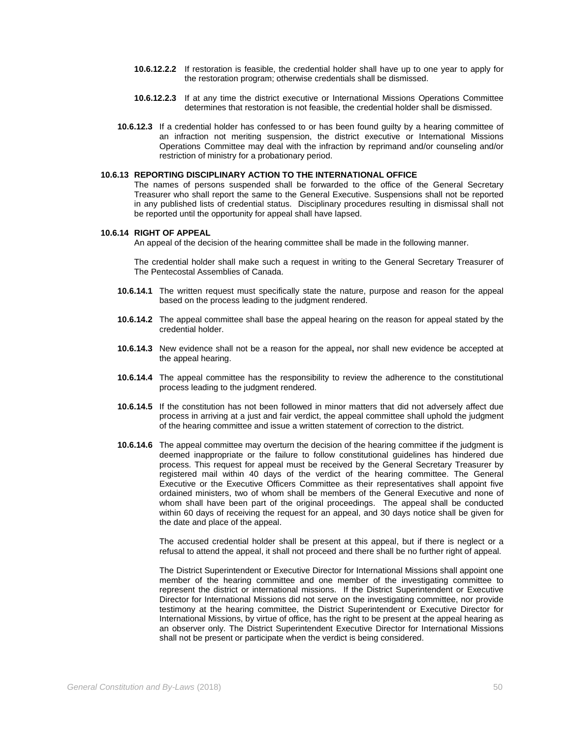- **10.6.12.2.2** If restoration is feasible, the credential holder shall have up to one year to apply for the restoration program; otherwise credentials shall be dismissed.
- **10.6.12.2.3** If at any time the district executive or International Missions Operations Committee determines that restoration is not feasible, the credential holder shall be dismissed.
- **10.6.12.3** If a credential holder has confessed to or has been found guilty by a hearing committee of an infraction not meriting suspension, the district executive or International Missions Operations Committee may deal with the infraction by reprimand and/or counseling and/or restriction of ministry for a probationary period.

## **10.6.13 REPORTING DISCIPLINARY ACTION TO THE INTERNATIONAL OFFICE**

The names of persons suspended shall be forwarded to the office of the General Secretary Treasurer who shall report the same to the General Executive. Suspensions shall not be reported in any published lists of credential status. Disciplinary procedures resulting in dismissal shall not be reported until the opportunity for appeal shall have lapsed.

### **10.6.14 RIGHT OF APPEAL**

An appeal of the decision of the hearing committee shall be made in the following manner.

The credential holder shall make such a request in writing to the General Secretary Treasurer of The Pentecostal Assemblies of Canada.

- **10.6.14.1** The written request must specifically state the nature, purpose and reason for the appeal based on the process leading to the judgment rendered.
- **10.6.14.2** The appeal committee shall base the appeal hearing on the reason for appeal stated by the credential holder.
- **10.6.14.3** New evidence shall not be a reason for the appeal**,** nor shall new evidence be accepted at the appeal hearing.
- **10.6.14.4** The appeal committee has the responsibility to review the adherence to the constitutional process leading to the judgment rendered.
- **10.6.14.5** If the constitution has not been followed in minor matters that did not adversely affect due process in arriving at a just and fair verdict, the appeal committee shall uphold the judgment of the hearing committee and issue a written statement of correction to the district.
- **10.6.14.6** The appeal committee may overturn the decision of the hearing committee if the judgment is deemed inappropriate or the failure to follow constitutional guidelines has hindered due process. This request for appeal must be received by the General Secretary Treasurer by registered mail within 40 days of the verdict of the hearing committee. The General Executive or the Executive Officers Committee as their representatives shall appoint five ordained ministers, two of whom shall be members of the General Executive and none of whom shall have been part of the original proceedings. The appeal shall be conducted within 60 days of receiving the request for an appeal, and 30 days notice shall be given for the date and place of the appeal.

The accused credential holder shall be present at this appeal, but if there is neglect or a refusal to attend the appeal, it shall not proceed and there shall be no further right of appeal.

The District Superintendent or Executive Director for International Missions shall appoint one member of the hearing committee and one member of the investigating committee to represent the district or international missions. If the District Superintendent or Executive Director for International Missions did not serve on the investigating committee, nor provide testimony at the hearing committee, the District Superintendent or Executive Director for International Missions, by virtue of office, has the right to be present at the appeal hearing as an observer only. The District Superintendent Executive Director for International Missions shall not be present or participate when the verdict is being considered.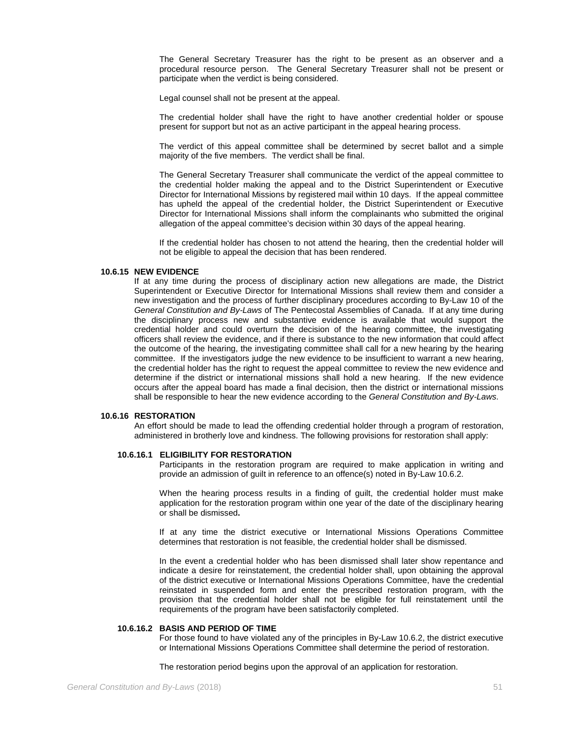The General Secretary Treasurer has the right to be present as an observer and a procedural resource person. The General Secretary Treasurer shall not be present or participate when the verdict is being considered.

Legal counsel shall not be present at the appeal.

The credential holder shall have the right to have another credential holder or spouse present for support but not as an active participant in the appeal hearing process.

The verdict of this appeal committee shall be determined by secret ballot and a simple majority of the five members. The verdict shall be final.

The General Secretary Treasurer shall communicate the verdict of the appeal committee to the credential holder making the appeal and to the District Superintendent or Executive Director for International Missions by registered mail within 10 days. If the appeal committee has upheld the appeal of the credential holder, the District Superintendent or Executive Director for International Missions shall inform the complainants who submitted the original allegation of the appeal committee's decision within 30 days of the appeal hearing.

If the credential holder has chosen to not attend the hearing, then the credential holder will not be eligible to appeal the decision that has been rendered.

## **10.6.15 NEW EVIDENCE**

If at any time during the process of disciplinary action new allegations are made, the District Superintendent or Executive Director for International Missions shall review them and consider a new investigation and the process of further disciplinary procedures according to By-Law 10 of the *General Constitution and By-Laws* of The Pentecostal Assemblies of Canada. If at any time during the disciplinary process new and substantive evidence is available that would support the credential holder and could overturn the decision of the hearing committee, the investigating officers shall review the evidence, and if there is substance to the new information that could affect the outcome of the hearing, the investigating committee shall call for a new hearing by the hearing committee. If the investigators judge the new evidence to be insufficient to warrant a new hearing, the credential holder has the right to request the appeal committee to review the new evidence and determine if the district or international missions shall hold a new hearing. If the new evidence occurs after the appeal board has made a final decision, then the district or international missions shall be responsible to hear the new evidence according to the *General Constitution and By-Laws*.

### **10.6.16 RESTORATION**

An effort should be made to lead the offending credential holder through a program of restoration, administered in brotherly love and kindness. The following provisions for restoration shall apply:

### **10.6.16.1 ELIGIBILITY FOR RESTORATION**

Participants in the restoration program are required to make application in writing and provide an admission of guilt in reference to an offence(s) noted in By-Law 10.6.2.

When the hearing process results in a finding of guilt, the credential holder must make application for the restoration program within one year of the date of the disciplinary hearing or shall be dismissed**.**

If at any time the district executive or International Missions Operations Committee determines that restoration is not feasible, the credential holder shall be dismissed.

In the event a credential holder who has been dismissed shall later show repentance and indicate a desire for reinstatement, the credential holder shall, upon obtaining the approval of the district executive or International Missions Operations Committee, have the credential reinstated in suspended form and enter the prescribed restoration program, with the provision that the credential holder shall not be eligible for full reinstatement until the requirements of the program have been satisfactorily completed.

#### **10.6.16.2 BASIS AND PERIOD OF TIME**

For those found to have violated any of the principles in By-Law 10.6.2, the district executive or International Missions Operations Committee shall determine the period of restoration.

The restoration period begins upon the approval of an application for restoration.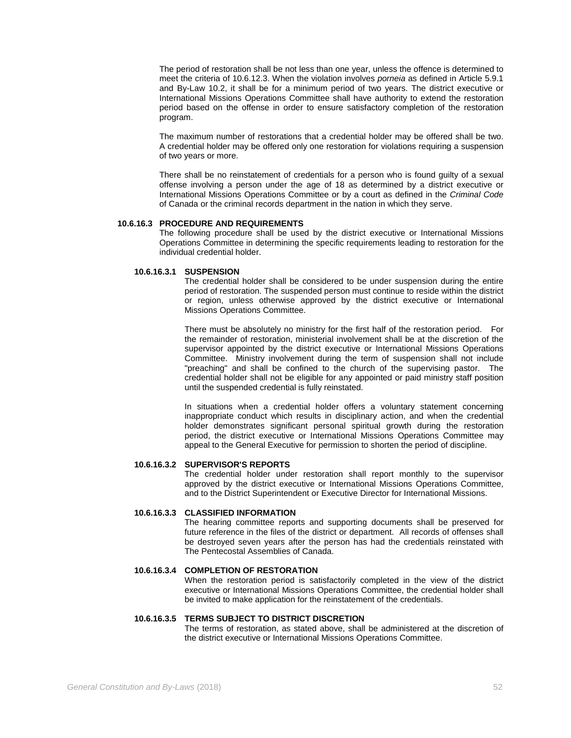The period of restoration shall be not less than one year, unless the offence is determined to meet the criteria of 10.6.12.3. When the violation involves *porneia* as defined in Article 5.9.1 and By-Law 10.2, it shall be for a minimum period of two years. The district executive or International Missions Operations Committee shall have authority to extend the restoration period based on the offense in order to ensure satisfactory completion of the restoration program.

The maximum number of restorations that a credential holder may be offered shall be two. A credential holder may be offered only one restoration for violations requiring a suspension of two years or more.

There shall be no reinstatement of credentials for a person who is found guilty of a sexual offense involving a person under the age of 18 as determined by a district executive or International Missions Operations Committee or by a court as defined in the *Criminal Code* of Canada or the criminal records department in the nation in which they serve.

### **10.6.16.3 PROCEDURE AND REQUIREMENTS**

The following procedure shall be used by the district executive or International Missions Operations Committee in determining the specific requirements leading to restoration for the individual credential holder.

## **10.6.16.3.1 SUSPENSION**

The credential holder shall be considered to be under suspension during the entire period of restoration. The suspended person must continue to reside within the district or region, unless otherwise approved by the district executive or International Missions Operations Committee.

There must be absolutely no ministry for the first half of the restoration period. For the remainder of restoration, ministerial involvement shall be at the discretion of the supervisor appointed by the district executive or International Missions Operations Committee. Ministry involvement during the term of suspension shall not include "preaching" and shall be confined to the church of the supervising pastor. The credential holder shall not be eligible for any appointed or paid ministry staff position until the suspended credential is fully reinstated.

In situations when a credential holder offers a voluntary statement concerning inappropriate conduct which results in disciplinary action, and when the credential holder demonstrates significant personal spiritual growth during the restoration period, the district executive or International Missions Operations Committee may appeal to the General Executive for permission to shorten the period of discipline.

### **10.6.16.3.2 SUPERVISOR'S REPORTS**

The credential holder under restoration shall report monthly to the supervisor approved by the district executive or International Missions Operations Committee, and to the District Superintendent or Executive Director for International Missions.

# **10.6.16.3.3 CLASSIFIED INFORMATION**

The hearing committee reports and supporting documents shall be preserved for future reference in the files of the district or department. All records of offenses shall be destroyed seven years after the person has had the credentials reinstated with The Pentecostal Assemblies of Canada.

### **10.6.16.3.4 COMPLETION OF RESTORATION**

When the restoration period is satisfactorily completed in the view of the district executive or International Missions Operations Committee, the credential holder shall be invited to make application for the reinstatement of the credentials.

### **10.6.16.3.5 TERMS SUBJECT TO DISTRICT DISCRETION**

The terms of restoration, as stated above, shall be administered at the discretion of the district executive or International Missions Operations Committee.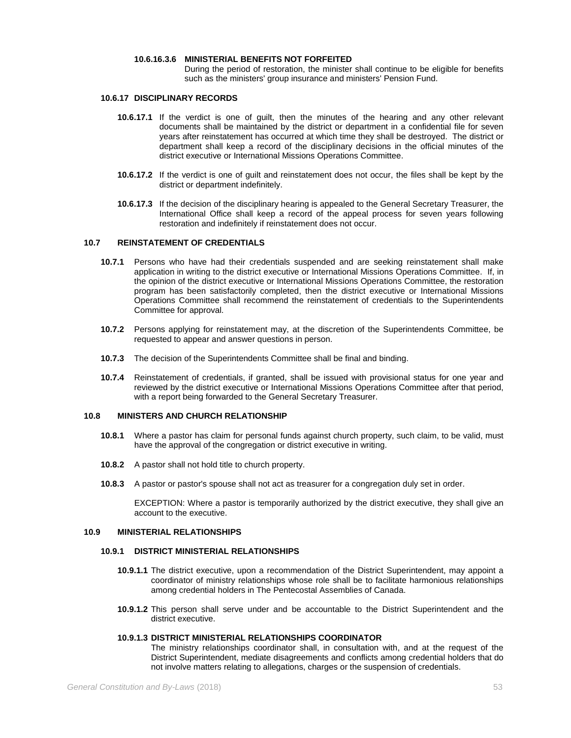### **10.6.16.3.6 MINISTERIAL BENEFITS NOT FORFEITED**

During the period of restoration, the minister shall continue to be eligible for benefits such as the ministers' group insurance and ministers' Pension Fund.

## **10.6.17 DISCIPLINARY RECORDS**

- **10.6.17.1** If the verdict is one of guilt, then the minutes of the hearing and any other relevant documents shall be maintained by the district or department in a confidential file for seven years after reinstatement has occurred at which time they shall be destroyed. The district or department shall keep a record of the disciplinary decisions in the official minutes of the district executive or International Missions Operations Committee.
- **10.6.17.2** If the verdict is one of guilt and reinstatement does not occur, the files shall be kept by the district or department indefinitely.
- **10.6.17.3** If the decision of the disciplinary hearing is appealed to the General Secretary Treasurer, the International Office shall keep a record of the appeal process for seven years following restoration and indefinitely if reinstatement does not occur.

## **10.7 REINSTATEMENT OF CREDENTIALS**

- **10.7.1** Persons who have had their credentials suspended and are seeking reinstatement shall make application in writing to the district executive or International Missions Operations Committee. If, in the opinion of the district executive or International Missions Operations Committee, the restoration program has been satisfactorily completed, then the district executive or International Missions Operations Committee shall recommend the reinstatement of credentials to the Superintendents Committee for approval.
- **10.7.2** Persons applying for reinstatement may, at the discretion of the Superintendents Committee, be requested to appear and answer questions in person.
- **10.7.3** The decision of the Superintendents Committee shall be final and binding.
- **10.7.4** Reinstatement of credentials, if granted, shall be issued with provisional status for one year and reviewed by the district executive or International Missions Operations Committee after that period, with a report being forwarded to the General Secretary Treasurer.

## **10.8 MINISTERS AND CHURCH RELATIONSHIP**

- **10.8.1** Where a pastor has claim for personal funds against church property, such claim, to be valid, must have the approval of the congregation or district executive in writing.
- **10.8.2** A pastor shall not hold title to church property.
- **10.8.3** A pastor or pastor's spouse shall not act as treasurer for a congregation duly set in order.

EXCEPTION: Where a pastor is temporarily authorized by the district executive, they shall give an account to the executive.

#### **10.9 MINISTERIAL RELATIONSHIPS**

### **10.9.1 DISTRICT MINISTERIAL RELATIONSHIPS**

- **10.9.1.1** The district executive, upon a recommendation of the District Superintendent, may appoint a coordinator of ministry relationships whose role shall be to facilitate harmonious relationships among credential holders in The Pentecostal Assemblies of Canada.
- **10.9.1.2** This person shall serve under and be accountable to the District Superintendent and the district executive.

# **10.9.1.3 DISTRICT MINISTERIAL RELATIONSHIPS COORDINATOR**

The ministry relationships coordinator shall, in consultation with, and at the request of the District Superintendent, mediate disagreements and conflicts among credential holders that do not involve matters relating to allegations, charges or the suspension of credentials.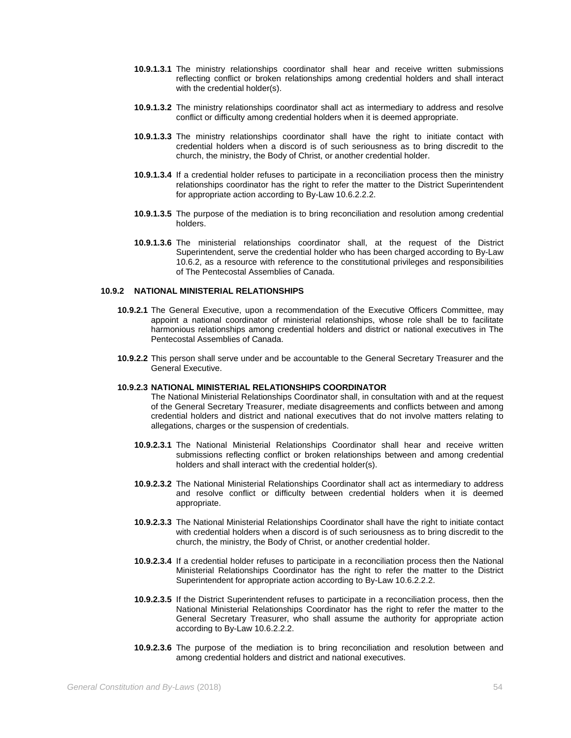- **10.9.1.3.1** The ministry relationships coordinator shall hear and receive written submissions reflecting conflict or broken relationships among credential holders and shall interact with the credential holder(s).
- **10.9.1.3.2** The ministry relationships coordinator shall act as intermediary to address and resolve conflict or difficulty among credential holders when it is deemed appropriate.
- **10.9.1.3.3** The ministry relationships coordinator shall have the right to initiate contact with credential holders when a discord is of such seriousness as to bring discredit to the church, the ministry, the Body of Christ, or another credential holder.
- **10.9.1.3.4** If a credential holder refuses to participate in a reconciliation process then the ministry relationships coordinator has the right to refer the matter to the District Superintendent for appropriate action according to By-Law 10.6.2.2.2.
- **10.9.1.3.5** The purpose of the mediation is to bring reconciliation and resolution among credential holders.
- **10.9.1.3.6** The ministerial relationships coordinator shall, at the request of the District Superintendent, serve the credential holder who has been charged according to By-Law 10.6.2, as a resource with reference to the constitutional privileges and responsibilities of The Pentecostal Assemblies of Canada.

### **10.9.2 NATIONAL MINISTERIAL RELATIONSHIPS**

- **10.9.2.1** The General Executive, upon a recommendation of the Executive Officers Committee, may appoint a national coordinator of ministerial relationships, whose role shall be to facilitate harmonious relationships among credential holders and district or national executives in The Pentecostal Assemblies of Canada.
- **10.9.2.2** This person shall serve under and be accountable to the General Secretary Treasurer and the General Executive.

## **10.9.2.3 NATIONAL MINISTERIAL RELATIONSHIPS COORDINATOR**

The National Ministerial Relationships Coordinator shall, in consultation with and at the request of the General Secretary Treasurer, mediate disagreements and conflicts between and among credential holders and district and national executives that do not involve matters relating to allegations, charges or the suspension of credentials.

- **10.9.2.3.1** The National Ministerial Relationships Coordinator shall hear and receive written submissions reflecting conflict or broken relationships between and among credential holders and shall interact with the credential holder(s).
- **10.9.2.3.2** The National Ministerial Relationships Coordinator shall act as intermediary to address and resolve conflict or difficulty between credential holders when it is deemed appropriate.
- **10.9.2.3.3** The National Ministerial Relationships Coordinator shall have the right to initiate contact with credential holders when a discord is of such seriousness as to bring discredit to the church, the ministry, the Body of Christ, or another credential holder.
- **10.9.2.3.4** If a credential holder refuses to participate in a reconciliation process then the National Ministerial Relationships Coordinator has the right to refer the matter to the District Superintendent for appropriate action according to By-Law 10.6.2.2.2.
- **10.9.2.3.5** If the District Superintendent refuses to participate in a reconciliation process, then the National Ministerial Relationships Coordinator has the right to refer the matter to the General Secretary Treasurer, who shall assume the authority for appropriate action according to By-Law 10.6.2.2.2.
- **10.9.2.3.6** The purpose of the mediation is to bring reconciliation and resolution between and among credential holders and district and national executives.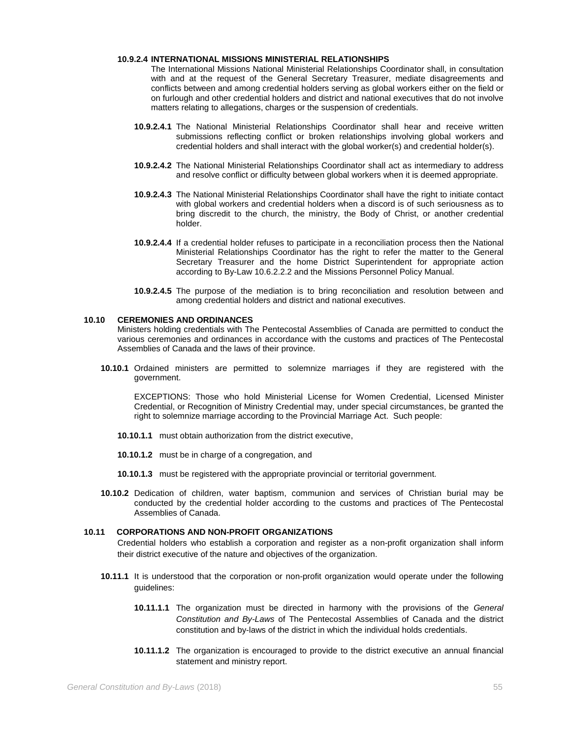### **10.9.2.4 INTERNATIONAL MISSIONS MINISTERIAL RELATIONSHIPS**

The International Missions National Ministerial Relationships Coordinator shall, in consultation with and at the request of the General Secretary Treasurer, mediate disagreements and conflicts between and among credential holders serving as global workers either on the field or on furlough and other credential holders and district and national executives that do not involve matters relating to allegations, charges or the suspension of credentials.

- **10.9.2.4.1** The National Ministerial Relationships Coordinator shall hear and receive written submissions reflecting conflict or broken relationships involving global workers and credential holders and shall interact with the global worker(s) and credential holder(s).
- **10.9.2.4.2** The National Ministerial Relationships Coordinator shall act as intermediary to address and resolve conflict or difficulty between global workers when it is deemed appropriate.
- **10.9.2.4.3** The National Ministerial Relationships Coordinator shall have the right to initiate contact with global workers and credential holders when a discord is of such seriousness as to bring discredit to the church, the ministry, the Body of Christ, or another credential holder.
- **10.9.2.4.4** If a credential holder refuses to participate in a reconciliation process then the National Ministerial Relationships Coordinator has the right to refer the matter to the General Secretary Treasurer and the home District Superintendent for appropriate action according to By-Law 10.6.2.2.2 and the Missions Personnel Policy Manual.
- **10.9.2.4.5** The purpose of the mediation is to bring reconciliation and resolution between and among credential holders and district and national executives.

### **10.10 CEREMONIES AND ORDINANCES**

Ministers holding credentials with The Pentecostal Assemblies of Canada are permitted to conduct the various ceremonies and ordinances in accordance with the customs and practices of The Pentecostal Assemblies of Canada and the laws of their province.

**10.10.1** Ordained ministers are permitted to solemnize marriages if they are registered with the government.

EXCEPTIONS: Those who hold Ministerial License for Women Credential, Licensed Minister Credential, or Recognition of Ministry Credential may, under special circumstances, be granted the right to solemnize marriage according to the Provincial Marriage Act. Such people:

- **10.10.1.1** must obtain authorization from the district executive,
- **10.10.1.2** must be in charge of a congregation, and
- **10.10.1.3** must be registered with the appropriate provincial or territorial government.
- **10.10.2** Dedication of children, water baptism, communion and services of Christian burial may be conducted by the credential holder according to the customs and practices of The Pentecostal Assemblies of Canada.

### **10.11 CORPORATIONS AND NON-PROFIT ORGANIZATIONS**

Credential holders who establish a corporation and register as a non-profit organization shall inform their district executive of the nature and objectives of the organization.

- **10.11.1** It is understood that the corporation or non-profit organization would operate under the following guidelines:
	- **10.11.1.1** The organization must be directed in harmony with the provisions of the *General Constitution and By-Laws* of The Pentecostal Assemblies of Canada and the district constitution and by-laws of the district in which the individual holds credentials.
	- **10.11.1.2** The organization is encouraged to provide to the district executive an annual financial statement and ministry report.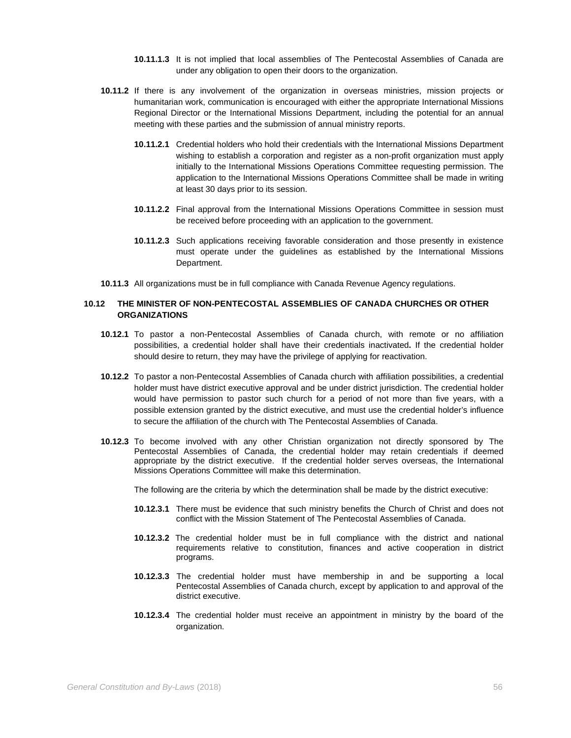- **10.11.1.3** It is not implied that local assemblies of The Pentecostal Assemblies of Canada are under any obligation to open their doors to the organization.
- **10.11.2** If there is any involvement of the organization in overseas ministries, mission projects or humanitarian work, communication is encouraged with either the appropriate International Missions Regional Director or the International Missions Department, including the potential for an annual meeting with these parties and the submission of annual ministry reports.
	- **10.11.2.1** Credential holders who hold their credentials with the International Missions Department wishing to establish a corporation and register as a non-profit organization must apply initially to the International Missions Operations Committee requesting permission. The application to the International Missions Operations Committee shall be made in writing at least 30 days prior to its session.
	- **10.11.2.2** Final approval from the International Missions Operations Committee in session must be received before proceeding with an application to the government.
	- **10.11.2.3** Such applications receiving favorable consideration and those presently in existence must operate under the guidelines as established by the International Missions Department.
- **10.11.3** All organizations must be in full compliance with Canada Revenue Agency regulations.

# **10.12 THE MINISTER OF NON-PENTECOSTAL ASSEMBLIES OF CANADA CHURCHES OR OTHER ORGANIZATIONS**

- **10.12.1** To pastor a non-Pentecostal Assemblies of Canada church, with remote or no affiliation possibilities, a credential holder shall have their credentials inactivated**.** If the credential holder should desire to return, they may have the privilege of applying for reactivation.
- **10.12.2** To pastor a non-Pentecostal Assemblies of Canada church with affiliation possibilities, a credential holder must have district executive approval and be under district jurisdiction. The credential holder would have permission to pastor such church for a period of not more than five years, with a possible extension granted by the district executive, and must use the credential holder's influence to secure the affiliation of the church with The Pentecostal Assemblies of Canada.
- **10.12.3** To become involved with any other Christian organization not directly sponsored by The Pentecostal Assemblies of Canada, the credential holder may retain credentials if deemed appropriate by the district executive. If the credential holder serves overseas, the International Missions Operations Committee will make this determination.

The following are the criteria by which the determination shall be made by the district executive:

- **10.12.3.1** There must be evidence that such ministry benefits the Church of Christ and does not conflict with the Mission Statement of The Pentecostal Assemblies of Canada.
- **10.12.3.2** The credential holder must be in full compliance with the district and national requirements relative to constitution, finances and active cooperation in district programs.
- **10.12.3.3** The credential holder must have membership in and be supporting a local Pentecostal Assemblies of Canada church, except by application to and approval of the district executive.
- **10.12.3.4** The credential holder must receive an appointment in ministry by the board of the organization.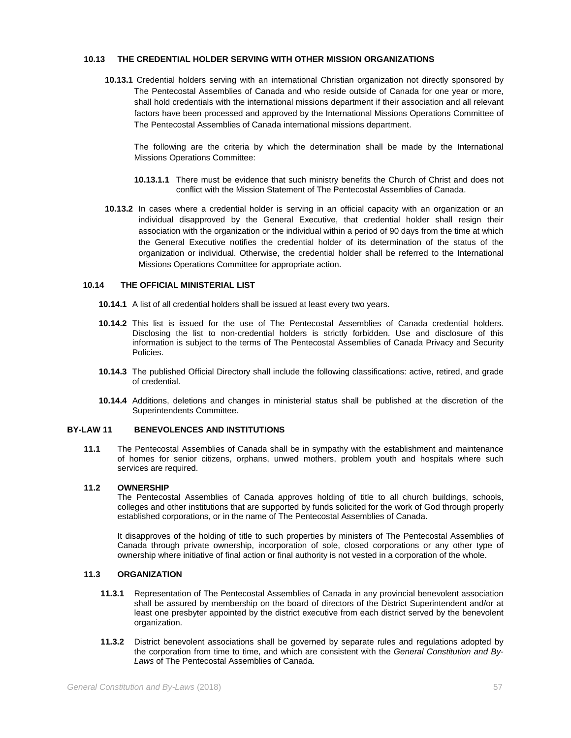## **10.13 THE CREDENTIAL HOLDER SERVING WITH OTHER MISSION ORGANIZATIONS**

**10.13.1** Credential holders serving with an international Christian organization not directly sponsored by The Pentecostal Assemblies of Canada and who reside outside of Canada for one year or more, shall hold credentials with the international missions department if their association and all relevant factors have been processed and approved by the International Missions Operations Committee of The Pentecostal Assemblies of Canada international missions department.

The following are the criteria by which the determination shall be made by the International Missions Operations Committee:

- **10.13.1.1** There must be evidence that such ministry benefits the Church of Christ and does not conflict with the Mission Statement of The Pentecostal Assemblies of Canada.
- **10.13.2** In cases where a credential holder is serving in an official capacity with an organization or an individual disapproved by the General Executive, that credential holder shall resign their association with the organization or the individual within a period of 90 days from the time at which the General Executive notifies the credential holder of its determination of the status of the organization or individual. Otherwise, the credential holder shall be referred to the International Missions Operations Committee for appropriate action.

## **10.14 THE OFFICIAL MINISTERIAL LIST**

- **10.14.1** A list of all credential holders shall be issued at least every two years.
- **10.14.2** This list is issued for the use of The Pentecostal Assemblies of Canada credential holders. Disclosing the list to non-credential holders is strictly forbidden. Use and disclosure of this information is subject to the terms of The Pentecostal Assemblies of Canada Privacy and Security Policies.
- **10.14.3** The published Official Directory shall include the following classifications: active, retired, and grade of credential.
- **10.14.4** Additions, deletions and changes in ministerial status shall be published at the discretion of the Superintendents Committee.

## **BY-LAW 11 BENEVOLENCES AND INSTITUTIONS**

**11.1** The Pentecostal Assemblies of Canada shall be in sympathy with the establishment and maintenance of homes for senior citizens, orphans, unwed mothers, problem youth and hospitals where such services are required.

## **11.2 OWNERSHIP**

The Pentecostal Assemblies of Canada approves holding of title to all church buildings, schools, colleges and other institutions that are supported by funds solicited for the work of God through properly established corporations, or in the name of The Pentecostal Assemblies of Canada.

It disapproves of the holding of title to such properties by ministers of The Pentecostal Assemblies of Canada through private ownership, incorporation of sole, closed corporations or any other type of ownership where initiative of final action or final authority is not vested in a corporation of the whole.

# **11.3 ORGANIZATION**

- **11.3.1** Representation of The Pentecostal Assemblies of Canada in any provincial benevolent association shall be assured by membership on the board of directors of the District Superintendent and/or at least one presbyter appointed by the district executive from each district served by the benevolent organization.
- **11.3.2** District benevolent associations shall be governed by separate rules and regulations adopted by the corporation from time to time, and which are consistent with the *General Constitution and By-Laws* of The Pentecostal Assemblies of Canada.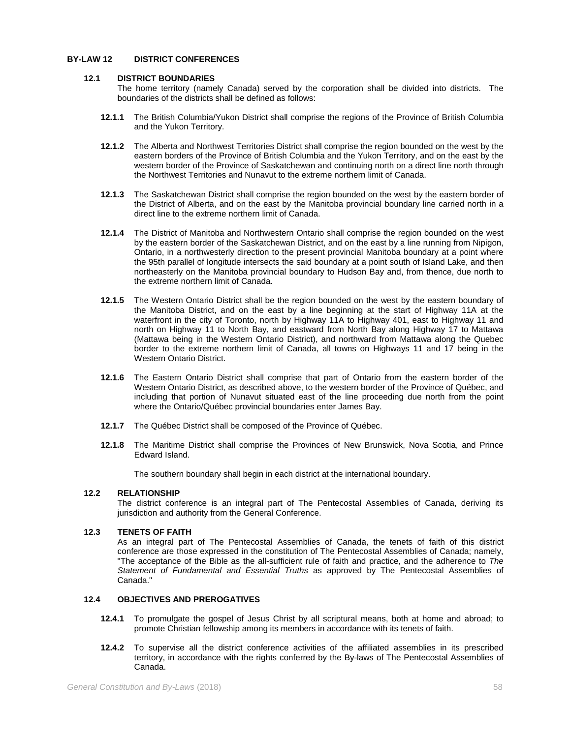# **BY-LAW 12 DISTRICT CONFERENCES**

## **12.1 DISTRICT BOUNDARIES**

The home territory (namely Canada) served by the corporation shall be divided into districts. The boundaries of the districts shall be defined as follows:

- **12.1.1** The British Columbia/Yukon District shall comprise the regions of the Province of British Columbia and the Yukon Territory.
- **12.1.2** The Alberta and Northwest Territories District shall comprise the region bounded on the west by the eastern borders of the Province of British Columbia and the Yukon Territory, and on the east by the western border of the Province of Saskatchewan and continuing north on a direct line north through the Northwest Territories and Nunavut to the extreme northern limit of Canada.
- **12.1.3** The Saskatchewan District shall comprise the region bounded on the west by the eastern border of the District of Alberta, and on the east by the Manitoba provincial boundary line carried north in a direct line to the extreme northern limit of Canada.
- **12.1.4** The District of Manitoba and Northwestern Ontario shall comprise the region bounded on the west by the eastern border of the Saskatchewan District, and on the east by a line running from Nipigon, Ontario, in a northwesterly direction to the present provincial Manitoba boundary at a point where the 95th parallel of longitude intersects the said boundary at a point south of Island Lake, and then northeasterly on the Manitoba provincial boundary to Hudson Bay and, from thence, due north to the extreme northern limit of Canada.
- **12.1.5** The Western Ontario District shall be the region bounded on the west by the eastern boundary of the Manitoba District, and on the east by a line beginning at the start of Highway 11A at the waterfront in the city of Toronto, north by Highway 11A to Highway 401, east to Highway 11 and north on Highway 11 to North Bay, and eastward from North Bay along Highway 17 to Mattawa (Mattawa being in the Western Ontario District), and northward from Mattawa along the Quebec border to the extreme northern limit of Canada, all towns on Highways 11 and 17 being in the Western Ontario District.
- **12.1.6** The Eastern Ontario District shall comprise that part of Ontario from the eastern border of the Western Ontario District, as described above, to the western border of the Province of Québec, and including that portion of Nunavut situated east of the line proceeding due north from the point where the Ontario/Québec provincial boundaries enter James Bay.
- **12.1.7** The Québec District shall be composed of the Province of Québec.
- **12.1.8** The Maritime District shall comprise the Provinces of New Brunswick, Nova Scotia, and Prince Edward Island.

The southern boundary shall begin in each district at the international boundary.

## **12.2 RELATIONSHIP**

The district conference is an integral part of The Pentecostal Assemblies of Canada, deriving its jurisdiction and authority from the General Conference.

## **12.3 TENETS OF FAITH**

As an integral part of The Pentecostal Assemblies of Canada, the tenets of faith of this district conference are those expressed in the constitution of The Pentecostal Assemblies of Canada; namely, "The acceptance of the Bible as the all-sufficient rule of faith and practice, and the adherence to *The Statement of Fundamental and Essential Truths* as approved by The Pentecostal Assemblies of Canada."

# **12.4 OBJECTIVES AND PREROGATIVES**

- **12.4.1** To promulgate the gospel of Jesus Christ by all scriptural means, both at home and abroad; to promote Christian fellowship among its members in accordance with its tenets of faith.
- **12.4.2** To supervise all the district conference activities of the affiliated assemblies in its prescribed territory, in accordance with the rights conferred by the By-laws of The Pentecostal Assemblies of Canada.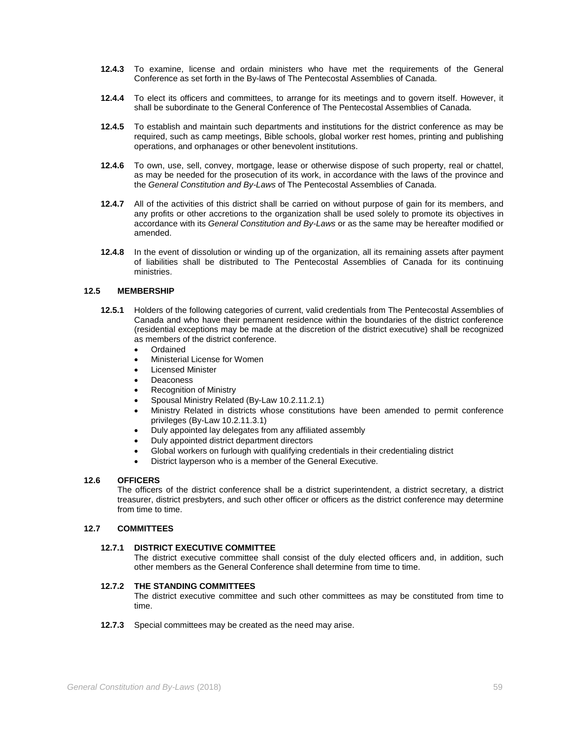- **12.4.3** To examine, license and ordain ministers who have met the requirements of the General Conference as set forth in the By-laws of The Pentecostal Assemblies of Canada.
- **12.4.4** To elect its officers and committees, to arrange for its meetings and to govern itself. However, it shall be subordinate to the General Conference of The Pentecostal Assemblies of Canada.
- **12.4.5** To establish and maintain such departments and institutions for the district conference as may be required, such as camp meetings, Bible schools, global worker rest homes, printing and publishing operations, and orphanages or other benevolent institutions.
- **12.4.6** To own, use, sell, convey, mortgage, lease or otherwise dispose of such property, real or chattel, as may be needed for the prosecution of its work, in accordance with the laws of the province and the *General Constitution and By-Laws* of The Pentecostal Assemblies of Canada.
- **12.4.7** All of the activities of this district shall be carried on without purpose of gain for its members, and any profits or other accretions to the organization shall be used solely to promote its objectives in accordance with its *General Constitution and By-Laws* or as the same may be hereafter modified or amended.
- **12.4.8** In the event of dissolution or winding up of the organization, all its remaining assets after payment of liabilities shall be distributed to The Pentecostal Assemblies of Canada for its continuing ministries.

## **12.5 MEMBERSHIP**

- **12.5.1** Holders of the following categories of current, valid credentials from The Pentecostal Assemblies of Canada and who have their permanent residence within the boundaries of the district conference (residential exceptions may be made at the discretion of the district executive) shall be recognized as members of the district conference.
	- **Ordained**
	- Ministerial License for Women
	- Licensed Minister
	- **Deaconess**
	- Recognition of Ministry
	- Spousal Ministry Related (By-Law 10.2.11.2.1)
	- Ministry Related in districts whose constitutions have been amended to permit conference privileges (By-Law 10.2.11.3.1)
	- Duly appointed lay delegates from any affiliated assembly
	- Duly appointed district department directors
	- Global workers on furlough with qualifying credentials in their credentialing district
	- District layperson who is a member of the General Executive.

### **12.6 OFFICERS**

The officers of the district conference shall be a district superintendent, a district secretary, a district treasurer, district presbyters, and such other officer or officers as the district conference may determine from time to time.

# **12.7 COMMITTEES**

## **12.7.1 DISTRICT EXECUTIVE COMMITTEE**

The district executive committee shall consist of the duly elected officers and, in addition, such other members as the General Conference shall determine from time to time.

## **12.7.2 THE STANDING COMMITTEES**

The district executive committee and such other committees as may be constituted from time to time.

**12.7.3** Special committees may be created as the need may arise.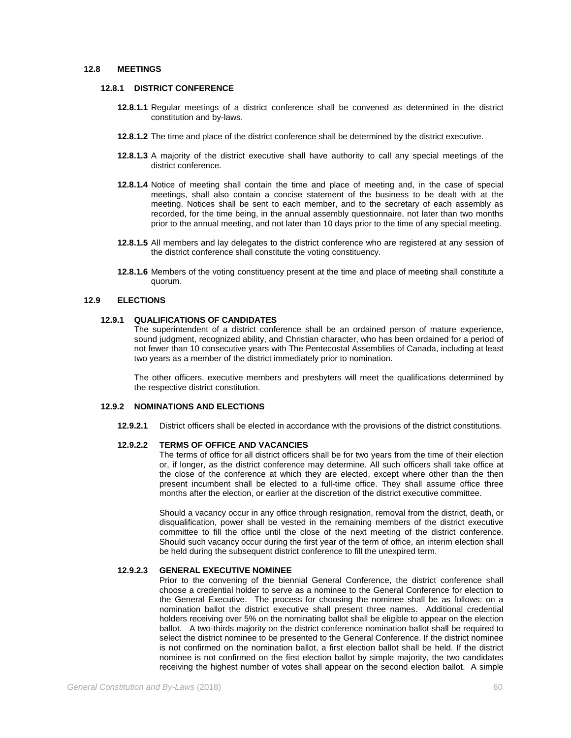### **12.8 MEETINGS**

## **12.8.1 DISTRICT CONFERENCE**

- **12.8.1.1** Regular meetings of a district conference shall be convened as determined in the district constitution and by-laws.
- **12.8.1.2** The time and place of the district conference shall be determined by the district executive.
- **12.8.1.3** A majority of the district executive shall have authority to call any special meetings of the district conference.
- **12.8.1.4** Notice of meeting shall contain the time and place of meeting and, in the case of special meetings, shall also contain a concise statement of the business to be dealt with at the meeting. Notices shall be sent to each member, and to the secretary of each assembly as recorded, for the time being, in the annual assembly questionnaire, not later than two months prior to the annual meeting, and not later than 10 days prior to the time of any special meeting.
- **12.8.1.5** All members and lay delegates to the district conference who are registered at any session of the district conference shall constitute the voting constituency.
- **12.8.1.6** Members of the voting constituency present at the time and place of meeting shall constitute a quorum.

### **12.9 ELECTIONS**

### **12.9.1 QUALIFICATIONS OF CANDIDATES**

The superintendent of a district conference shall be an ordained person of mature experience, sound judgment, recognized ability, and Christian character, who has been ordained for a period of not fewer than 10 consecutive years with The Pentecostal Assemblies of Canada, including at least two years as a member of the district immediately prior to nomination.

The other officers, executive members and presbyters will meet the qualifications determined by the respective district constitution.

## **12.9.2 NOMINATIONS AND ELECTIONS**

**12.9.2.1** District officers shall be elected in accordance with the provisions of the district constitutions.

## **12.9.2.2 TERMS OF OFFICE AND VACANCIES**

The terms of office for all district officers shall be for two years from the time of their election or, if longer, as the district conference may determine. All such officers shall take office at the close of the conference at which they are elected, except where other than the then present incumbent shall be elected to a full-time office. They shall assume office three months after the election, or earlier at the discretion of the district executive committee.

Should a vacancy occur in any office through resignation, removal from the district, death, or disqualification, power shall be vested in the remaining members of the district executive committee to fill the office until the close of the next meeting of the district conference. Should such vacancy occur during the first year of the term of office, an interim election shall be held during the subsequent district conference to fill the unexpired term.

### **12.9.2.3 GENERAL EXECUTIVE NOMINEE**

Prior to the convening of the biennial General Conference, the district conference shall choose a credential holder to serve as a nominee to the General Conference for election to the General Executive. The process for choosing the nominee shall be as follows: on a nomination ballot the district executive shall present three names. Additional credential holders receiving over 5% on the nominating ballot shall be eligible to appear on the election ballot. A two-thirds majority on the district conference nomination ballot shall be required to select the district nominee to be presented to the General Conference. If the district nominee is not confirmed on the nomination ballot, a first election ballot shall be held. If the district nominee is not confirmed on the first election ballot by simple majority, the two candidates receiving the highest number of votes shall appear on the second election ballot. A simple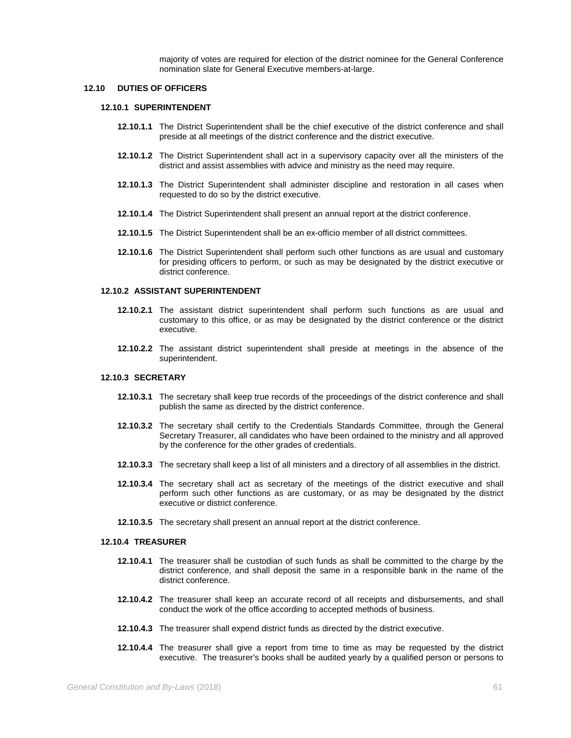majority of votes are required for election of the district nominee for the General Conference nomination slate for General Executive members-at-large.

### **12.10 DUTIES OF OFFICERS**

## **12.10.1 SUPERINTENDENT**

- **12.10.1.1** The District Superintendent shall be the chief executive of the district conference and shall preside at all meetings of the district conference and the district executive.
- **12.10.1.2** The District Superintendent shall act in a supervisory capacity over all the ministers of the district and assist assemblies with advice and ministry as the need may require.
- **12.10.1.3** The District Superintendent shall administer discipline and restoration in all cases when requested to do so by the district executive.
- **12.10.1.4** The District Superintendent shall present an annual report at the district conference.
- **12.10.1.5** The District Superintendent shall be an ex-officio member of all district committees.
- **12.10.1.6** The District Superintendent shall perform such other functions as are usual and customary for presiding officers to perform, or such as may be designated by the district executive or district conference.

### **12.10.2 ASSISTANT SUPERINTENDENT**

- **12.10.2.1** The assistant district superintendent shall perform such functions as are usual and customary to this office, or as may be designated by the district conference or the district executive.
- **12.10.2.2** The assistant district superintendent shall preside at meetings in the absence of the superintendent.

# **12.10.3 SECRETARY**

- **12.10.3.1** The secretary shall keep true records of the proceedings of the district conference and shall publish the same as directed by the district conference.
- **12.10.3.2** The secretary shall certify to the Credentials Standards Committee, through the General Secretary Treasurer, all candidates who have been ordained to the ministry and all approved by the conference for the other grades of credentials.
- **12.10.3.3** The secretary shall keep a list of all ministers and a directory of all assemblies in the district.
- **12.10.3.4** The secretary shall act as secretary of the meetings of the district executive and shall perform such other functions as are customary, or as may be designated by the district executive or district conference.
- **12.10.3.5** The secretary shall present an annual report at the district conference.

## **12.10.4 TREASURER**

- **12.10.4.1** The treasurer shall be custodian of such funds as shall be committed to the charge by the district conference, and shall deposit the same in a responsible bank in the name of the district conference.
- **12.10.4.2** The treasurer shall keep an accurate record of all receipts and disbursements, and shall conduct the work of the office according to accepted methods of business.
- **12.10.4.3** The treasurer shall expend district funds as directed by the district executive.
- **12.10.4.4** The treasurer shall give a report from time to time as may be requested by the district executive. The treasurer's books shall be audited yearly by a qualified person or persons to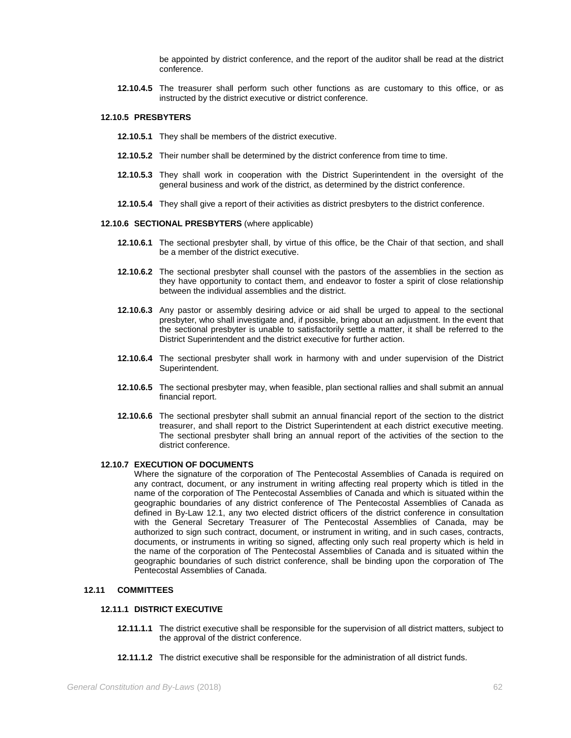be appointed by district conference, and the report of the auditor shall be read at the district conference.

**12.10.4.5** The treasurer shall perform such other functions as are customary to this office, or as instructed by the district executive or district conference.

# **12.10.5 PRESBYTERS**

- **12.10.5.1** They shall be members of the district executive.
- **12.10.5.2** Their number shall be determined by the district conference from time to time.
- **12.10.5.3** They shall work in cooperation with the District Superintendent in the oversight of the general business and work of the district, as determined by the district conference.
- **12.10.5.4** They shall give a report of their activities as district presbyters to the district conference.

#### **12.10.6 SECTIONAL PRESBYTERS** (where applicable)

- **12.10.6.1** The sectional presbyter shall, by virtue of this office, be the Chair of that section, and shall be a member of the district executive.
- **12.10.6.2** The sectional presbyter shall counsel with the pastors of the assemblies in the section as they have opportunity to contact them, and endeavor to foster a spirit of close relationship between the individual assemblies and the district.
- **12.10.6.3** Any pastor or assembly desiring advice or aid shall be urged to appeal to the sectional presbyter, who shall investigate and, if possible, bring about an adjustment. In the event that the sectional presbyter is unable to satisfactorily settle a matter, it shall be referred to the District Superintendent and the district executive for further action.
- **12.10.6.4** The sectional presbyter shall work in harmony with and under supervision of the District Superintendent.
- **12.10.6.5** The sectional presbyter may, when feasible, plan sectional rallies and shall submit an annual financial report.
- **12.10.6.6** The sectional presbyter shall submit an annual financial report of the section to the district treasurer, and shall report to the District Superintendent at each district executive meeting. The sectional presbyter shall bring an annual report of the activities of the section to the district conference.

### **12.10.7 EXECUTION OF DOCUMENTS**

Where the signature of the corporation of The Pentecostal Assemblies of Canada is required on any contract, document, or any instrument in writing affecting real property which is titled in the name of the corporation of The Pentecostal Assemblies of Canada and which is situated within the geographic boundaries of any district conference of The Pentecostal Assemblies of Canada as defined in By-Law 12.1, any two elected district officers of the district conference in consultation with the General Secretary Treasurer of The Pentecostal Assemblies of Canada, may be authorized to sign such contract, document, or instrument in writing, and in such cases, contracts, documents, or instruments in writing so signed, affecting only such real property which is held in the name of the corporation of The Pentecostal Assemblies of Canada and is situated within the geographic boundaries of such district conference, shall be binding upon the corporation of The Pentecostal Assemblies of Canada.

## **12.11 COMMITTEES**

# **12.11.1 DISTRICT EXECUTIVE**

- **12.11.1.1** The district executive shall be responsible for the supervision of all district matters, subject to the approval of the district conference.
- **12.11.1.2** The district executive shall be responsible for the administration of all district funds.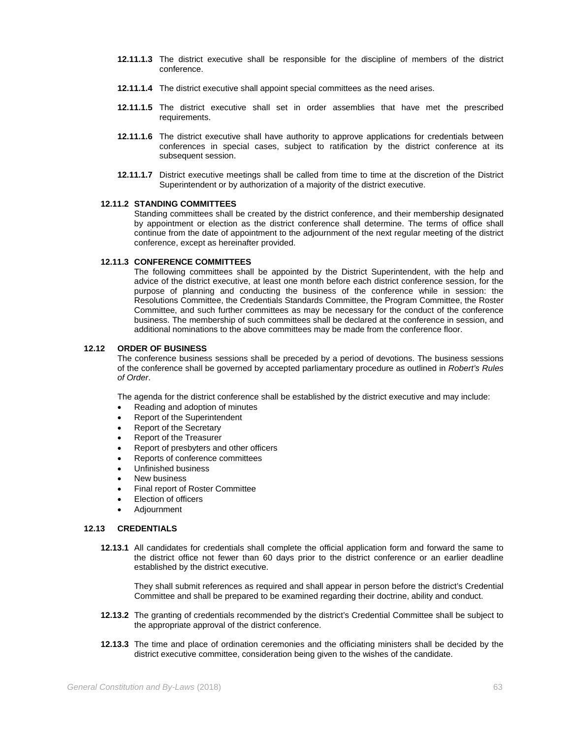- **12.11.1.3** The district executive shall be responsible for the discipline of members of the district conference.
- **12.11.1.4** The district executive shall appoint special committees as the need arises.
- **12.11.1.5** The district executive shall set in order assemblies that have met the prescribed requirements.
- **12.11.1.6** The district executive shall have authority to approve applications for credentials between conferences in special cases, subject to ratification by the district conference at its subsequent session.
- **12.11.1.7** District executive meetings shall be called from time to time at the discretion of the District Superintendent or by authorization of a majority of the district executive.

## **12.11.2 STANDING COMMITTEES**

Standing committees shall be created by the district conference, and their membership designated by appointment or election as the district conference shall determine. The terms of office shall continue from the date of appointment to the adjournment of the next regular meeting of the district conference, except as hereinafter provided.

## **12.11.3 CONFERENCE COMMITTEES**

The following committees shall be appointed by the District Superintendent, with the help and advice of the district executive, at least one month before each district conference session, for the purpose of planning and conducting the business of the conference while in session: the Resolutions Committee, the Credentials Standards Committee, the Program Committee, the Roster Committee, and such further committees as may be necessary for the conduct of the conference business. The membership of such committees shall be declared at the conference in session, and additional nominations to the above committees may be made from the conference floor.

## **12.12 ORDER OF BUSINESS**

The conference business sessions shall be preceded by a period of devotions. The business sessions of the conference shall be governed by accepted parliamentary procedure as outlined in *Robert's Rules of Order*.

The agenda for the district conference shall be established by the district executive and may include:

- Reading and adoption of minutes
- Report of the Superintendent
- Report of the Secretary
- Report of the Treasurer
- Report of presbyters and other officers
- Reports of conference committees
- Unfinished business
- New business
- Final report of Roster Committee
- Election of officers
- Adjournment

## **12.13 CREDENTIALS**

**12.13.1** All candidates for credentials shall complete the official application form and forward the same to the district office not fewer than 60 days prior to the district conference or an earlier deadline established by the district executive.

They shall submit references as required and shall appear in person before the district's Credential Committee and shall be prepared to be examined regarding their doctrine, ability and conduct.

- **12.13.2** The granting of credentials recommended by the district's Credential Committee shall be subject to the appropriate approval of the district conference.
- **12.13.3** The time and place of ordination ceremonies and the officiating ministers shall be decided by the district executive committee, consideration being given to the wishes of the candidate.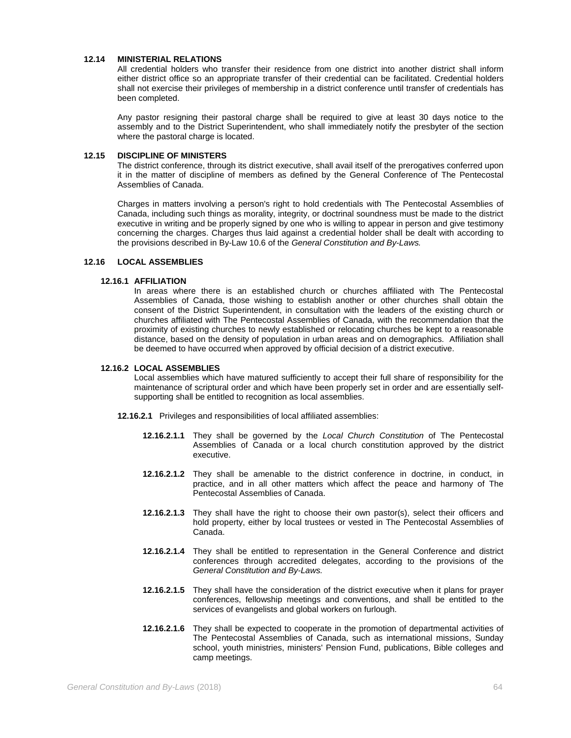### **12.14 MINISTERIAL RELATIONS**

All credential holders who transfer their residence from one district into another district shall inform either district office so an appropriate transfer of their credential can be facilitated. Credential holders shall not exercise their privileges of membership in a district conference until transfer of credentials has been completed.

Any pastor resigning their pastoral charge shall be required to give at least 30 days notice to the assembly and to the District Superintendent, who shall immediately notify the presbyter of the section where the pastoral charge is located.

## **12.15 DISCIPLINE OF MINISTERS**

The district conference, through its district executive, shall avail itself of the prerogatives conferred upon it in the matter of discipline of members as defined by the General Conference of The Pentecostal Assemblies of Canada.

Charges in matters involving a person's right to hold credentials with The Pentecostal Assemblies of Canada, including such things as morality, integrity, or doctrinal soundness must be made to the district executive in writing and be properly signed by one who is willing to appear in person and give testimony concerning the charges. Charges thus laid against a credential holder shall be dealt with according to the provisions described in By-Law 10.6 of the *General Constitution and By-Laws.*

# **12.16 LOCAL ASSEMBLIES**

# **12.16.1 AFFILIATION**

In areas where there is an established church or churches affiliated with The Pentecostal Assemblies of Canada, those wishing to establish another or other churches shall obtain the consent of the District Superintendent, in consultation with the leaders of the existing church or churches affiliated with The Pentecostal Assemblies of Canada, with the recommendation that the proximity of existing churches to newly established or relocating churches be kept to a reasonable distance, based on the density of population in urban areas and on demographics. Affiliation shall be deemed to have occurred when approved by official decision of a district executive.

## **12.16.2 LOCAL ASSEMBLIES**

Local assemblies which have matured sufficiently to accept their full share of responsibility for the maintenance of scriptural order and which have been properly set in order and are essentially selfsupporting shall be entitled to recognition as local assemblies.

- **12.16.2.1** Privileges and responsibilities of local affiliated assemblies:
	- **12.16.2.1.1** They shall be governed by the *Local Church Constitution* of The Pentecostal Assemblies of Canada or a local church constitution approved by the district executive.
	- **12.16.2.1.2** They shall be amenable to the district conference in doctrine, in conduct, in practice, and in all other matters which affect the peace and harmony of The Pentecostal Assemblies of Canada.
	- **12.16.2.1.3** They shall have the right to choose their own pastor(s), select their officers and hold property, either by local trustees or vested in The Pentecostal Assemblies of Canada.
	- **12.16.2.1.4** They shall be entitled to representation in the General Conference and district conferences through accredited delegates, according to the provisions of the *General Constitution and By-Laws.*
	- **12.16.2.1.5** They shall have the consideration of the district executive when it plans for prayer conferences, fellowship meetings and conventions, and shall be entitled to the services of evangelists and global workers on furlough.
	- **12.16.2.1.6** They shall be expected to cooperate in the promotion of departmental activities of The Pentecostal Assemblies of Canada, such as international missions, Sunday school, youth ministries, ministers' Pension Fund, publications, Bible colleges and camp meetings.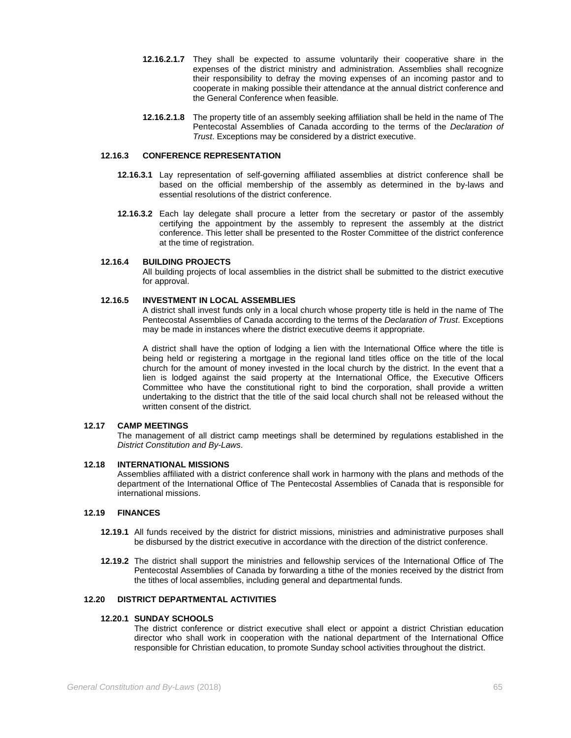- **12.16.2.1.7** They shall be expected to assume voluntarily their cooperative share in the expenses of the district ministry and administration. Assemblies shall recognize their responsibility to defray the moving expenses of an incoming pastor and to cooperate in making possible their attendance at the annual district conference and the General Conference when feasible.
- **12.16.2.1.8** The property title of an assembly seeking affiliation shall be held in the name of The Pentecostal Assemblies of Canada according to the terms of the *Declaration of Trust*. Exceptions may be considered by a district executive.

# **12.16.3 CONFERENCE REPRESENTATION**

- **12.16.3.1** Lay representation of self-governing affiliated assemblies at district conference shall be based on the official membership of the assembly as determined in the by-laws and essential resolutions of the district conference.
- **12.16.3.2** Each lay delegate shall procure a letter from the secretary or pastor of the assembly certifying the appointment by the assembly to represent the assembly at the district conference. This letter shall be presented to the Roster Committee of the district conference at the time of registration.

## **12.16.4 BUILDING PROJECTS**

All building projects of local assemblies in the district shall be submitted to the district executive for approval.

## **12.16.5 INVESTMENT IN LOCAL ASSEMBLIES**

A district shall invest funds only in a local church whose property title is held in the name of The Pentecostal Assemblies of Canada according to the terms of the *Declaration of Trust*. Exceptions may be made in instances where the district executive deems it appropriate.

A district shall have the option of lodging a lien with the International Office where the title is being held or registering a mortgage in the regional land titles office on the title of the local church for the amount of money invested in the local church by the district. In the event that a lien is lodged against the said property at the International Office, the Executive Officers Committee who have the constitutional right to bind the corporation, shall provide a written undertaking to the district that the title of the said local church shall not be released without the written consent of the district.

# **12.17 CAMP MEETINGS**

The management of all district camp meetings shall be determined by regulations established in the *District Constitution and By-Laws*.

### **12.18 INTERNATIONAL MISSIONS**

Assemblies affiliated with a district conference shall work in harmony with the plans and methods of the department of the International Office of The Pentecostal Assemblies of Canada that is responsible for international missions.

# **12.19 FINANCES**

- **12.19.1** All funds received by the district for district missions, ministries and administrative purposes shall be disbursed by the district executive in accordance with the direction of the district conference.
- **12.19.2** The district shall support the ministries and fellowship services of the International Office of The Pentecostal Assemblies of Canada by forwarding a tithe of the monies received by the district from the tithes of local assemblies, including general and departmental funds.

# **12.20 DISTRICT DEPARTMENTAL ACTIVITIES**

### **12.20.1 SUNDAY SCHOOLS**

The district conference or district executive shall elect or appoint a district Christian education director who shall work in cooperation with the national department of the International Office responsible for Christian education, to promote Sunday school activities throughout the district.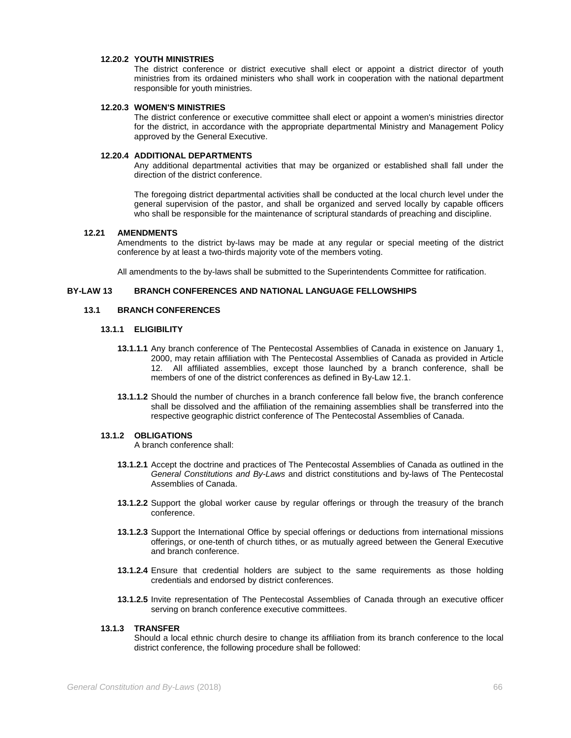### **12.20.2 YOUTH MINISTRIES**

The district conference or district executive shall elect or appoint a district director of youth ministries from its ordained ministers who shall work in cooperation with the national department responsible for youth ministries.

# **12.20.3 WOMEN'S MINISTRIES**

The district conference or executive committee shall elect or appoint a women's ministries director for the district, in accordance with the appropriate departmental Ministry and Management Policy approved by the General Executive.

## **12.20.4 ADDITIONAL DEPARTMENTS**

Any additional departmental activities that may be organized or established shall fall under the direction of the district conference.

The foregoing district departmental activities shall be conducted at the local church level under the general supervision of the pastor, and shall be organized and served locally by capable officers who shall be responsible for the maintenance of scriptural standards of preaching and discipline.

## **12.21 AMENDMENTS**

Amendments to the district by-laws may be made at any regular or special meeting of the district conference by at least a two-thirds majority vote of the members voting.

All amendments to the by-laws shall be submitted to the Superintendents Committee for ratification.

## **BY-LAW 13 BRANCH CONFERENCES AND NATIONAL LANGUAGE FELLOWSHIPS**

## **13.1 BRANCH CONFERENCES**

## **13.1.1 ELIGIBILITY**

- **13.1.1.1** Any branch conference of The Pentecostal Assemblies of Canada in existence on January 1, 2000, may retain affiliation with The Pentecostal Assemblies of Canada as provided in Article 12. All affiliated assemblies, except those launched by a branch conference, shall be members of one of the district conferences as defined in By-Law 12.1.
- **13.1.1.2** Should the number of churches in a branch conference fall below five, the branch conference shall be dissolved and the affiliation of the remaining assemblies shall be transferred into the respective geographic district conference of The Pentecostal Assemblies of Canada.

## **13.1.2 OBLIGATIONS**

A branch conference shall:

- **13.1.2.1** Accept the doctrine and practices of The Pentecostal Assemblies of Canada as outlined in the *General Constitutions and By-Laws* and district constitutions and by-laws of The Pentecostal Assemblies of Canada.
- **13.1.2.2** Support the global worker cause by regular offerings or through the treasury of the branch conference.
- **13.1.2.3** Support the International Office by special offerings or deductions from international missions offerings, or one-tenth of church tithes, or as mutually agreed between the General Executive and branch conference.
- **13.1.2.4** Ensure that credential holders are subject to the same requirements as those holding credentials and endorsed by district conferences.
- **13.1.2.5** Invite representation of The Pentecostal Assemblies of Canada through an executive officer serving on branch conference executive committees.

### **13.1.3 TRANSFER**

Should a local ethnic church desire to change its affiliation from its branch conference to the local district conference, the following procedure shall be followed: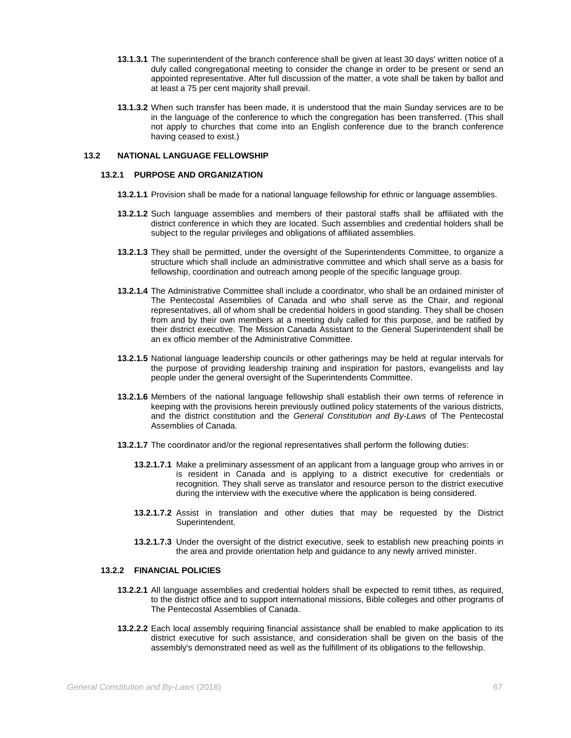- **13.1.3.1** The superintendent of the branch conference shall be given at least 30 days' written notice of a duly called congregational meeting to consider the change in order to be present or send an appointed representative. After full discussion of the matter, a vote shall be taken by ballot and at least a 75 per cent majority shall prevail.
- **13.1.3.2** When such transfer has been made, it is understood that the main Sunday services are to be in the language of the conference to which the congregation has been transferred. (This shall not apply to churches that come into an English conference due to the branch conference having ceased to exist.)

## **13.2 NATIONAL LANGUAGE FELLOWSHIP**

## **13.2.1 PURPOSE AND ORGANIZATION**

- **13.2.1.1** Provision shall be made for a national language fellowship for ethnic or language assemblies.
- **13.2.1.2** Such language assemblies and members of their pastoral staffs shall be affiliated with the district conference in which they are located. Such assemblies and credential holders shall be subject to the regular privileges and obligations of affiliated assemblies.
- **13.2.1.3** They shall be permitted, under the oversight of the Superintendents Committee, to organize a structure which shall include an administrative committee and which shall serve as a basis for fellowship, coordination and outreach among people of the specific language group.
- **13.2.1.4** The Administrative Committee shall include a coordinator, who shall be an ordained minister of The Pentecostal Assemblies of Canada and who shall serve as the Chair, and regional representatives, all of whom shall be credential holders in good standing. They shall be chosen from and by their own members at a meeting duly called for this purpose, and be ratified by their district executive. The Mission Canada Assistant to the General Superintendent shall be an ex officio member of the Administrative Committee.
- **13.2.1.5** National language leadership councils or other gatherings may be held at regular intervals for the purpose of providing leadership training and inspiration for pastors, evangelists and lay people under the general oversight of the Superintendents Committee.
- **13.2.1.6** Members of the national language fellowship shall establish their own terms of reference in keeping with the provisions herein previously outlined policy statements of the various districts, and the district constitution and the *General Constitution and By-Laws* of The Pentecostal Assemblies of Canada.
- **13.2.1.7** The coordinator and/or the regional representatives shall perform the following duties:
	- **13.2.1.7.1** Make a preliminary assessment of an applicant from a language group who arrives in or is resident in Canada and is applying to a district executive for credentials or recognition. They shall serve as translator and resource person to the district executive during the interview with the executive where the application is being considered.
	- **13.2.1.7.2** Assist in translation and other duties that may be requested by the District Superintendent.
	- **13.2.1.7.3** Under the oversight of the district executive, seek to establish new preaching points in the area and provide orientation help and guidance to any newly arrived minister.

### **13.2.2 FINANCIAL POLICIES**

- **13.2.2.1** All language assemblies and credential holders shall be expected to remit tithes, as required, to the district office and to support international missions, Bible colleges and other programs of The Pentecostal Assemblies of Canada.
- **13.2.2.2** Each local assembly requiring financial assistance shall be enabled to make application to its district executive for such assistance, and consideration shall be given on the basis of the assembly's demonstrated need as well as the fulfillment of its obligations to the fellowship.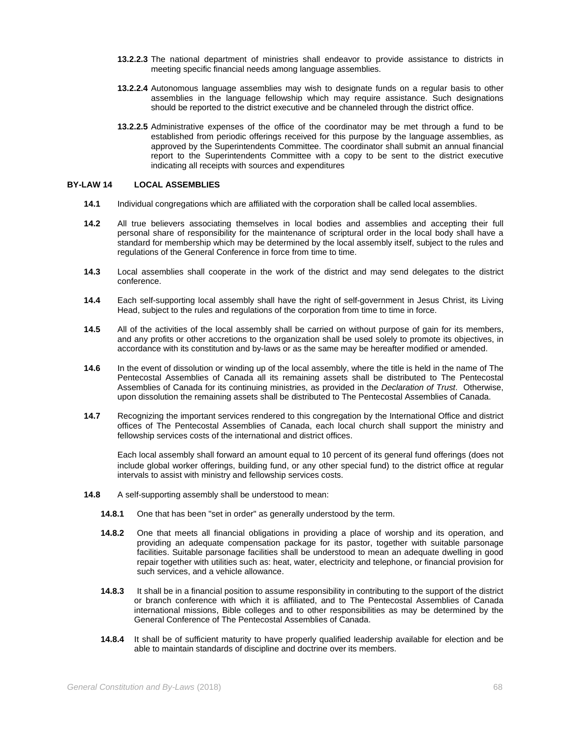- **13.2.2.3** The national department of ministries shall endeavor to provide assistance to districts in meeting specific financial needs among language assemblies.
- **13.2.2.4** Autonomous language assemblies may wish to designate funds on a regular basis to other assemblies in the language fellowship which may require assistance. Such designations should be reported to the district executive and be channeled through the district office.
- **13.2.2.5** Administrative expenses of the office of the coordinator may be met through a fund to be established from periodic offerings received for this purpose by the language assemblies, as approved by the Superintendents Committee. The coordinator shall submit an annual financial report to the Superintendents Committee with a copy to be sent to the district executive indicating all receipts with sources and expenditures

## **BY-LAW 14 LOCAL ASSEMBLIES**

- **14.1** Individual congregations which are affiliated with the corporation shall be called local assemblies.
- **14.2** All true believers associating themselves in local bodies and assemblies and accepting their full personal share of responsibility for the maintenance of scriptural order in the local body shall have a standard for membership which may be determined by the local assembly itself, subject to the rules and regulations of the General Conference in force from time to time.
- **14.3** Local assemblies shall cooperate in the work of the district and may send delegates to the district conference.
- **14.4** Each self-supporting local assembly shall have the right of self-government in Jesus Christ, its Living Head, subject to the rules and regulations of the corporation from time to time in force.
- **14.5** All of the activities of the local assembly shall be carried on without purpose of gain for its members, and any profits or other accretions to the organization shall be used solely to promote its objectives, in accordance with its constitution and by-laws or as the same may be hereafter modified or amended.
- **14.6** In the event of dissolution or winding up of the local assembly, where the title is held in the name of The Pentecostal Assemblies of Canada all its remaining assets shall be distributed to The Pentecostal Assemblies of Canada for its continuing ministries, as provided in the *Declaration of Trust*. Otherwise, upon dissolution the remaining assets shall be distributed to The Pentecostal Assemblies of Canada.
- **14.7** Recognizing the important services rendered to this congregation by the International Office and district offices of The Pentecostal Assemblies of Canada, each local church shall support the ministry and fellowship services costs of the international and district offices.

Each local assembly shall forward an amount equal to 10 percent of its general fund offerings (does not include global worker offerings, building fund, or any other special fund) to the district office at regular intervals to assist with ministry and fellowship services costs.

- **14.8** A self-supporting assembly shall be understood to mean:
	- **14.8.1** One that has been "set in order" as generally understood by the term.
	- **14.8.2** One that meets all financial obligations in providing a place of worship and its operation, and providing an adequate compensation package for its pastor, together with suitable parsonage facilities. Suitable parsonage facilities shall be understood to mean an adequate dwelling in good repair together with utilities such as: heat, water, electricity and telephone, or financial provision for such services, and a vehicle allowance.
	- **14.8.3** It shall be in a financial position to assume responsibility in contributing to the support of the district or branch conference with which it is affiliated, and to The Pentecostal Assemblies of Canada international missions, Bible colleges and to other responsibilities as may be determined by the General Conference of The Pentecostal Assemblies of Canada.
	- **14.8.4** It shall be of sufficient maturity to have properly qualified leadership available for election and be able to maintain standards of discipline and doctrine over its members.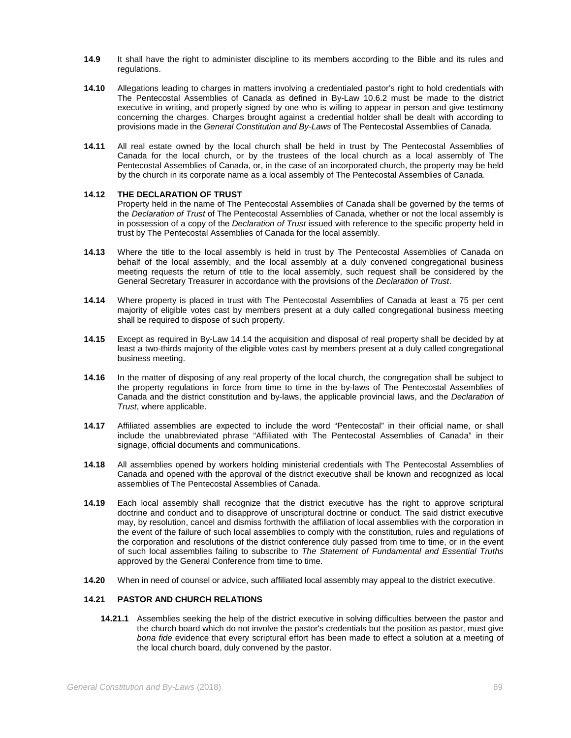- **14.9** It shall have the right to administer discipline to its members according to the Bible and its rules and regulations.
- **14.10** Allegations leading to charges in matters involving a credentialed pastor's right to hold credentials with The Pentecostal Assemblies of Canada as defined in By-Law 10.6.2 must be made to the district executive in writing, and properly signed by one who is willing to appear in person and give testimony concerning the charges. Charges brought against a credential holder shall be dealt with according to provisions made in the *General Constitution and By-Laws* of The Pentecostal Assemblies of Canada.
- **14.11** All real estate owned by the local church shall be held in trust by The Pentecostal Assemblies of Canada for the local church, or by the trustees of the local church as a local assembly of The Pentecostal Assemblies of Canada, or, in the case of an incorporated church, the property may be held by the church in its corporate name as a local assembly of The Pentecostal Assemblies of Canada.

## **14.12 THE DECLARATION OF TRUST**

Property held in the name of The Pentecostal Assemblies of Canada shall be governed by the terms of the *Declaration of Trust* of The Pentecostal Assemblies of Canada, whether or not the local assembly is in possession of a copy of the *Declaration of Trust* issued with reference to the specific property held in trust by The Pentecostal Assemblies of Canada for the local assembly.

- **14.13** Where the title to the local assembly is held in trust by The Pentecostal Assemblies of Canada on behalf of the local assembly, and the local assembly at a duly convened congregational business meeting requests the return of title to the local assembly, such request shall be considered by the General Secretary Treasurer in accordance with the provisions of the *Declaration of Trust*.
- **14.14** Where property is placed in trust with The Pentecostal Assemblies of Canada at least a 75 per cent majority of eligible votes cast by members present at a duly called congregational business meeting shall be required to dispose of such property.
- **14.15** Except as required in By-Law 14.14 the acquisition and disposal of real property shall be decided by at least a two-thirds majority of the eligible votes cast by members present at a duly called congregational business meeting.
- **14.16** In the matter of disposing of any real property of the local church, the congregation shall be subject to the property regulations in force from time to time in the by-laws of The Pentecostal Assemblies of Canada and the district constitution and by-laws, the applicable provincial laws, and the *Declaration of Trust*, where applicable.
- **14.17** Affiliated assemblies are expected to include the word "Pentecostal" in their official name, or shall include the unabbreviated phrase "Affiliated with The Pentecostal Assemblies of Canada" in their signage, official documents and communications.
- **14.18** All assemblies opened by workers holding ministerial credentials with The Pentecostal Assemblies of Canada and opened with the approval of the district executive shall be known and recognized as local assemblies of The Pentecostal Assemblies of Canada.
- **14.19** Each local assembly shall recognize that the district executive has the right to approve scriptural doctrine and conduct and to disapprove of unscriptural doctrine or conduct. The said district executive may, by resolution, cancel and dismiss forthwith the affiliation of local assemblies with the corporation in the event of the failure of such local assemblies to comply with the constitution, rules and regulations of the corporation and resolutions of the district conference duly passed from time to time, or in the event of such local assemblies failing to subscribe to *The Statement of Fundamental and Essential Truths* approved by the General Conference from time to time.
- **14.20** When in need of counsel or advice, such affiliated local assembly may appeal to the district executive.

# **14.21 PASTOR AND CHURCH RELATIONS**

**14.21.1** Assemblies seeking the help of the district executive in solving difficulties between the pastor and the church board which do not involve the pastor's credentials but the position as pastor, must give *bona fide* evidence that every scriptural effort has been made to effect a solution at a meeting of the local church board, duly convened by the pastor.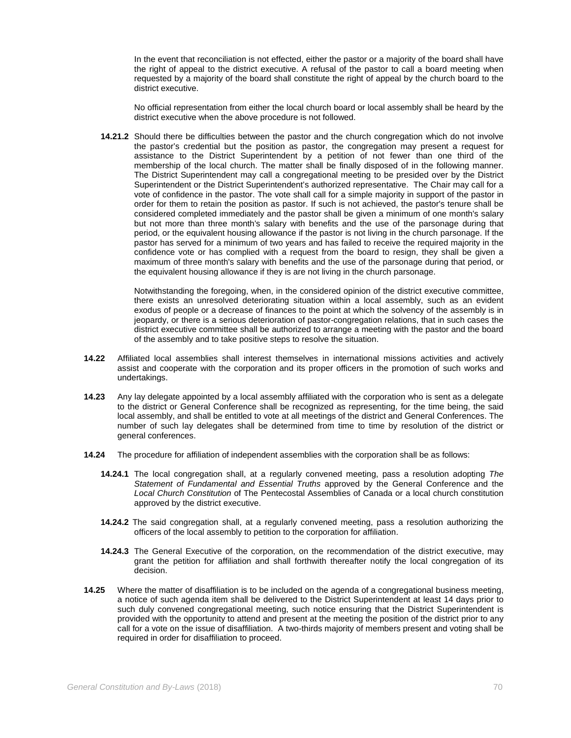In the event that reconciliation is not effected, either the pastor or a majority of the board shall have the right of appeal to the district executive. A refusal of the pastor to call a board meeting when requested by a majority of the board shall constitute the right of appeal by the church board to the district executive.

No official representation from either the local church board or local assembly shall be heard by the district executive when the above procedure is not followed.

**14.21.2** Should there be difficulties between the pastor and the church congregation which do not involve the pastor's credential but the position as pastor, the congregation may present a request for assistance to the District Superintendent by a petition of not fewer than one third of the membership of the local church. The matter shall be finally disposed of in the following manner. The District Superintendent may call a congregational meeting to be presided over by the District Superintendent or the District Superintendent's authorized representative. The Chair may call for a vote of confidence in the pastor. The vote shall call for a simple majority in support of the pastor in order for them to retain the position as pastor. If such is not achieved, the pastor's tenure shall be considered completed immediately and the pastor shall be given a minimum of one month's salary but not more than three month's salary with benefits and the use of the parsonage during that period, or the equivalent housing allowance if the pastor is not living in the church parsonage. If the pastor has served for a minimum of two years and has failed to receive the required majority in the confidence vote or has complied with a request from the board to resign, they shall be given a maximum of three month's salary with benefits and the use of the parsonage during that period, or the equivalent housing allowance if they is are not living in the church parsonage.

Notwithstanding the foregoing, when, in the considered opinion of the district executive committee, there exists an unresolved deteriorating situation within a local assembly, such as an evident exodus of people or a decrease of finances to the point at which the solvency of the assembly is in jeopardy, or there is a serious deterioration of pastor-congregation relations, that in such cases the district executive committee shall be authorized to arrange a meeting with the pastor and the board of the assembly and to take positive steps to resolve the situation.

- **14.22** Affiliated local assemblies shall interest themselves in international missions activities and actively assist and cooperate with the corporation and its proper officers in the promotion of such works and undertakings.
- **14.23** Any lay delegate appointed by a local assembly affiliated with the corporation who is sent as a delegate to the district or General Conference shall be recognized as representing, for the time being, the said local assembly, and shall be entitled to vote at all meetings of the district and General Conferences. The number of such lay delegates shall be determined from time to time by resolution of the district or general conferences.
- **14.24** The procedure for affiliation of independent assemblies with the corporation shall be as follows:
	- **14.24.1** The local congregation shall, at a regularly convened meeting, pass a resolution adopting *The Statement of Fundamental and Essential Truths* approved by the General Conference and the *Local Church Constitution* of The Pentecostal Assemblies of Canada or a local church constitution approved by the district executive.
	- **14.24.2** The said congregation shall, at a regularly convened meeting, pass a resolution authorizing the officers of the local assembly to petition to the corporation for affiliation.
	- **14.24.3** The General Executive of the corporation, on the recommendation of the district executive, may grant the petition for affiliation and shall forthwith thereafter notify the local congregation of its decision.
- **14.25** Where the matter of disaffiliation is to be included on the agenda of a congregational business meeting, a notice of such agenda item shall be delivered to the District Superintendent at least 14 days prior to such duly convened congregational meeting, such notice ensuring that the District Superintendent is provided with the opportunity to attend and present at the meeting the position of the district prior to any call for a vote on the issue of disaffiliation. A two-thirds majority of members present and voting shall be required in order for disaffiliation to proceed.